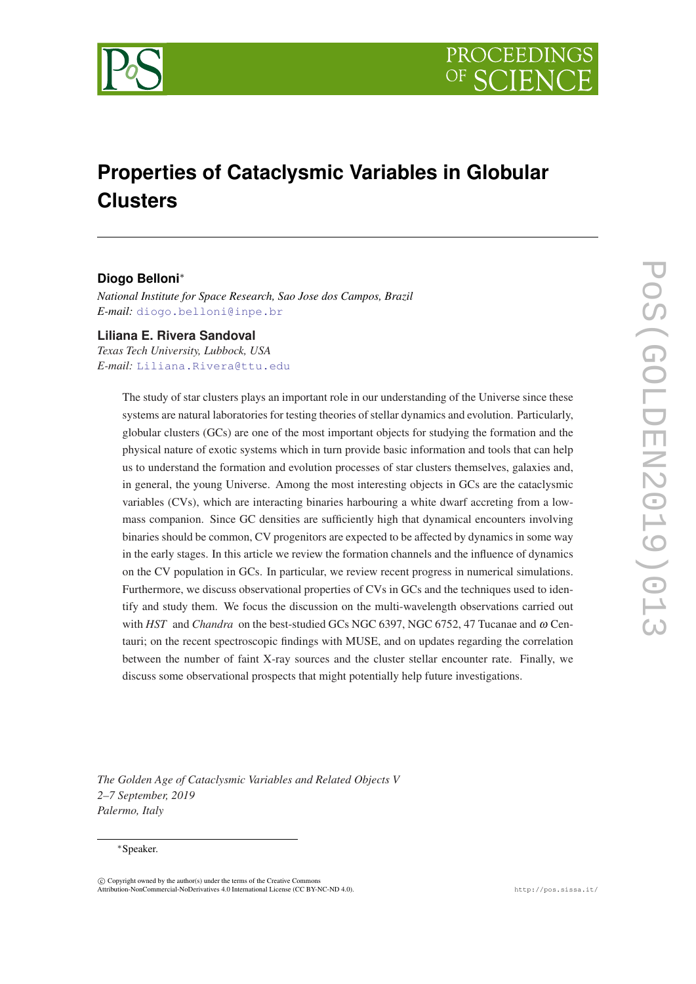

# **Properties of Cataclysmic Variables in Globular Clusters**

# **Diogo Belloni**<sup>∗</sup>

*National Institute for Space Research, Sao Jose dos Campos, Brazil E-mail:* [diogo.belloni@inpe.br](mailto:diogo.belloni@inpe.br)

# **Liliana E. Rivera Sandoval**

*Texas Tech University, Lubbock, USA E-mail:* [Liliana.Rivera@ttu.edu](mailto:Liliana.Rivera@ttu.edu)

> The study of star clusters plays an important role in our understanding of the Universe since these systems are natural laboratories for testing theories of stellar dynamics and evolution. Particularly, globular clusters (GCs) are one of the most important objects for studying the formation and the physical nature of exotic systems which in turn provide basic information and tools that can help us to understand the formation and evolution processes of star clusters themselves, galaxies and, in general, the young Universe. Among the most interesting objects in GCs are the cataclysmic variables (CVs), which are interacting binaries harbouring a white dwarf accreting from a lowmass companion. Since GC densities are sufficiently high that dynamical encounters involving binaries should be common, CV progenitors are expected to be affected by dynamics in some way in the early stages. In this article we review the formation channels and the influence of dynamics on the CV population in GCs. In particular, we review recent progress in numerical simulations. Furthermore, we discuss observational properties of CVs in GCs and the techniques used to identify and study them. We focus the discussion on the multi-wavelength observations carried out with *HST* and *Chandra* on the best-studied GCs NGC 6397, NGC 6752, 47 Tucanae and ω Centauri; on the recent spectroscopic findings with MUSE, and on updates regarding the correlation between the number of faint X-ray sources and the cluster stellar encounter rate. Finally, we discuss some observational prospects that might potentially help future investigations.

*The Golden Age of Cataclysmic Variables and Related Objects V 2–7 September, 2019 Palermo, Italy*

#### <sup>∗</sup>Speaker.

 $\overline{c}$  Copyright owned by the author(s) under the terms of the Creative Common Attribution-NonCommercial-NoDerivatives 4.0 International License (CC BY-NC-ND 4.0). http://pos.sissa.it/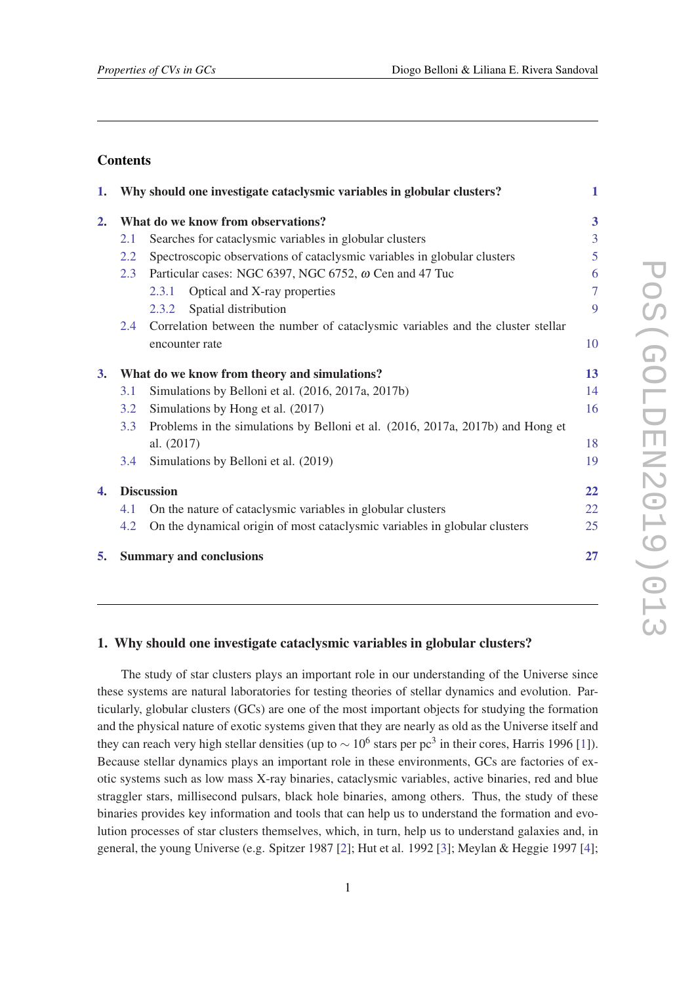# **Contents**

|                                                                      |                                                                                 | 1                                                                                                                                                                                                                      |  |  |
|----------------------------------------------------------------------|---------------------------------------------------------------------------------|------------------------------------------------------------------------------------------------------------------------------------------------------------------------------------------------------------------------|--|--|
|                                                                      |                                                                                 | 3                                                                                                                                                                                                                      |  |  |
| 2.1                                                                  | Searches for cataclysmic variables in globular clusters                         | 3                                                                                                                                                                                                                      |  |  |
| 2.2                                                                  | Spectroscopic observations of cataclysmic variables in globular clusters        | 5                                                                                                                                                                                                                      |  |  |
| Particular cases: NGC 6397, NGC 6752, $\omega$ Cen and 47 Tuc<br>2.3 |                                                                                 |                                                                                                                                                                                                                        |  |  |
|                                                                      | Optical and X-ray properties<br>2.3.1                                           | 7                                                                                                                                                                                                                      |  |  |
|                                                                      | Spatial distribution<br>2.3.2                                                   | 9                                                                                                                                                                                                                      |  |  |
| 2.4                                                                  | Correlation between the number of cataclysmic variables and the cluster stellar |                                                                                                                                                                                                                        |  |  |
|                                                                      | encounter rate                                                                  | 10                                                                                                                                                                                                                     |  |  |
|                                                                      |                                                                                 | 13                                                                                                                                                                                                                     |  |  |
| 3.1                                                                  | Simulations by Belloni et al. (2016, 2017a, 2017b)                              | 14                                                                                                                                                                                                                     |  |  |
| 3.2                                                                  | Simulations by Hong et al. (2017)                                               | 16                                                                                                                                                                                                                     |  |  |
| 3.3                                                                  | Problems in the simulations by Belloni et al. (2016, 2017a, 2017b) and Hong et  |                                                                                                                                                                                                                        |  |  |
|                                                                      | al. (2017)                                                                      | 18                                                                                                                                                                                                                     |  |  |
| 3.4                                                                  | Simulations by Belloni et al. (2019)                                            | 19                                                                                                                                                                                                                     |  |  |
|                                                                      |                                                                                 | 22                                                                                                                                                                                                                     |  |  |
| 4.1                                                                  | On the nature of cataclysmic variables in globular clusters                     | 22                                                                                                                                                                                                                     |  |  |
| 4.2                                                                  | On the dynamical origin of most cataclysmic variables in globular clusters      | 25                                                                                                                                                                                                                     |  |  |
|                                                                      |                                                                                 | 27                                                                                                                                                                                                                     |  |  |
|                                                                      |                                                                                 | 1. Why should one investigate cataclysmic variables in globular clusters?<br>What do we know from observations?<br>What do we know from theory and simulations?<br><b>Discussion</b><br><b>Summary and conclusions</b> |  |  |

## 1. Why should one investigate cataclysmic variables in globular clusters?

The study of star clusters plays an important role in our understanding of the Universe since these systems are natural laboratories for testing theories of stellar dynamics and evolution. Particularly, globular clusters (GCs) are one of the most important objects for studying the formation and the physical nature of exotic systems given that they are nearly as old as the Universe itself and they can reach very high stellar densities (up to  $\sim 10^6$  stars per pc<sup>3</sup> in their cores, Harris 1996 [\[1\]](#page-30-0)). Because stellar dynamics plays an important role in these environments, GCs are factories of exotic systems such as low mass X-ray binaries, cataclysmic variables, active binaries, red and blue straggler stars, millisecond pulsars, black hole binaries, among others. Thus, the study of these binaries provides key information and tools that can help us to understand the formation and evolution processes of star clusters themselves, which, in turn, help us to understand galaxies and, in general, the young Universe (e.g. Spitzer 1987 [\[2\]](#page-30-0); Hut et al. 1992 [[3](#page-30-0)]; Meylan & Heggie 1997 [[4](#page-30-0)];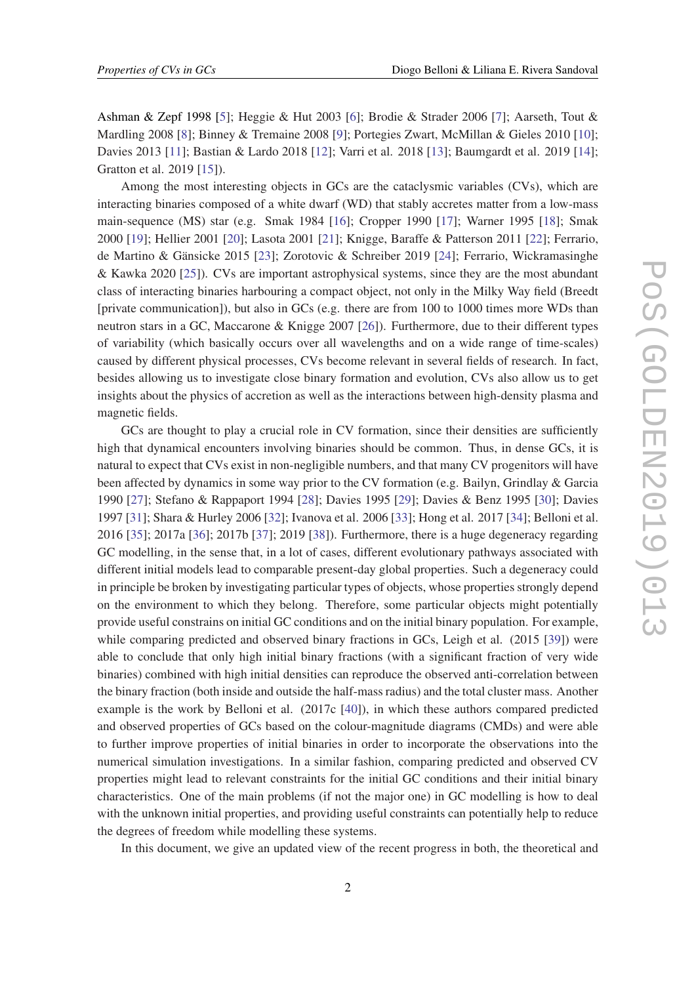Ashman & Zepf 1998 [[5](#page-30-0)]; Heggie & Hut 2003 [\[6\]](#page-30-0); Brodie & Strader 2006 [\[7\]](#page-30-0); Aarseth, Tout & Mardling 2008 [\[8](#page-30-0)]; Binney & Tremaine 2008 [[9](#page-30-0)]; Portegies Zwart, McMillan & Gieles 2010 [\[10](#page-30-0)]; Davies 2013 [[11\]](#page-30-0); Bastian & Lardo 2018 [[12\]](#page-30-0); Varri et al. 2018 [[13\]](#page-30-0); Baumgardt et al. 2019 [\[14](#page-30-0)]; Gratton et al. 2019 [\[15](#page-30-0)]).

Among the most interesting objects in GCs are the cataclysmic variables (CVs), which are interacting binaries composed of a white dwarf (WD) that stably accretes matter from a low-mass main-sequence (MS) star (e.g. Smak 1984 [\[16](#page-30-0)]; Cropper 1990 [[17\]](#page-31-0); Warner 1995 [[18\]](#page-31-0); Smak 2000 [[19\]](#page-31-0); Hellier 2001 [\[20](#page-31-0)]; Lasota 2001 [[21\]](#page-31-0); Knigge, Baraffe & Patterson 2011 [\[22](#page-31-0)]; Ferrario, de Martino & Gänsicke 2015 [[23\]](#page-31-0); Zorotovic & Schreiber 2019 [\[24](#page-31-0)]; Ferrario, Wickramasinghe & Kawka 2020 [\[25](#page-31-0)]). CVs are important astrophysical systems, since they are the most abundant class of interacting binaries harbouring a compact object, not only in the Milky Way field (Breedt [private communication]), but also in GCs (e.g. there are from 100 to 1000 times more WDs than neutron stars in a GC, Maccarone & Knigge 2007 [[26\]](#page-31-0)). Furthermore, due to their different types of variability (which basically occurs over all wavelengths and on a wide range of time-scales) caused by different physical processes, CVs become relevant in several fields of research. In fact, besides allowing us to investigate close binary formation and evolution, CVs also allow us to get insights about the physics of accretion as well as the interactions between high-density plasma and magnetic fields.

GCs are thought to play a crucial role in CV formation, since their densities are sufficiently high that dynamical encounters involving binaries should be common. Thus, in dense GCs, it is natural to expect that CVs exist in non-negligible numbers, and that many CV progenitors will have been affected by dynamics in some way prior to the CV formation (e.g. Bailyn, Grindlay & Garcia 1990 [[27\]](#page-31-0); Stefano & Rappaport 1994 [\[28](#page-31-0)]; Davies 1995 [[29\]](#page-31-0); Davies & Benz 1995 [[30\]](#page-31-0); Davies 1997 [\[31](#page-31-0)]; Shara & Hurley 2006 [\[32](#page-31-0)]; Ivanova et al. 2006 [\[33](#page-31-0)]; Hong et al. 2017 [[34\]](#page-31-0); Belloni et al. 2016 [[35](#page-31-0)]; 2017a [[36\]](#page-31-0); 2017b [\[37\]](#page-32-0); 2019 [[38\]](#page-32-0)). Furthermore, there is a huge degeneracy regarding GC modelling, in the sense that, in a lot of cases, different evolutionary pathways associated with different initial models lead to comparable present-day global properties. Such a degeneracy could in principle be broken by investigating particular types of objects, whose properties strongly depend on the environment to which they belong. Therefore, some particular objects might potentially provide useful constrains on initial GC conditions and on the initial binary population. For example, while comparing predicted and observed binary fractions in GCs, Leigh et al. (2015 [[39\]](#page-32-0)) were able to conclude that only high initial binary fractions (with a significant fraction of very wide binaries) combined with high initial densities can reproduce the observed anti-correlation between the binary fraction (both inside and outside the half-mass radius) and the total cluster mass. Another example is the work by Belloni et al. (2017c [[40\]](#page-32-0)), in which these authors compared predicted and observed properties of GCs based on the colour-magnitude diagrams (CMDs) and were able to further improve properties of initial binaries in order to incorporate the observations into the numerical simulation investigations. In a similar fashion, comparing predicted and observed CV properties might lead to relevant constraints for the initial GC conditions and their initial binary characteristics. One of the main problems (if not the major one) in GC modelling is how to deal with the unknown initial properties, and providing useful constraints can potentially help to reduce the degrees of freedom while modelling these systems.

In this document, we give an updated view of the recent progress in both, the theoretical and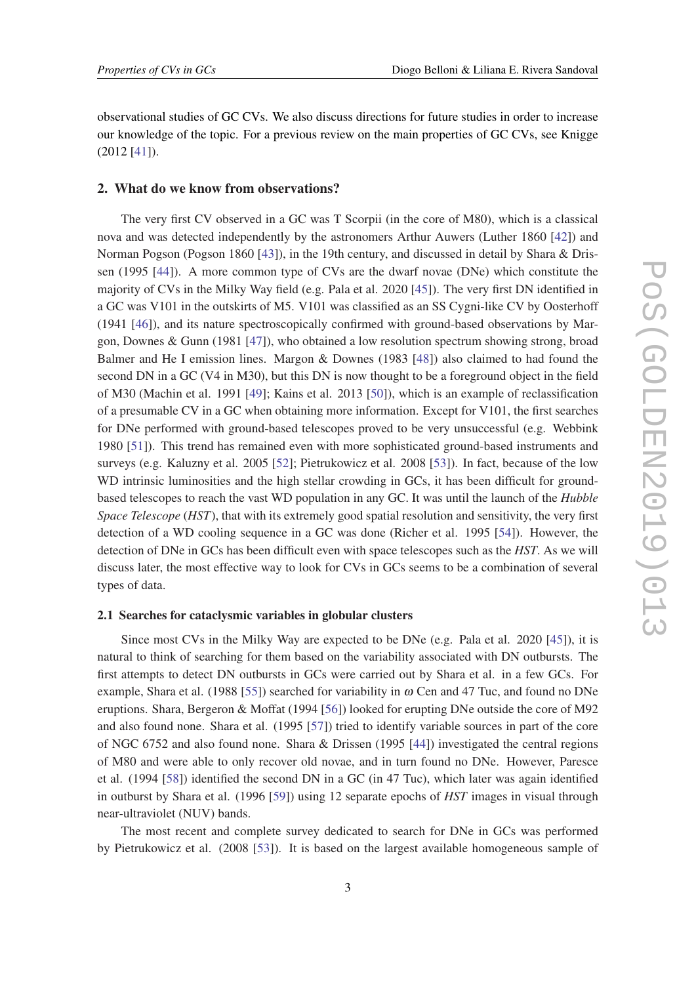<span id="page-3-0"></span>observational studies of GC CVs. We also discuss directions for future studies in order to increase our knowledge of the topic. For a previous review on the main properties of GC CVs, see Knigge (2012 [\[41](#page-32-0)]).

#### 2. What do we know from observations?

The very first CV observed in a GC was T Scorpii (in the core of M80), which is a classical nova and was detected independently by the astronomers Arthur Auwers (Luther 1860 [[42\]](#page-32-0)) and Norman Pogson (Pogson 1860 [[43\]](#page-32-0)), in the 19th century, and discussed in detail by Shara & Drissen (1995 [\[44](#page-32-0)]). A more common type of CVs are the dwarf novae (DNe) which constitute the majority of CVs in the Milky Way field (e.g. Pala et al. 2020 [\[45](#page-32-0)]). The very first DN identified in a GC was V101 in the outskirts of M5. V101 was classified as an SS Cygni-like CV by Oosterhoff (1941 [[46\]](#page-32-0)), and its nature spectroscopically confirmed with ground-based observations by Margon, Downes & Gunn (1981 [[47\]](#page-32-0)), who obtained a low resolution spectrum showing strong, broad Balmer and He I emission lines. Margon & Downes (1983 [[48](#page-32-0)]) also claimed to had found the second DN in a GC (V4 in M30), but this DN is now thought to be a foreground object in the field of M30 (Machin et al. 1991 [\[49](#page-32-0)]; Kains et al. 2013 [\[50](#page-32-0)]), which is an example of reclassification of a presumable CV in a GC when obtaining more information. Except for V101, the first searches for DNe performed with ground-based telescopes proved to be very unsuccessful (e.g. Webbink 1980 [\[51\]](#page-32-0)). This trend has remained even with more sophisticated ground-based instruments and surveys (e.g. Kaluzny et al. 2005 [\[52](#page-32-0)]; Pietrukowicz et al. 2008 [\[53\]](#page-32-0)). In fact, because of the low WD intrinsic luminosities and the high stellar crowding in GCs, it has been difficult for groundbased telescopes to reach the vast WD population in any GC. It was until the launch of the *Hubble Space Telescope* (*HST*), that with its extremely good spatial resolution and sensitivity, the very first detection of a WD cooling sequence in a GC was done (Richer et al. 1995 [[54\]](#page-33-0)). However, the detection of DNe in GCs has been difficult even with space telescopes such as the *HST*. As we will discuss later, the most effective way to look for CVs in GCs seems to be a combination of several types of data.

#### 2.1 Searches for cataclysmic variables in globular clusters

Since most CVs in the Milky Way are expected to be DNe (e.g. Pala et al. 2020 [[45\]](#page-32-0)), it is natural to think of searching for them based on the variability associated with DN outbursts. The first attempts to detect DN outbursts in GCs were carried out by Shara et al. in a few GCs. For example, Shara et al. (1988 [[55\]](#page-33-0)) searched for variability in  $\omega$  Cen and 47 Tuc, and found no DNe eruptions. Shara, Bergeron & Moffat (1994 [\[56](#page-33-0)]) looked for erupting DNe outside the core of M92 and also found none. Shara et al. (1995 [\[57\]](#page-33-0)) tried to identify variable sources in part of the core of NGC 6752 and also found none. Shara & Drissen (1995 [[44\]](#page-32-0)) investigated the central regions of M80 and were able to only recover old novae, and in turn found no DNe. However, Paresce et al. (1994 [\[58](#page-33-0)]) identified the second DN in a GC (in 47 Tuc), which later was again identified in outburst by Shara et al. (1996 [[59\]](#page-33-0)) using 12 separate epochs of *HST* images in visual through near-ultraviolet (NUV) bands.

The most recent and complete survey dedicated to search for DNe in GCs was performed by Pietrukowicz et al. (2008 [\[53\]](#page-32-0)). It is based on the largest available homogeneous sample of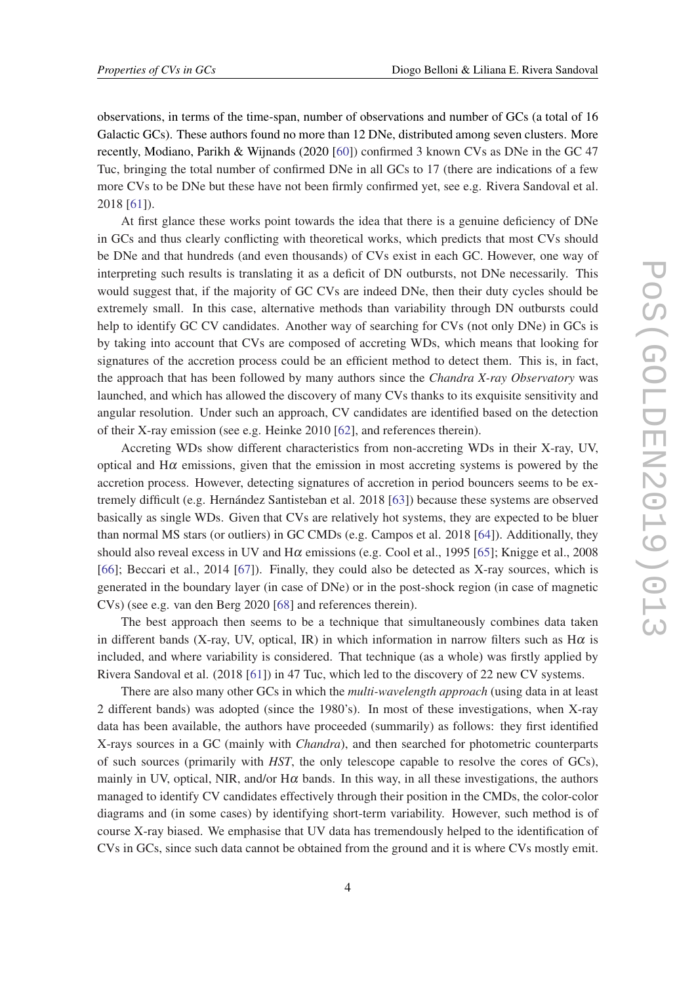observations, in terms of the time-span, number of observations and number of GCs (a total of 16 Galactic GCs). These authors found no more than 12 DNe, distributed among seven clusters. More recently, Modiano, Parikh & Wijnands (2020 [[60\]](#page-33-0)) confirmed 3 known CVs as DNe in the GC 47 Tuc, bringing the total number of confirmed DNe in all GCs to 17 (there are indications of a few more CVs to be DNe but these have not been firmly confirmed yet, see e.g. Rivera Sandoval et al. 2018 [[61](#page-33-0)]).

At first glance these works point towards the idea that there is a genuine deficiency of DNe in GCs and thus clearly conflicting with theoretical works, which predicts that most CVs should be DNe and that hundreds (and even thousands) of CVs exist in each GC. However, one way of interpreting such results is translating it as a deficit of DN outbursts, not DNe necessarily. This would suggest that, if the majority of GC CVs are indeed DNe, then their duty cycles should be extremely small. In this case, alternative methods than variability through DN outbursts could help to identify GC CV candidates. Another way of searching for CVs (not only DNe) in GCs is by taking into account that CVs are composed of accreting WDs, which means that looking for signatures of the accretion process could be an efficient method to detect them. This is, in fact, the approach that has been followed by many authors since the *Chandra X-ray Observatory* was launched, and which has allowed the discovery of many CVs thanks to its exquisite sensitivity and angular resolution. Under such an approach, CV candidates are identified based on the detection of their X-ray emission (see e.g. Heinke 2010 [\[62](#page-33-0)], and references therein).

Accreting WDs show different characteristics from non-accreting WDs in their X-ray, UV, optical and  $H\alpha$  emissions, given that the emission in most accreting systems is powered by the accretion process. However, detecting signatures of accretion in period bouncers seems to be extremely difficult (e.g. Hernández Santisteban et al. 2018 [[63\]](#page-33-0)) because these systems are observed basically as single WDs. Given that CVs are relatively hot systems, they are expected to be bluer than normal MS stars (or outliers) in GC CMDs (e.g. Campos et al. 2018 [\[64](#page-33-0)]). Additionally, they should also reveal excess in UV and H $\alpha$  emissions (e.g. Cool et al., 1995 [[65](#page-33-0)]; Knigge et al., 2008 [[66\]](#page-33-0); Beccari et al., 2014 [[67\]](#page-33-0)). Finally, they could also be detected as X-ray sources, which is generated in the boundary layer (in case of DNe) or in the post-shock region (in case of magnetic CVs) (see e.g. van den Berg 2020 [\[68](#page-33-0)] and references therein).

The best approach then seems to be a technique that simultaneously combines data taken in different bands (X-ray, UV, optical, IR) in which information in narrow filters such as  $H\alpha$  is included, and where variability is considered. That technique (as a whole) was firstly applied by Rivera Sandoval et al. (2018 [\[61\]](#page-33-0)) in 47 Tuc, which led to the discovery of 22 new CV systems.

There are also many other GCs in which the *multi-wavelength approach* (using data in at least 2 different bands) was adopted (since the 1980's). In most of these investigations, when X-ray data has been available, the authors have proceeded (summarily) as follows: they first identified X-rays sources in a GC (mainly with *Chandra*), and then searched for photometric counterparts of such sources (primarily with *HST*, the only telescope capable to resolve the cores of GCs), mainly in UV, optical, NIR, and/or  $H\alpha$  bands. In this way, in all these investigations, the authors managed to identify CV candidates effectively through their position in the CMDs, the color-color diagrams and (in some cases) by identifying short-term variability. However, such method is of course X-ray biased. We emphasise that UV data has tremendously helped to the identification of CVs in GCs, since such data cannot be obtained from the ground and it is where CVs mostly emit.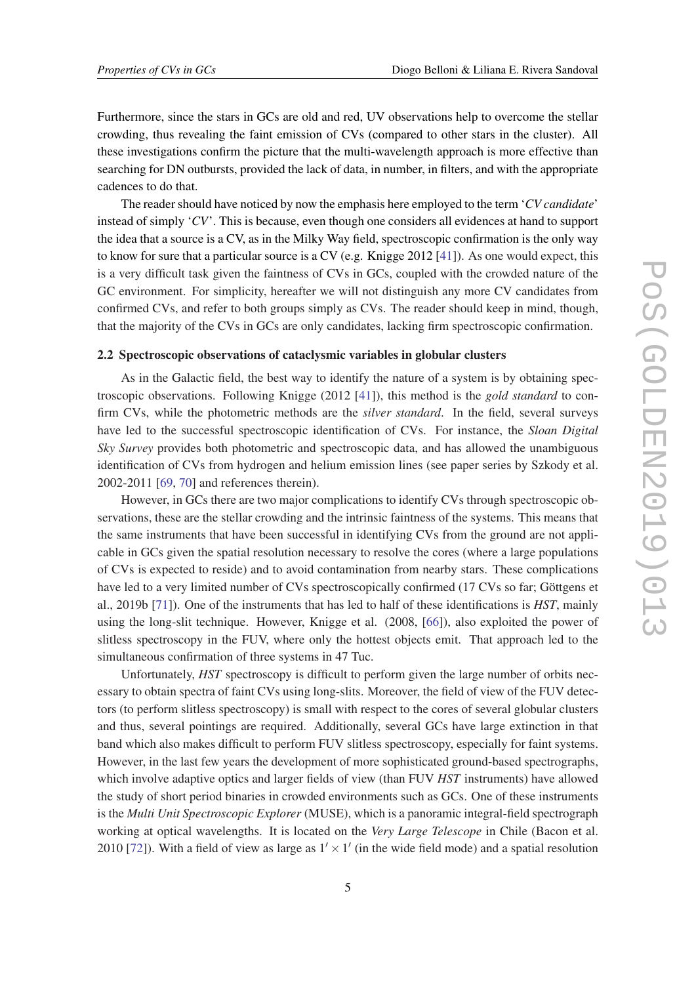<span id="page-5-0"></span>Furthermore, since the stars in GCs are old and red, UV observations help to overcome the stellar crowding, thus revealing the faint emission of CVs (compared to other stars in the cluster). All these investigations confirm the picture that the multi-wavelength approach is more effective than searching for DN outbursts, provided the lack of data, in number, in filters, and with the appropriate cadences to do that.

The reader should have noticed by now the emphasis here employed to the term '*CV candidate*' instead of simply '*CV*'. This is because, even though one considers all evidences at hand to support the idea that a source is a CV, as in the Milky Way field, spectroscopic confirmation is the only way to know for sure that a particular source is a CV (e.g. Knigge 2012 [\[41](#page-32-0)]). As one would expect, this is a very difficult task given the faintness of CVs in GCs, coupled with the crowded nature of the GC environment. For simplicity, hereafter we will not distinguish any more CV candidates from confirmed CVs, and refer to both groups simply as CVs. The reader should keep in mind, though, that the majority of the CVs in GCs are only candidates, lacking firm spectroscopic confirmation.

# 2.2 Spectroscopic observations of cataclysmic variables in globular clusters

As in the Galactic field, the best way to identify the nature of a system is by obtaining spectroscopic observations. Following Knigge (2012 [\[41](#page-32-0)]), this method is the *gold standard* to confirm CVs, while the photometric methods are the *silver standard*. In the field, several surveys have led to the successful spectroscopic identification of CVs. For instance, the *Sloan Digital Sky Survey* provides both photometric and spectroscopic data, and has allowed the unambiguous identification of CVs from hydrogen and helium emission lines (see paper series by Szkody et al. 2002-2011 [[69,](#page-33-0) [70](#page-33-0)] and references therein).

However, in GCs there are two major complications to identify CVs through spectroscopic observations, these are the stellar crowding and the intrinsic faintness of the systems. This means that the same instruments that have been successful in identifying CVs from the ground are not applicable in GCs given the spatial resolution necessary to resolve the cores (where a large populations of CVs is expected to reside) and to avoid contamination from nearby stars. These complications have led to a very limited number of CVs spectroscopically confirmed (17 CVs so far; Göttgens et al., 2019b [\[71](#page-34-0)]). One of the instruments that has led to half of these identifications is *HST*, mainly using the long-slit technique. However, Knigge et al. (2008, [[66\]](#page-33-0)), also exploited the power of slitless spectroscopy in the FUV, where only the hottest objects emit. That approach led to the simultaneous confirmation of three systems in 47 Tuc.

Unfortunately, *HST* spectroscopy is difficult to perform given the large number of orbits necessary to obtain spectra of faint CVs using long-slits. Moreover, the field of view of the FUV detectors (to perform slitless spectroscopy) is small with respect to the cores of several globular clusters and thus, several pointings are required. Additionally, several GCs have large extinction in that band which also makes difficult to perform FUV slitless spectroscopy, especially for faint systems. However, in the last few years the development of more sophisticated ground-based spectrographs, which involve adaptive optics and larger fields of view (than FUV *HST* instruments) have allowed the study of short period binaries in crowded environments such as GCs. One of these instruments is the *Multi Unit Spectroscopic Explorer* (MUSE), which is a panoramic integral-field spectrograph working at optical wavelengths. It is located on the *Very Large Telescope* in Chile (Bacon et al. 2010 [[72](#page-34-0)]). With a field of view as large as  $1' \times 1'$  (in the wide field mode) and a spatial resolution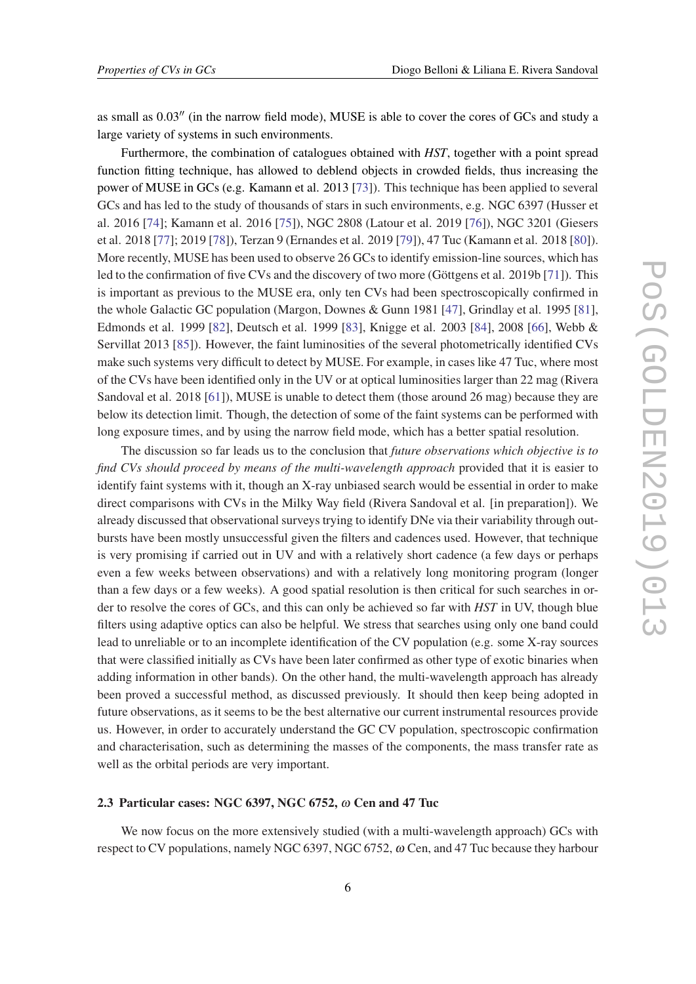<span id="page-6-0"></span>as small as  $0.03''$  (in the narrow field mode), MUSE is able to cover the cores of GCs and study a large variety of systems in such environments.

Furthermore, the combination of catalogues obtained with *HST*, together with a point spread function fitting technique, has allowed to deblend objects in crowded fields, thus increasing the power of MUSE in GCs (e.g. Kamann et al. 2013 [[73\]](#page-34-0)). This technique has been applied to several GCs and has led to the study of thousands of stars in such environments, e.g. NGC 6397 (Husser et al. 2016 [[74\]](#page-34-0); Kamann et al. 2016 [[75\]](#page-34-0)), NGC 2808 (Latour et al. 2019 [\[76](#page-34-0)]), NGC 3201 (Giesers et al. 2018 [[77\]](#page-34-0); 2019 [\[78](#page-34-0)]), Terzan 9 (Ernandes et al. 2019 [\[79](#page-34-0)]), 47 Tuc (Kamann et al. 2018 [\[80\]](#page-34-0)). More recently, MUSE has been used to observe 26 GCs to identify emission-line sources, which has led to the confirmation of five CVs and the discovery of two more (Göttgens et al. 2019b [\[71](#page-34-0)]). This is important as previous to the MUSE era, only ten CVs had been spectroscopically confirmed in the whole Galactic GC population (Margon, Downes & Gunn 1981 [\[47](#page-32-0)], Grindlay et al. 1995 [[81\]](#page-34-0), Edmonds et al. 1999 [\[82\]](#page-34-0), Deutsch et al. 1999 [[83\]](#page-34-0), Knigge et al. 2003 [[84\]](#page-34-0), 2008 [[66\]](#page-33-0), Webb & Servillat 2013 [\[85](#page-35-0)]). However, the faint luminosities of the several photometrically identified CVs make such systems very difficult to detect by MUSE. For example, in cases like 47 Tuc, where most of the CVs have been identified only in the UV or at optical luminosities larger than 22 mag (Rivera Sandoval et al. 2018 [\[61](#page-33-0)]), MUSE is unable to detect them (those around 26 mag) because they are below its detection limit. Though, the detection of some of the faint systems can be performed with long exposure times, and by using the narrow field mode, which has a better spatial resolution.

The discussion so far leads us to the conclusion that *future observations which objective is to find CVs should proceed by means of the multi-wavelength approach* provided that it is easier to identify faint systems with it, though an X-ray unbiased search would be essential in order to make direct comparisons with CVs in the Milky Way field (Rivera Sandoval et al. [in preparation]). We already discussed that observational surveys trying to identify DNe via their variability through outbursts have been mostly unsuccessful given the filters and cadences used. However, that technique is very promising if carried out in UV and with a relatively short cadence (a few days or perhaps even a few weeks between observations) and with a relatively long monitoring program (longer than a few days or a few weeks). A good spatial resolution is then critical for such searches in order to resolve the cores of GCs, and this can only be achieved so far with *HST* in UV, though blue filters using adaptive optics can also be helpful. We stress that searches using only one band could lead to unreliable or to an incomplete identification of the CV population (e.g. some X-ray sources that were classified initially as CVs have been later confirmed as other type of exotic binaries when adding information in other bands). On the other hand, the multi-wavelength approach has already been proved a successful method, as discussed previously. It should then keep being adopted in future observations, as it seems to be the best alternative our current instrumental resources provide us. However, in order to accurately understand the GC CV population, spectroscopic confirmation and characterisation, such as determining the masses of the components, the mass transfer rate as well as the orbital periods are very important.

#### 2.3 Particular cases: NGC 6397, NGC 6752, ω Cen and 47 Tuc

We now focus on the more extensively studied (with a multi-wavelength approach) GCs with respect to CV populations, namely NGC 6397, NGC 6752, ω Cen, and 47 Tuc because they harbour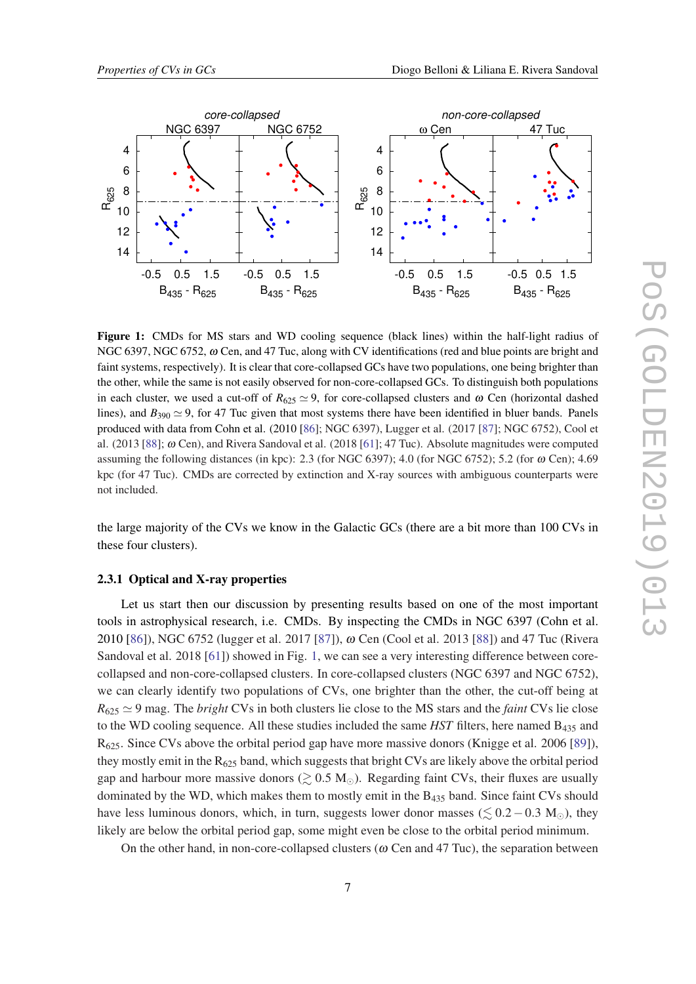<span id="page-7-0"></span>

Figure 1: CMDs for MS stars and WD cooling sequence (black lines) within the half-light radius of NGC 6397, NGC 6752, ω Cen, and 47 Tuc, along with CV identifications (red and blue points are bright and faint systems, respectively). It is clear that core-collapsed GCs have two populations, one being brighter than the other, while the same is not easily observed for non-core-collapsed GCs. To distinguish both populations in each cluster, we used a cut-off of  $R_{625} \simeq 9$ , for core-collapsed clusters and  $\omega$  Cen (horizontal dashed lines), and  $B_{390} \simeq 9$ , for 47 Tuc given that most systems there have been identified in bluer bands. Panels produced with data from Cohn et al. (2010 [[86\]](#page-35-0); NGC 6397), Lugger et al. (2017 [[87\]](#page-35-0); NGC 6752), Cool et al. (2013 [[88\]](#page-35-0);  $\omega$  Cen), and Rivera Sandoval et al. (2018 [[61\]](#page-33-0); 47 Tuc). Absolute magnitudes were computed assuming the following distances (in kpc): 2.3 (for NGC 6397); 4.0 (for NGC 6752); 5.2 (for  $\omega$  Cen); 4.69 kpc (for 47 Tuc). CMDs are corrected by extinction and X-ray sources with ambiguous counterparts were not included.

the large majority of the CVs we know in the Galactic GCs (there are a bit more than 100 CVs in these four clusters).

#### 2.3.1 Optical and X-ray properties

Let us start then our discussion by presenting results based on one of the most important tools in astrophysical research, i.e. CMDs. By inspecting the CMDs in NGC 6397 (Cohn et al. 2010 [\[86](#page-35-0)]), NGC 6752 (lugger et al. 2017 [\[87](#page-35-0)]), ω Cen (Cool et al. 2013 [[88](#page-35-0)]) and 47 Tuc (Rivera Sandoval et al. 2018 [\[61](#page-33-0)]) showed in Fig. 1, we can see a very interesting difference between corecollapsed and non-core-collapsed clusters. In core-collapsed clusters (NGC 6397 and NGC 6752), we can clearly identify two populations of CVs, one brighter than the other, the cut-off being at  $R_{625} \simeq 9$  mag. The *bright* CVs in both clusters lie close to the MS stars and the *faint* CVs lie close to the WD cooling sequence. All these studies included the same *HST* filters, here named B<sup>435</sup> and  $R_{625}$ . Since CVs above the orbital period gap have more massive donors (Knigge et al. 2006 [\[89\]](#page-35-0)), they mostly emit in the  $R_{625}$  band, which suggests that bright CVs are likely above the orbital period gap and harbour more massive donors ( $\gtrsim 0.5 \text{ M}_{\odot}$ ). Regarding faint CVs, their fluxes are usually dominated by the WD, which makes them to mostly emit in the  $B_{435}$  band. Since faint CVs should have less luminous donors, which, in turn, suggests lower donor masses ( $\leq 0.2 - 0.3$  M<sub>o</sub>), they likely are below the orbital period gap, some might even be close to the orbital period minimum.

On the other hand, in non-core-collapsed clusters ( $\omega$  Cen and 47 Tuc), the separation between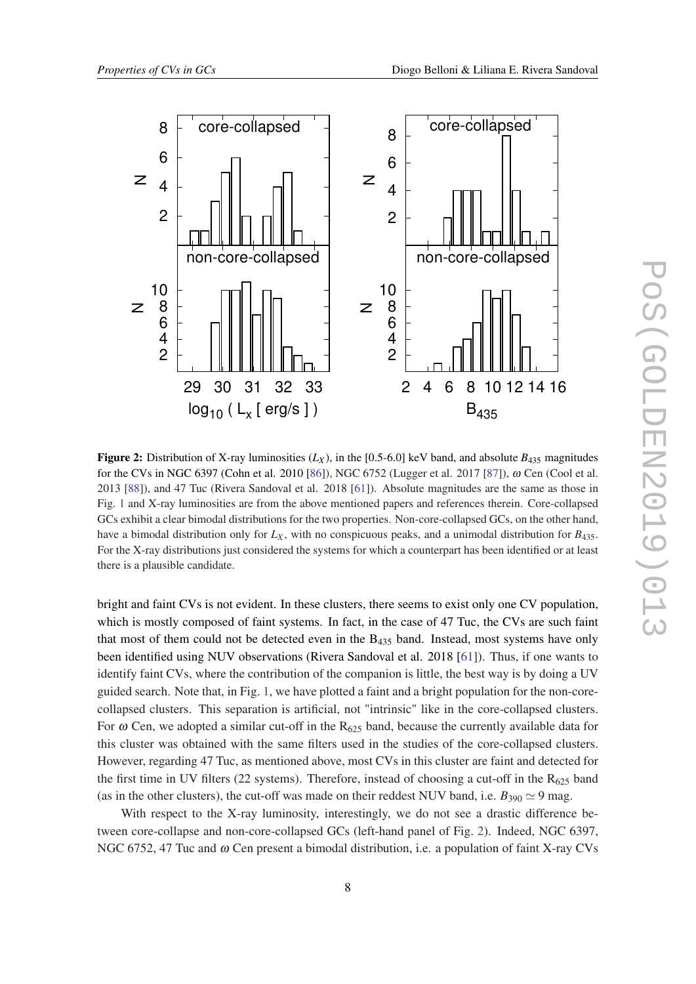<span id="page-8-0"></span>

Figure 2: Distribution of X-ray luminosities  $(L_X)$ , in the [0.5-6.0] keV band, and absolute  $B_{435}$  magnitudes for the CVs in NGC 6397 (Cohn et al. 2010 [\[86](#page-35-0)]), NGC 6752 (Lugger et al. 2017 [[87\]](#page-35-0)), ω Cen (Cool et al. 2013 [[88\]](#page-35-0)), and 47 Tuc (Rivera Sandoval et al. 2018 [\[61](#page-33-0)]). Absolute magnitudes are the same as those in Fig. [1](#page-7-0) and X-ray luminosities are from the above mentioned papers and references therein. Core-collapsed GCs exhibit a clear bimodal distributions for the two properties. Non-core-collapsed GCs, on the other hand, have a bimodal distribution only for  $L_X$ , with no conspicuous peaks, and a unimodal distribution for  $B_{435}$ . For the X-ray distributions just considered the systems for which a counterpart has been identified or at least there is a plausible candidate.

bright and faint CVs is not evident. In these clusters, there seems to exist only one CV population, which is mostly composed of faint systems. In fact, in the case of 47 Tuc, the CVs are such faint that most of them could not be detected even in the  $B_{435}$  band. Instead, most systems have only been identified using NUV observations (Rivera Sandoval et al. 2018 [\[61](#page-33-0)]). Thus, if one wants to identify faint CVs, where the contribution of the companion is little, the best way is by doing a UV guided search. Note that, in Fig. [1,](#page-7-0) we have plotted a faint and a bright population for the non-corecollapsed clusters. This separation is artificial, not "intrinsic" like in the core-collapsed clusters. For  $\omega$  Cen, we adopted a similar cut-off in the R<sub>625</sub> band, because the currently available data for this cluster was obtained with the same filters used in the studies of the core-collapsed clusters. However, regarding 47 Tuc, as mentioned above, most CVs in this cluster are faint and detected for the first time in UV filters (22 systems). Therefore, instead of choosing a cut-off in the  $R_{625}$  band (as in the other clusters), the cut-off was made on their reddest NUV band, i.e.  $B_{390} \simeq 9$  mag.

With respect to the X-ray luminosity, interestingly, we do not see a drastic difference between core-collapse and non-core-collapsed GCs (left-hand panel of Fig. 2). Indeed, NGC 6397, NGC 6752, 47 Tuc and  $\omega$  Cen present a bimodal distribution, i.e. a population of faint X-ray CVs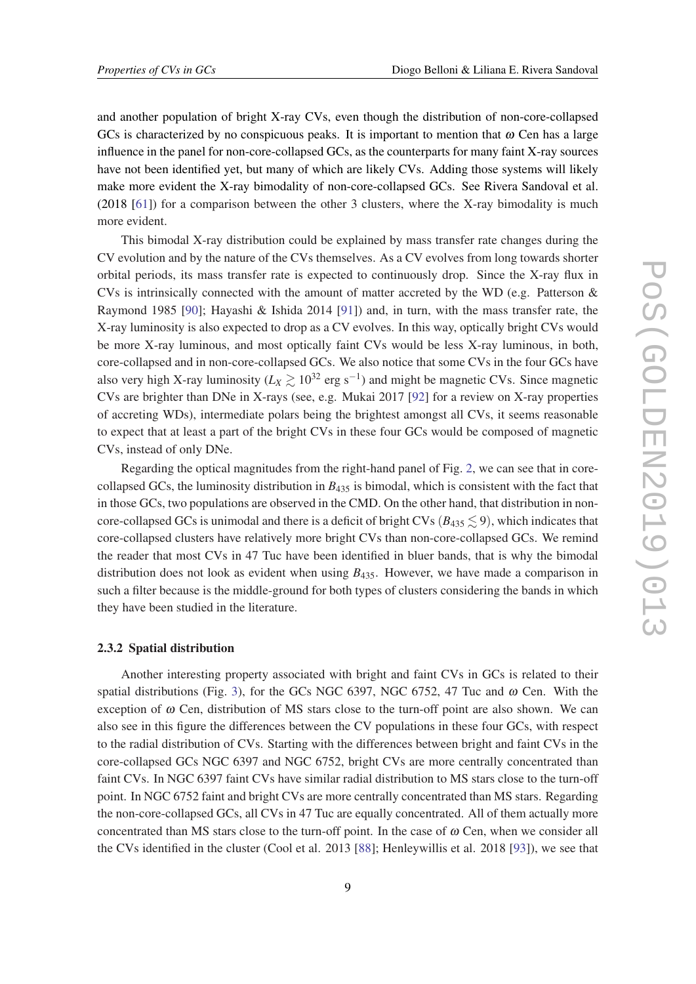<span id="page-9-0"></span>and another population of bright X-ray CVs, even though the distribution of non-core-collapsed GCs is characterized by no conspicuous peaks. It is important to mention that  $\omega$  Cen has a large influence in the panel for non-core-collapsed GCs, as the counterparts for many faint X-ray sources have not been identified yet, but many of which are likely CVs. Adding those systems will likely make more evident the X-ray bimodality of non-core-collapsed GCs. See Rivera Sandoval et al. (2018 [\[61\]](#page-33-0)) for a comparison between the other 3 clusters, where the X-ray bimodality is much more evident.

This bimodal X-ray distribution could be explained by mass transfer rate changes during the CV evolution and by the nature of the CVs themselves. As a CV evolves from long towards shorter orbital periods, its mass transfer rate is expected to continuously drop. Since the X-ray flux in CVs is intrinsically connected with the amount of matter accreted by the WD (e.g. Patterson  $\&$ Raymond 1985 [[90\]](#page-35-0); Hayashi & Ishida 2014 [[91\]](#page-35-0)) and, in turn, with the mass transfer rate, the X-ray luminosity is also expected to drop as a CV evolves. In this way, optically bright CVs would be more X-ray luminous, and most optically faint CVs would be less X-ray luminous, in both, core-collapsed and in non-core-collapsed GCs. We also notice that some CVs in the four GCs have also very high X-ray luminosity ( $L_X \gtrsim 10^{32}$  erg s<sup>-1</sup>) and might be magnetic CVs. Since magnetic CVs are brighter than DNe in X-rays (see, e.g. Mukai 2017 [[92\]](#page-35-0) for a review on X-ray properties of accreting WDs), intermediate polars being the brightest amongst all CVs, it seems reasonable to expect that at least a part of the bright CVs in these four GCs would be composed of magnetic CVs, instead of only DNe.

Regarding the optical magnitudes from the right-hand panel of Fig. [2](#page-8-0), we can see that in corecollapsed GCs, the luminosity distribution in *B*<sup>435</sup> is bimodal, which is consistent with the fact that in those GCs, two populations are observed in the CMD. On the other hand, that distribution in noncore-collapsed GCs is unimodal and there is a deficit of bright CVs ( $B_{435} \lesssim 9$ ), which indicates that core-collapsed clusters have relatively more bright CVs than non-core-collapsed GCs. We remind the reader that most CVs in 47 Tuc have been identified in bluer bands, that is why the bimodal distribution does not look as evident when using *B*435. However, we have made a comparison in such a filter because is the middle-ground for both types of clusters considering the bands in which they have been studied in the literature.

#### 2.3.2 Spatial distribution

Another interesting property associated with bright and faint CVs in GCs is related to their spatial distributions (Fig. [3\)](#page-10-0), for the GCs NGC 6397, NGC 6752, 47 Tuc and  $\omega$  Cen. With the exception of  $\omega$  Cen, distribution of MS stars close to the turn-off point are also shown. We can also see in this figure the differences between the CV populations in these four GCs, with respect to the radial distribution of CVs. Starting with the differences between bright and faint CVs in the core-collapsed GCs NGC 6397 and NGC 6752, bright CVs are more centrally concentrated than faint CVs. In NGC 6397 faint CVs have similar radial distribution to MS stars close to the turn-off point. In NGC 6752 faint and bright CVs are more centrally concentrated than MS stars. Regarding the non-core-collapsed GCs, all CVs in 47 Tuc are equally concentrated. All of them actually more concentrated than MS stars close to the turn-off point. In the case of  $\omega$  Cen, when we consider all the CVs identified in the cluster (Cool et al. 2013 [[88\]](#page-35-0); Henleywillis et al. 2018 [\[93](#page-35-0)]), we see that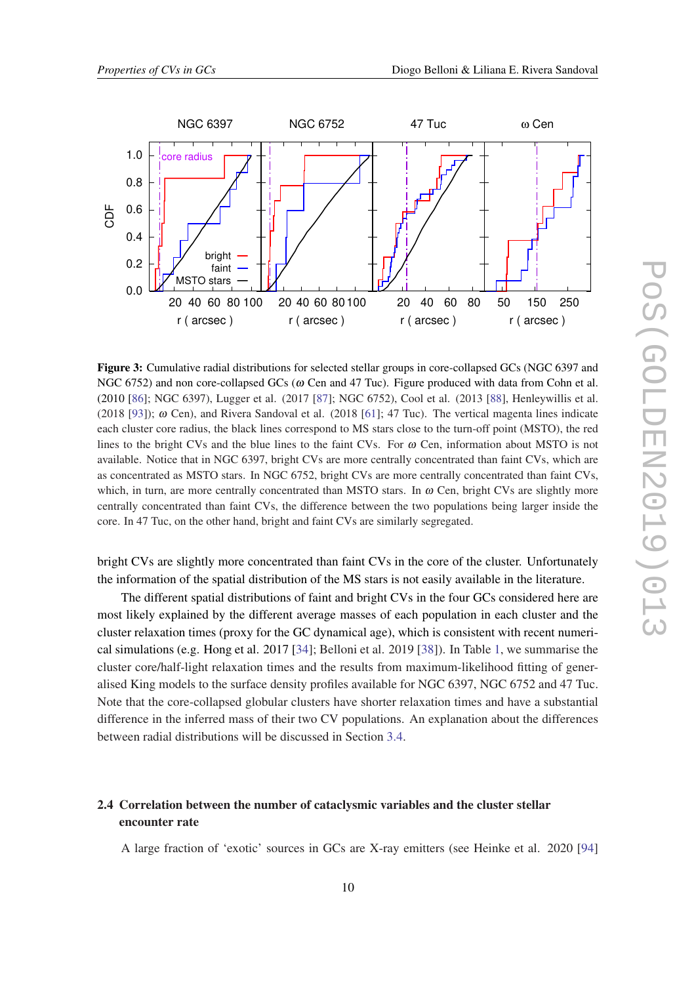<span id="page-10-0"></span>

Figure 3: Cumulative radial distributions for selected stellar groups in core-collapsed GCs (NGC 6397 and NGC 6752) and non core-collapsed GCs ( $\omega$  Cen and 47 Tuc). Figure produced with data from Cohn et al. (2010 [[86\]](#page-35-0); NGC 6397), Lugger et al. (2017 [[87\]](#page-35-0); NGC 6752), Cool et al. (2013 [\[88](#page-35-0)], Henleywillis et al. (2018 [[93\]](#page-35-0));  $\omega$  Cen), and Rivera Sandoval et al. (2018 [\[61](#page-33-0)]; 47 Tuc). The vertical magenta lines indicate each cluster core radius, the black lines correspond to MS stars close to the turn-off point (MSTO), the red lines to the bright CVs and the blue lines to the faint CVs. For  $\omega$  Cen, information about MSTO is not available. Notice that in NGC 6397, bright CVs are more centrally concentrated than faint CVs, which are as concentrated as MSTO stars. In NGC 6752, bright CVs are more centrally concentrated than faint CVs, which, in turn, are more centrally concentrated than MSTO stars. In  $\omega$  Cen, bright CVs are slightly more centrally concentrated than faint CVs, the difference between the two populations being larger inside the core. In 47 Tuc, on the other hand, bright and faint CVs are similarly segregated.

bright CVs are slightly more concentrated than faint CVs in the core of the cluster. Unfortunately the information of the spatial distribution of the MS stars is not easily available in the literature.

The different spatial distributions of faint and bright CVs in the four GCs considered here are most likely explained by the different average masses of each population in each cluster and the cluster relaxation times (proxy for the GC dynamical age), which is consistent with recent numerical simulations (e.g. Hong et al. 2017 [\[34](#page-31-0)]; Belloni et al. 2019 [\[38](#page-32-0)]). In Table [1](#page-11-0), we summarise the cluster core/half-light relaxation times and the results from maximum-likelihood fitting of generalised King models to the surface density profiles available for NGC 6397, NGC 6752 and 47 Tuc. Note that the core-collapsed globular clusters have shorter relaxation times and have a substantial difference in the inferred mass of their two CV populations. An explanation about the differences between radial distributions will be discussed in Section [3.4.](#page-19-0)

# 2.4 Correlation between the number of cataclysmic variables and the cluster stellar encounter rate

A large fraction of 'exotic' sources in GCs are X-ray emitters (see Heinke et al. 2020 [\[94](#page-35-0)]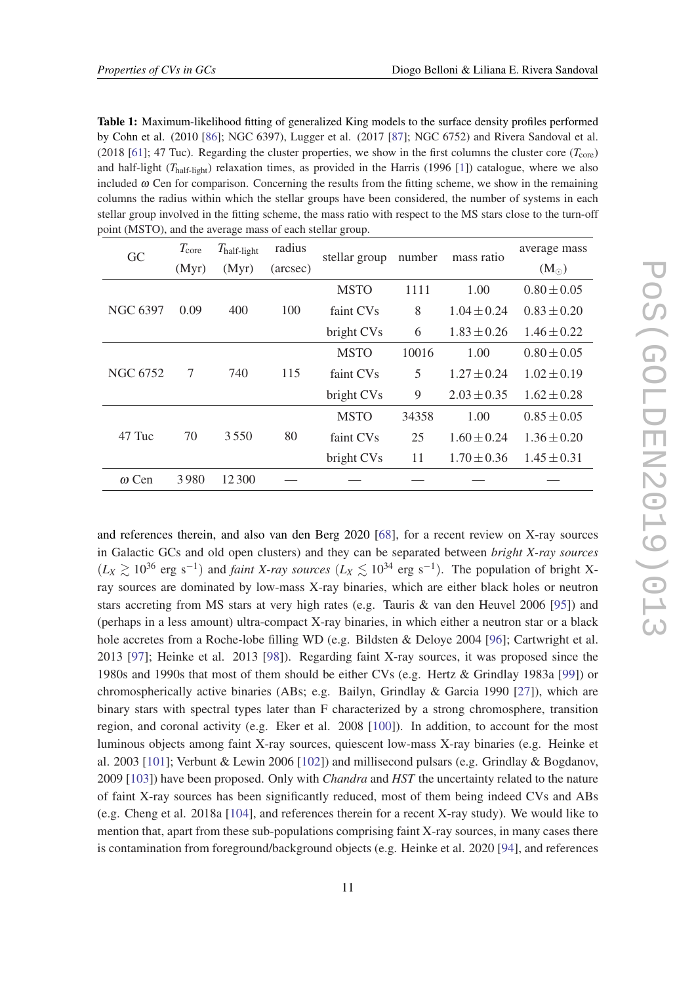<span id="page-11-0"></span>Table 1: Maximum-likelihood fitting of generalized King models to the surface density profiles performed by Cohn et al. (2010 [[86\]](#page-35-0); NGC 6397), Lugger et al. (2017 [\[87](#page-35-0)]; NGC 6752) and Rivera Sandoval et al. (2018 [[61\]](#page-33-0); 47 Tuc). Regarding the cluster properties, we show in the first columns the cluster core  $(T_{\text{core}})$ and half-light (*T*half-light) relaxation times, as provided in the Harris (1996 [[1\]](#page-30-0)) catalogue, where we also included  $\omega$  Cen for comparison. Concerning the results from the fitting scheme, we show in the remaining columns the radius within which the stellar groups have been considered, the number of systems in each stellar group involved in the fitting scheme, the mass ratio with respect to the MS stars close to the turn-off point (MSTO), and the average mass of each stellar group.

| GC              | $T_{\rm core}$        | $T_{\text{half-light}}$ | radius   | stellar group | number | mass ratio      | average mass    |
|-----------------|-----------------------|-------------------------|----------|---------------|--------|-----------------|-----------------|
|                 | (Myr)                 | (Myr)                   | (arcsec) |               |        |                 | $(M_{\odot})$   |
|                 |                       | 400                     | 100      | <b>MSTO</b>   | 1111   | 1.00            | $0.80 \pm 0.05$ |
| <b>NGC 6397</b> | 0.09                  |                         |          | faint CVs     | 8      | $1.04 \pm 0.24$ | $0.83 \pm 0.20$ |
|                 |                       |                         |          | bright CVs    | 6      | $1.83 \pm 0.26$ | $1.46 \pm 0.22$ |
|                 | $\overline{7}$<br>740 |                         | 115      | <b>MSTO</b>   | 10016  | 1.00            | $0.80 \pm 0.05$ |
| <b>NGC 6752</b> |                       |                         |          | faint CVs     | 5      | $1.27 \pm 0.24$ | $1.02 \pm 0.19$ |
|                 |                       |                         |          | bright CVs    | 9      | $2.03 \pm 0.35$ | $1.62 \pm 0.28$ |
|                 |                       |                         | 80       | <b>MSTO</b>   | 34358  | 1.00            | $0.85 \pm 0.05$ |
| 47 Tuc          | 70                    | 3550                    |          | faint CVs     | 25     | $1.60 \pm 0.24$ | $1.36 \pm 0.20$ |
|                 |                       |                         |          | bright CVs    | 11     | $1.70 \pm 0.36$ | $1.45 \pm 0.31$ |
| $\omega$ Cen    | 3980                  | 12300                   |          |               |        |                 |                 |

and references therein, and also van den Berg 2020 [\[68\]](#page-33-0), for a recent review on X-ray sources in Galactic GCs and old open clusters) and they can be separated between *bright X-ray sources*  $(L_X \gtrsim 10^{36}$  erg s<sup>-1</sup>) and *faint X-ray sources*  $(L_X \lesssim 10^{34}$  erg s<sup>-1</sup>). The population of bright Xray sources are dominated by low-mass X-ray binaries, which are either black holes or neutron stars accreting from MS stars at very high rates (e.g. Tauris & van den Heuvel 2006 [\[95](#page-35-0)]) and (perhaps in a less amount) ultra-compact X-ray binaries, in which either a neutron star or a black hole accretes from a Roche-lobe filling WD (e.g. Bildsten & Deloye 2004 [[96\]](#page-35-0); Cartwright et al. 2013 [[97\]](#page-35-0); Heinke et al. 2013 [\[98](#page-35-0)]). Regarding faint X-ray sources, it was proposed since the 1980s and 1990s that most of them should be either CVs (e.g. Hertz & Grindlay 1983a [\[99](#page-35-0)]) or chromospherically active binaries (ABs; e.g. Bailyn, Grindlay & Garcia 1990 [[27\]](#page-31-0)), which are binary stars with spectral types later than F characterized by a strong chromosphere, transition region, and coronal activity (e.g. Eker et al. 2008 [[100\]](#page-35-0)). In addition, to account for the most luminous objects among faint X-ray sources, quiescent low-mass X-ray binaries (e.g. Heinke et al. 2003 [\[101\]](#page-35-0); Verbunt & Lewin 2006 [[102](#page-36-0)]) and millisecond pulsars (e.g. Grindlay & Bogdanov, 2009 [\[103\]](#page-36-0)) have been proposed. Only with *Chandra* and *HST* the uncertainty related to the nature of faint X-ray sources has been significantly reduced, most of them being indeed CVs and ABs (e.g. Cheng et al. 2018a [[104\]](#page-36-0), and references therein for a recent X-ray study). We would like to mention that, apart from these sub-populations comprising faint X-ray sources, in many cases there is contamination from foreground/background objects (e.g. Heinke et al. 2020 [\[94](#page-35-0)], and references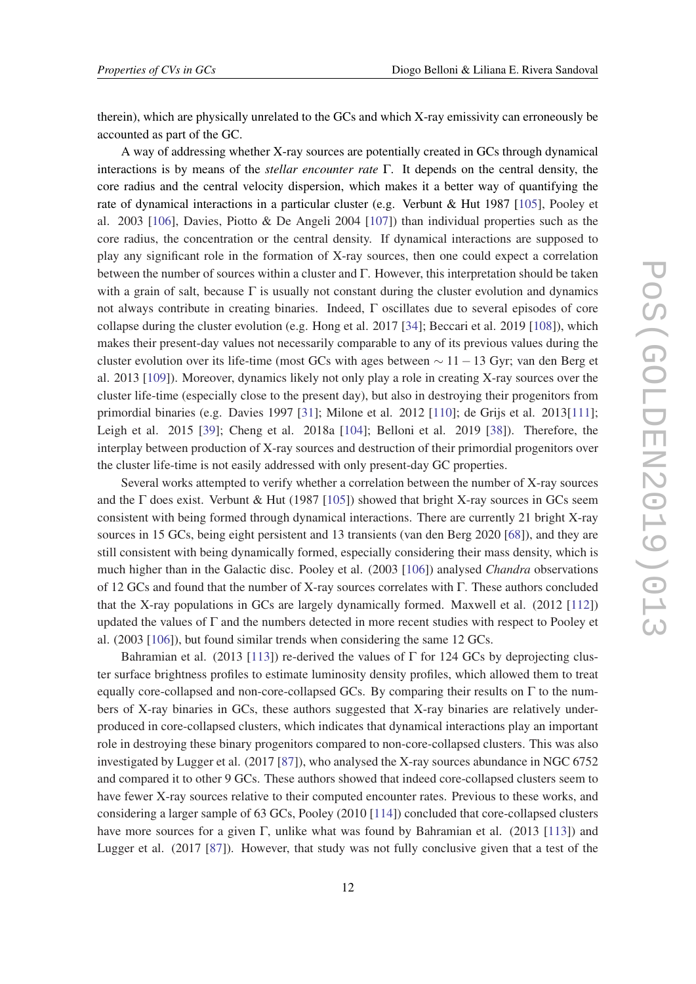therein), which are physically unrelated to the GCs and which X-ray emissivity can erroneously be accounted as part of the GC.

A way of addressing whether X-ray sources are potentially created in GCs through dynamical interactions is by means of the *stellar encounter rate* Γ. It depends on the central density, the core radius and the central velocity dispersion, which makes it a better way of quantifying the rate of dynamical interactions in a particular cluster (e.g. Verbunt & Hut 1987 [[105\]](#page-36-0), Pooley et al. 2003 [\[106\]](#page-36-0), Davies, Piotto & De Angeli 2004 [\[107](#page-36-0)]) than individual properties such as the core radius, the concentration or the central density. If dynamical interactions are supposed to play any significant role in the formation of X-ray sources, then one could expect a correlation between the number of sources within a cluster and Γ. However, this interpretation should be taken with a grain of salt, because  $\Gamma$  is usually not constant during the cluster evolution and dynamics not always contribute in creating binaries. Indeed, Γ oscillates due to several episodes of core collapse during the cluster evolution (e.g. Hong et al. 2017 [[34\]](#page-31-0); Beccari et al. 2019 [\[108\]](#page-36-0)), which makes their present-day values not necessarily comparable to any of its previous values during the cluster evolution over its life-time (most GCs with ages between  $\sim 11-13$  Gyr; van den Berg et al. 2013 [[109](#page-36-0)]). Moreover, dynamics likely not only play a role in creating X-ray sources over the cluster life-time (especially close to the present day), but also in destroying their progenitors from primordial binaries (e.g. Davies 1997 [[31\]](#page-31-0); Milone et al. 2012 [\[110\]](#page-36-0); de Grijs et al. 2013[[111](#page-36-0)]; Leigh et al. 2015 [[39](#page-32-0)]; Cheng et al. 2018a [\[104\]](#page-36-0); Belloni et al. 2019 [\[38](#page-32-0)]). Therefore, the interplay between production of X-ray sources and destruction of their primordial progenitors over the cluster life-time is not easily addressed with only present-day GC properties.

Several works attempted to verify whether a correlation between the number of X-ray sources and the  $\Gamma$  does exist. Verbunt & Hut (1987 [[105\]](#page-36-0)) showed that bright X-ray sources in GCs seem consistent with being formed through dynamical interactions. There are currently 21 bright X-ray sources in 15 GCs, being eight persistent and 13 transients (van den Berg 2020 [[68\]](#page-33-0)), and they are still consistent with being dynamically formed, especially considering their mass density, which is much higher than in the Galactic disc. Pooley et al. (2003 [\[106\]](#page-36-0)) analysed *Chandra* observations of 12 GCs and found that the number of X-ray sources correlates with Γ. These authors concluded that the X-ray populations in GCs are largely dynamically formed. Maxwell et al. (2012 [\[112\]](#page-36-0)) updated the values of  $\Gamma$  and the numbers detected in more recent studies with respect to Pooley et al. (2003 [\[106](#page-36-0)]), but found similar trends when considering the same 12 GCs.

Bahramian et al. (2013 [[113](#page-36-0)]) re-derived the values of Γ for 124 GCs by deprojecting cluster surface brightness profiles to estimate luminosity density profiles, which allowed them to treat equally core-collapsed and non-core-collapsed GCs. By comparing their results on  $\Gamma$  to the numbers of X-ray binaries in GCs, these authors suggested that X-ray binaries are relatively underproduced in core-collapsed clusters, which indicates that dynamical interactions play an important role in destroying these binary progenitors compared to non-core-collapsed clusters. This was also investigated by Lugger et al. (2017 [[87\]](#page-35-0)), who analysed the X-ray sources abundance in NGC 6752 and compared it to other 9 GCs. These authors showed that indeed core-collapsed clusters seem to have fewer X-ray sources relative to their computed encounter rates. Previous to these works, and considering a larger sample of 63 GCs, Pooley (2010 [[114](#page-36-0)]) concluded that core-collapsed clusters have more sources for a given Γ, unlike what was found by Bahramian et al. (2013 [[113](#page-36-0)]) and Lugger et al. (2017 [\[87](#page-35-0)]). However, that study was not fully conclusive given that a test of the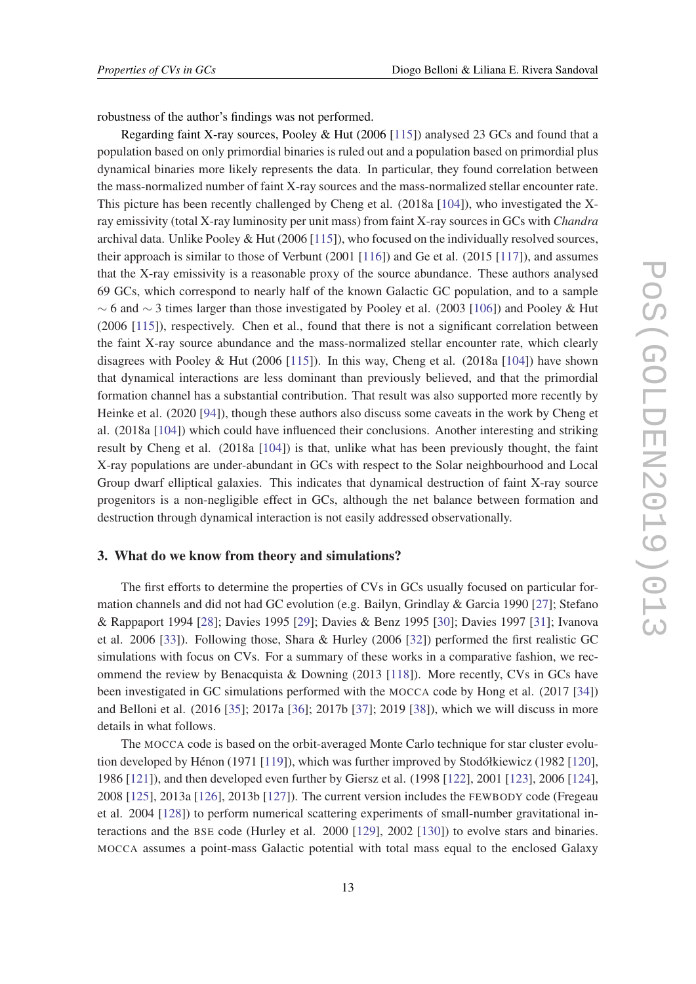<span id="page-13-0"></span>robustness of the author's findings was not performed.

Regarding faint X-ray sources, Pooley & Hut (2006 [\[115](#page-36-0)]) analysed 23 GCs and found that a population based on only primordial binaries is ruled out and a population based on primordial plus dynamical binaries more likely represents the data. In particular, they found correlation between the mass-normalized number of faint X-ray sources and the mass-normalized stellar encounter rate. This picture has been recently challenged by Cheng et al. (2018a [[104\]](#page-36-0)), who investigated the Xray emissivity (total X-ray luminosity per unit mass) from faint X-ray sources in GCs with *Chandra* archival data. Unlike Pooley & Hut (2006 [[115](#page-36-0)]), who focused on the individually resolved sources, their approach is similar to those of Verbunt (2001 [\[116\]](#page-36-0)) and Ge et al. (2015 [[117](#page-36-0)]), and assumes that the X-ray emissivity is a reasonable proxy of the source abundance. These authors analysed 69 GCs, which correspond to nearly half of the known Galactic GC population, and to a sample  $~\sim$  6 and  $~\sim$  3 times larger than those investigated by Pooley et al. (2003 [\[106\]](#page-36-0)) and Pooley & Hut (2006 [\[115\]](#page-36-0)), respectively. Chen et al., found that there is not a significant correlation between the faint X-ray source abundance and the mass-normalized stellar encounter rate, which clearly disagrees with Pooley & Hut  $(2006 \t{115})$ . In this way, Cheng et al.  $(2018a \t{104})$  $(2018a \t{104})$  $(2018a \t{104})$  have shown that dynamical interactions are less dominant than previously believed, and that the primordial formation channel has a substantial contribution. That result was also supported more recently by Heinke et al. (2020 [\[94](#page-35-0)]), though these authors also discuss some caveats in the work by Cheng et al. (2018a [\[104\]](#page-36-0)) which could have influenced their conclusions. Another interesting and striking result by Cheng et al. (2018a [[104](#page-36-0)]) is that, unlike what has been previously thought, the faint X-ray populations are under-abundant in GCs with respect to the Solar neighbourhood and Local Group dwarf elliptical galaxies. This indicates that dynamical destruction of faint X-ray source progenitors is a non-negligible effect in GCs, although the net balance between formation and destruction through dynamical interaction is not easily addressed observationally.

# 3. What do we know from theory and simulations?

The first efforts to determine the properties of CVs in GCs usually focused on particular formation channels and did not had GC evolution (e.g. Bailyn, Grindlay & Garcia 1990 [\[27](#page-31-0)]; Stefano & Rappaport 1994 [[28\]](#page-31-0); Davies 1995 [[29](#page-31-0)]; Davies & Benz 1995 [\[30](#page-31-0)]; Davies 1997 [[31\]](#page-31-0); Ivanova et al. 2006 [\[33\]](#page-31-0)). Following those, Shara & Hurley (2006 [[32\]](#page-31-0)) performed the first realistic GC simulations with focus on CVs. For a summary of these works in a comparative fashion, we recommend the review by Benacquista & Downing  $(2013 \; [118])$  $(2013 \; [118])$  $(2013 \; [118])$ . More recently, CVs in GCs have been investigated in GC simulations performed with the MOCCA code by Hong et al. (2017 [[34\]](#page-31-0)) and Belloni et al. (2016 [\[35](#page-31-0)]; 2017a [[36\]](#page-31-0); 2017b [\[37](#page-32-0)]; 2019 [[38\]](#page-32-0)), which we will discuss in more details in what follows.

The MOCCA code is based on the orbit-averaged Monte Carlo technique for star cluster evolution developed by Hénon (1971 [\[119\]](#page-37-0)), which was further improved by Stodółkiewicz (1982 [\[120\]](#page-37-0), 1986 [\[121\]](#page-37-0)), and then developed even further by Giersz et al. (1998 [[122\]](#page-37-0), 2001 [[123](#page-37-0)], 2006 [\[124\]](#page-37-0), 2008 [\[125\]](#page-37-0), 2013a [[126](#page-37-0)], 2013b [[127](#page-37-0)]). The current version includes the FEWBODY code (Fregeau et al. 2004 [[128](#page-37-0)]) to perform numerical scattering experiments of small-number gravitational interactions and the BSE code (Hurley et al. 2000 [\[129](#page-37-0)], 2002 [[130\]](#page-37-0)) to evolve stars and binaries. MOCCA assumes a point-mass Galactic potential with total mass equal to the enclosed Galaxy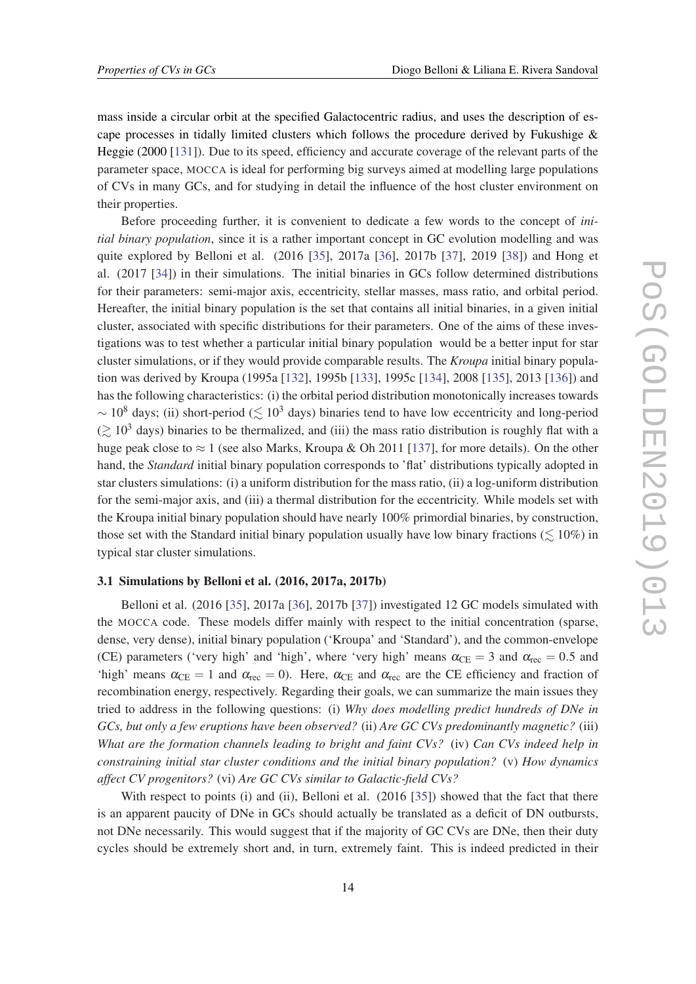<span id="page-14-0"></span>mass inside a circular orbit at the specified Galactocentric radius, and uses the description of escape processes in tidally limited clusters which follows the procedure derived by Fukushige & Heggie (2000 [\[131](#page-37-0)]). Due to its speed, efficiency and accurate coverage of the relevant parts of the parameter space, MOCCA is ideal for performing big surveys aimed at modelling large populations of CVs in many GCs, and for studying in detail the influence of the host cluster environment on their properties.

Before proceeding further, it is convenient to dedicate a few words to the concept of *initial binary population*, since it is a rather important concept in GC evolution modelling and was quite explored by Belloni et al. (2016 [[35\]](#page-31-0), 2017a [\[36](#page-31-0)], 2017b [\[37](#page-32-0)], 2019 [\[38\]](#page-32-0)) and Hong et al. (2017 [[34\]](#page-31-0)) in their simulations. The initial binaries in GCs follow determined distributions for their parameters: semi-major axis, eccentricity, stellar masses, mass ratio, and orbital period. Hereafter, the initial binary population is the set that contains all initial binaries, in a given initial cluster, associated with specific distributions for their parameters. One of the aims of these investigations was to test whether a particular initial binary population would be a better input for star cluster simulations, or if they would provide comparable results. The *Kroupa* initial binary population was derived by Kroupa (1995a [[132](#page-37-0)], 1995b [\[133\]](#page-37-0), 1995c [[134](#page-37-0)], 2008 [[135](#page-37-0)], 2013 [[136](#page-37-0)]) and has the following characteristics: (i) the orbital period distribution monotonically increases towards  $\sim 10^8$  days; (ii) short-period ( $\leq 10^3$  days) binaries tend to have low eccentricity and long-period  $($   $\geq 10<sup>3</sup>$  days) binaries to be thermalized, and (iii) the mass ratio distribution is roughly flat with a huge peak close to  $\approx 1$  (see also Marks, Kroupa & Oh 2011 [\[137\]](#page-38-0), for more details). On the other hand, the *Standard* initial binary population corresponds to 'flat' distributions typically adopted in star clusters simulations: (i) a uniform distribution for the mass ratio, (ii) a log-uniform distribution for the semi-major axis, and (iii) a thermal distribution for the eccentricity. While models set with the Kroupa initial binary population should have nearly 100% primordial binaries, by construction, those set with the Standard initial binary population usually have low binary fractions ( $\leq 10\%$ ) in typical star cluster simulations.

# 3.1 Simulations by Belloni et al. (2016, 2017a, 2017b)

Belloni et al. (2016 [[35](#page-31-0)], 2017a [\[36](#page-31-0)], 2017b [\[37](#page-32-0)]) investigated 12 GC models simulated with the MOCCA code. These models differ mainly with respect to the initial concentration (sparse, dense, very dense), initial binary population ('Kroupa' and 'Standard'), and the common-envelope (CE) parameters ('very high' and 'high', where 'very high' means  $\alpha_{CE} = 3$  and  $\alpha_{rec} = 0.5$  and 'high' means  $\alpha_{\text{CE}} = 1$  and  $\alpha_{\text{rec}} = 0$ ). Here,  $\alpha_{\text{CE}}$  and  $\alpha_{\text{rec}}$  are the CE efficiency and fraction of recombination energy, respectively. Regarding their goals, we can summarize the main issues they tried to address in the following questions: (i) *Why does modelling predict hundreds of DNe in GCs, but only a few eruptions have been observed?* (ii) *Are GC CVs predominantly magnetic?* (iii) *What are the formation channels leading to bright and faint CVs?* (iv) *Can CVs indeed help in constraining initial star cluster conditions and the initial binary population?* (v) *How dynamics affect CV progenitors?* (vi) *Are GC CVs similar to Galactic-field CVs?*

With respect to points (i) and (ii), Belloni et al. (2016 [\[35\]](#page-31-0)) showed that the fact that there is an apparent paucity of DNe in GCs should actually be translated as a deficit of DN outbursts, not DNe necessarily. This would suggest that if the majority of GC CVs are DNe, then their duty cycles should be extremely short and, in turn, extremely faint. This is indeed predicted in their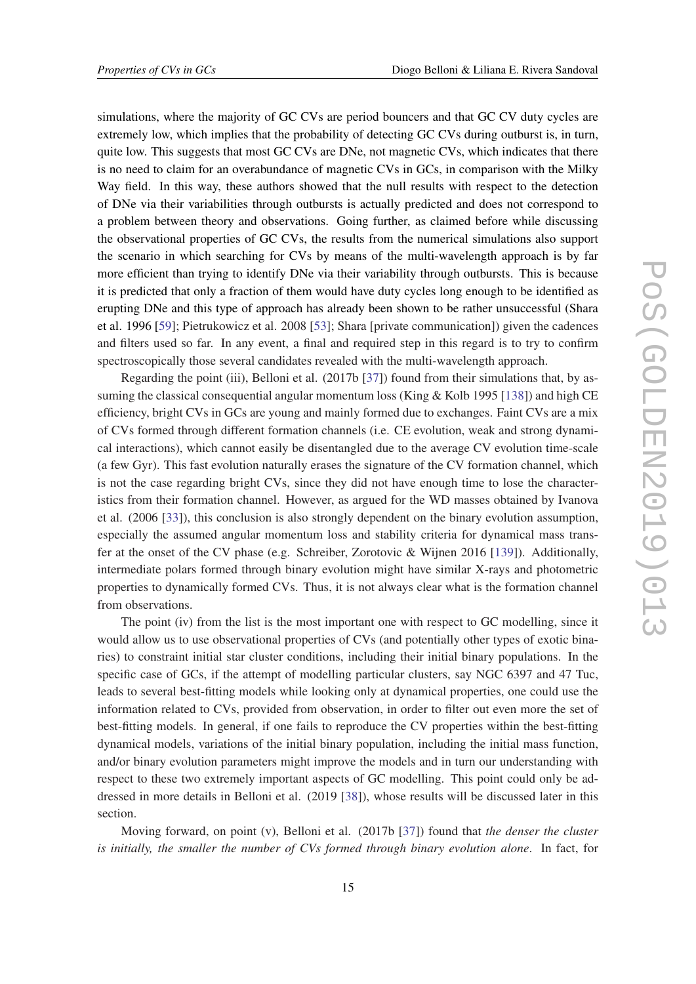simulations, where the majority of GC CVs are period bouncers and that GC CV duty cycles are extremely low, which implies that the probability of detecting GC CVs during outburst is, in turn, quite low. This suggests that most GC CVs are DNe, not magnetic CVs, which indicates that there is no need to claim for an overabundance of magnetic CVs in GCs, in comparison with the Milky Way field. In this way, these authors showed that the null results with respect to the detection of DNe via their variabilities through outbursts is actually predicted and does not correspond to a problem between theory and observations. Going further, as claimed before while discussing the observational properties of GC CVs, the results from the numerical simulations also support the scenario in which searching for CVs by means of the multi-wavelength approach is by far more efficient than trying to identify DNe via their variability through outbursts. This is because it is predicted that only a fraction of them would have duty cycles long enough to be identified as erupting DNe and this type of approach has already been shown to be rather unsuccessful (Shara et al. 1996 [[59\]](#page-33-0); Pietrukowicz et al. 2008 [[53](#page-32-0)]; Shara [private communication]) given the cadences and filters used so far. In any event, a final and required step in this regard is to try to confirm spectroscopically those several candidates revealed with the multi-wavelength approach.

Regarding the point (iii), Belloni et al. (2017b [\[37](#page-32-0)]) found from their simulations that, by assuming the classical consequential angular momentum loss (King  $\&$  Kolb 1995 [\[138](#page-38-0)]) and high CE efficiency, bright CVs in GCs are young and mainly formed due to exchanges. Faint CVs are a mix of CVs formed through different formation channels (i.e. CE evolution, weak and strong dynamical interactions), which cannot easily be disentangled due to the average CV evolution time-scale (a few Gyr). This fast evolution naturally erases the signature of the CV formation channel, which is not the case regarding bright CVs, since they did not have enough time to lose the characteristics from their formation channel. However, as argued for the WD masses obtained by Ivanova et al. (2006 [\[33\]](#page-31-0)), this conclusion is also strongly dependent on the binary evolution assumption, especially the assumed angular momentum loss and stability criteria for dynamical mass transfer at the onset of the CV phase (e.g. Schreiber, Zorotovic & Wijnen 2016 [\[139](#page-38-0)]). Additionally, intermediate polars formed through binary evolution might have similar X-rays and photometric properties to dynamically formed CVs. Thus, it is not always clear what is the formation channel from observations.

The point (iv) from the list is the most important one with respect to GC modelling, since it would allow us to use observational properties of CVs (and potentially other types of exotic binaries) to constraint initial star cluster conditions, including their initial binary populations. In the specific case of GCs, if the attempt of modelling particular clusters, say NGC 6397 and 47 Tuc, leads to several best-fitting models while looking only at dynamical properties, one could use the information related to CVs, provided from observation, in order to filter out even more the set of best-fitting models. In general, if one fails to reproduce the CV properties within the best-fitting dynamical models, variations of the initial binary population, including the initial mass function, and/or binary evolution parameters might improve the models and in turn our understanding with respect to these two extremely important aspects of GC modelling. This point could only be addressed in more details in Belloni et al. (2019 [\[38](#page-32-0)]), whose results will be discussed later in this section.

Moving forward, on point (v), Belloni et al. (2017b [[37\]](#page-32-0)) found that *the denser the cluster is initially, the smaller the number of CVs formed through binary evolution alone*. In fact, for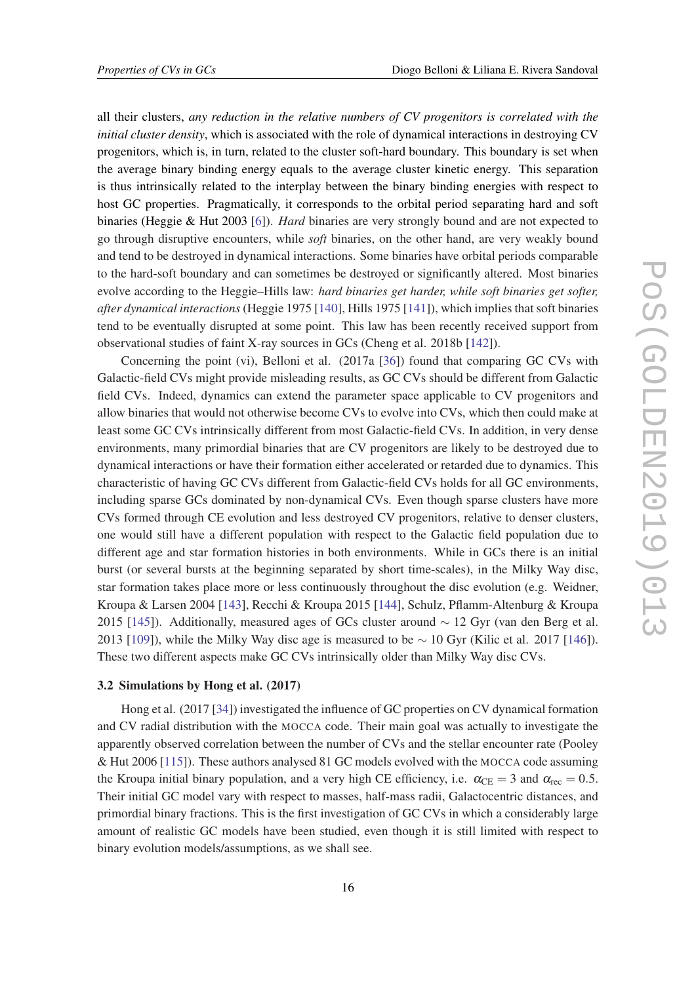<span id="page-16-0"></span>all their clusters, *any reduction in the relative numbers of CV progenitors is correlated with the initial cluster density*, which is associated with the role of dynamical interactions in destroying CV progenitors, which is, in turn, related to the cluster soft-hard boundary. This boundary is set when the average binary binding energy equals to the average cluster kinetic energy. This separation is thus intrinsically related to the interplay between the binary binding energies with respect to host GC properties. Pragmatically, it corresponds to the orbital period separating hard and soft binaries (Heggie & Hut 2003 [\[6\]](#page-30-0)). *Hard* binaries are very strongly bound and are not expected to go through disruptive encounters, while *soft* binaries, on the other hand, are very weakly bound and tend to be destroyed in dynamical interactions. Some binaries have orbital periods comparable to the hard-soft boundary and can sometimes be destroyed or significantly altered. Most binaries evolve according to the Heggie–Hills law: *hard binaries get harder, while soft binaries get softer, after dynamical interactions* (Heggie 1975 [[140\]](#page-38-0), Hills 1975 [[141\]](#page-38-0)), which implies that soft binaries tend to be eventually disrupted at some point. This law has been recently received support from observational studies of faint X-ray sources in GCs (Cheng et al. 2018b [\[142](#page-38-0)]).

Concerning the point (vi), Belloni et al. (2017a [[36\]](#page-31-0)) found that comparing GC CVs with Galactic-field CVs might provide misleading results, as GC CVs should be different from Galactic field CVs. Indeed, dynamics can extend the parameter space applicable to CV progenitors and allow binaries that would not otherwise become CVs to evolve into CVs, which then could make at least some GC CVs intrinsically different from most Galactic-field CVs. In addition, in very dense environments, many primordial binaries that are CV progenitors are likely to be destroyed due to dynamical interactions or have their formation either accelerated or retarded due to dynamics. This characteristic of having GC CVs different from Galactic-field CVs holds for all GC environments, including sparse GCs dominated by non-dynamical CVs. Even though sparse clusters have more CVs formed through CE evolution and less destroyed CV progenitors, relative to denser clusters, one would still have a different population with respect to the Galactic field population due to different age and star formation histories in both environments. While in GCs there is an initial burst (or several bursts at the beginning separated by short time-scales), in the Milky Way disc, star formation takes place more or less continuously throughout the disc evolution (e.g. Weidner, Kroupa & Larsen 2004 [\[143\]](#page-38-0), Recchi & Kroupa 2015 [\[144\]](#page-38-0), Schulz, Pflamm-Altenburg & Kroupa 2015 [\[145\]](#page-38-0)). Additionally, measured ages of GCs cluster around  $\sim$  12 Gyr (van den Berg et al. 2013 [[109](#page-36-0)]), while the Milky Way disc age is measured to be  $\sim$  10 Gyr (Kilic et al. 2017 [[146\]](#page-38-0)). These two different aspects make GC CVs intrinsically older than Milky Way disc CVs.

#### 3.2 Simulations by Hong et al. (2017)

Hong et al. (2017 [[34\]](#page-31-0)) investigated the influence of GC properties on CV dynamical formation and CV radial distribution with the MOCCA code. Their main goal was actually to investigate the apparently observed correlation between the number of CVs and the stellar encounter rate (Pooley & Hut 2006 [\[115\]](#page-36-0)). These authors analysed 81 GC models evolved with the MOCCA code assuming the Kroupa initial binary population, and a very high CE efficiency, i.e.  $\alpha_{\text{CE}} = 3$  and  $\alpha_{\text{rec}} = 0.5$ . Their initial GC model vary with respect to masses, half-mass radii, Galactocentric distances, and primordial binary fractions. This is the first investigation of GC CVs in which a considerably large amount of realistic GC models have been studied, even though it is still limited with respect to binary evolution models/assumptions, as we shall see.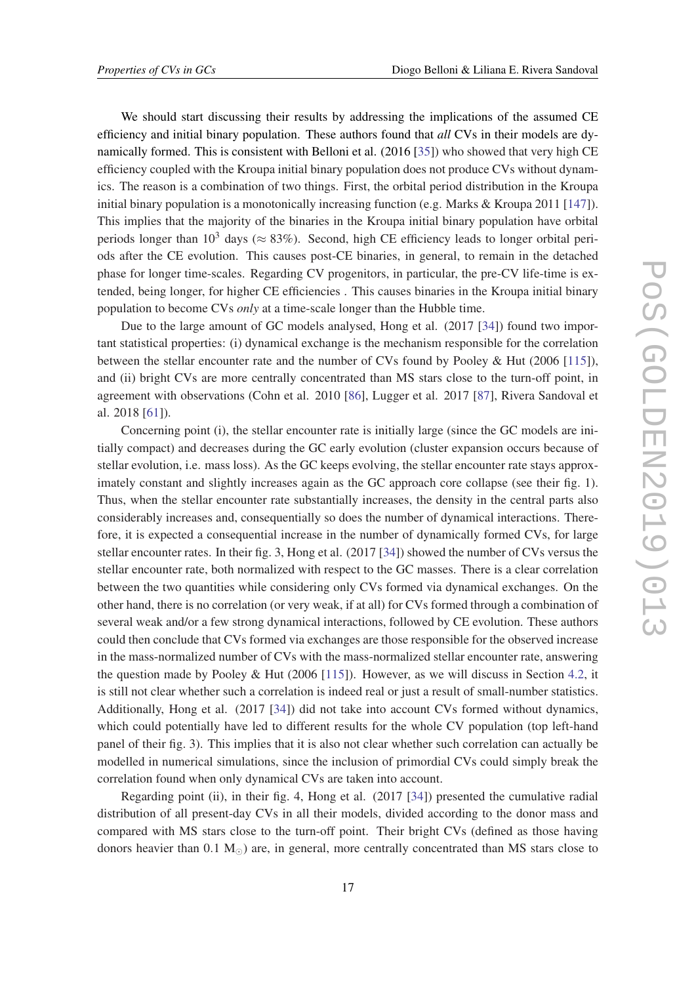We should start discussing their results by addressing the implications of the assumed CE efficiency and initial binary population. These authors found that *all* CVs in their models are dynamically formed. This is consistent with Belloni et al. (2016 [\[35](#page-31-0)]) who showed that very high CE efficiency coupled with the Kroupa initial binary population does not produce CVs without dynamics. The reason is a combination of two things. First, the orbital period distribution in the Kroupa initial binary population is a monotonically increasing function (e.g. Marks & Kroupa 2011 [[147\]](#page-38-0)). This implies that the majority of the binaries in the Kroupa initial binary population have orbital periods longer than  $10^3$  days ( $\approx 83\%$ ). Second, high CE efficiency leads to longer orbital periods after the CE evolution. This causes post-CE binaries, in general, to remain in the detached phase for longer time-scales. Regarding CV progenitors, in particular, the pre-CV life-time is extended, being longer, for higher CE efficiencies . This causes binaries in the Kroupa initial binary population to become CVs *only* at a time-scale longer than the Hubble time.

Due to the large amount of GC models analysed, Hong et al. (2017 [\[34](#page-31-0)]) found two important statistical properties: (i) dynamical exchange is the mechanism responsible for the correlation between the stellar encounter rate and the number of CVs found by Pooley & Hut (2006 [[115\]](#page-36-0)), and (ii) bright CVs are more centrally concentrated than MS stars close to the turn-off point, in agreement with observations (Cohn et al. 2010 [\[86\]](#page-35-0), Lugger et al. 2017 [\[87](#page-35-0)], Rivera Sandoval et al. 2018 [[61](#page-33-0)]).

Concerning point (i), the stellar encounter rate is initially large (since the GC models are initially compact) and decreases during the GC early evolution (cluster expansion occurs because of stellar evolution, i.e. mass loss). As the GC keeps evolving, the stellar encounter rate stays approximately constant and slightly increases again as the GC approach core collapse (see their fig. 1). Thus, when the stellar encounter rate substantially increases, the density in the central parts also considerably increases and, consequentially so does the number of dynamical interactions. Therefore, it is expected a consequential increase in the number of dynamically formed CVs, for large stellar encounter rates. In their fig. 3, Hong et al. (2017 [[34\]](#page-31-0)) showed the number of CVs versus the stellar encounter rate, both normalized with respect to the GC masses. There is a clear correlation between the two quantities while considering only CVs formed via dynamical exchanges. On the other hand, there is no correlation (or very weak, if at all) for CVs formed through a combination of several weak and/or a few strong dynamical interactions, followed by CE evolution. These authors could then conclude that CVs formed via exchanges are those responsible for the observed increase in the mass-normalized number of CVs with the mass-normalized stellar encounter rate, answering the question made by Pooley & Hut (2006 [[115\]](#page-36-0)). However, as we will discuss in Section [4.2,](#page-25-0) it is still not clear whether such a correlation is indeed real or just a result of small-number statistics. Additionally, Hong et al. (2017 [\[34](#page-31-0)]) did not take into account CVs formed without dynamics, which could potentially have led to different results for the whole CV population (top left-hand panel of their fig. 3). This implies that it is also not clear whether such correlation can actually be modelled in numerical simulations, since the inclusion of primordial CVs could simply break the correlation found when only dynamical CVs are taken into account.

Regarding point (ii), in their fig. 4, Hong et al. (2017 [[34\]](#page-31-0)) presented the cumulative radial distribution of all present-day CVs in all their models, divided according to the donor mass and compared with MS stars close to the turn-off point. Their bright CVs (defined as those having donors heavier than  $0.1 \text{ M}_{\odot}$ ) are, in general, more centrally concentrated than MS stars close to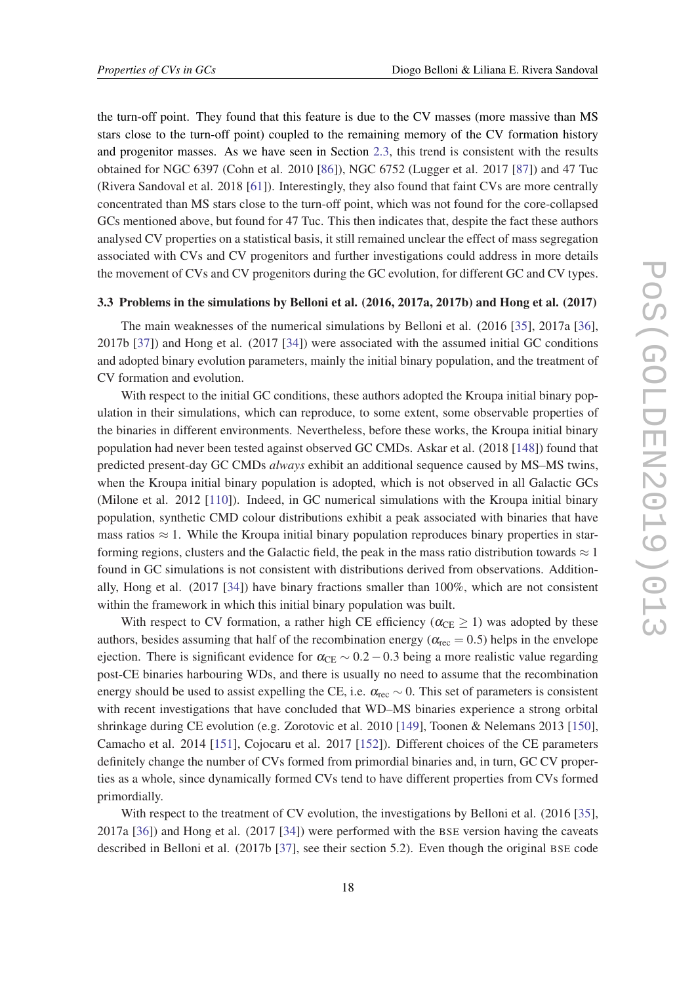<span id="page-18-0"></span>the turn-off point. They found that this feature is due to the CV masses (more massive than MS stars close to the turn-off point) coupled to the remaining memory of the CV formation history and progenitor masses. As we have seen in Section [2.3](#page-6-0), this trend is consistent with the results obtained for NGC 6397 (Cohn et al. 2010 [[86\]](#page-35-0)), NGC 6752 (Lugger et al. 2017 [[87\]](#page-35-0)) and 47 Tuc (Rivera Sandoval et al. 2018 [\[61](#page-33-0)]). Interestingly, they also found that faint CVs are more centrally concentrated than MS stars close to the turn-off point, which was not found for the core-collapsed GCs mentioned above, but found for 47 Tuc. This then indicates that, despite the fact these authors analysed CV properties on a statistical basis, it still remained unclear the effect of mass segregation associated with CVs and CV progenitors and further investigations could address in more details the movement of CVs and CV progenitors during the GC evolution, for different GC and CV types.

## 3.3 Problems in the simulations by Belloni et al. (2016, 2017a, 2017b) and Hong et al. (2017)

The main weaknesses of the numerical simulations by Belloni et al. (2016 [[35](#page-31-0)], 2017a [[36\]](#page-31-0), 2017b [[37](#page-32-0)]) and Hong et al. (2017 [[34\]](#page-31-0)) were associated with the assumed initial GC conditions and adopted binary evolution parameters, mainly the initial binary population, and the treatment of CV formation and evolution.

With respect to the initial GC conditions, these authors adopted the Kroupa initial binary population in their simulations, which can reproduce, to some extent, some observable properties of the binaries in different environments. Nevertheless, before these works, the Kroupa initial binary population had never been tested against observed GC CMDs. Askar et al. (2018 [\[148\]](#page-38-0)) found that predicted present-day GC CMDs *always* exhibit an additional sequence caused by MS–MS twins, when the Kroupa initial binary population is adopted, which is not observed in all Galactic GCs (Milone et al. 2012 [[110](#page-36-0)]). Indeed, in GC numerical simulations with the Kroupa initial binary population, synthetic CMD colour distributions exhibit a peak associated with binaries that have mass ratios  $\approx 1$ . While the Kroupa initial binary population reproduces binary properties in starforming regions, clusters and the Galactic field, the peak in the mass ratio distribution towards  $\approx 1$ found in GC simulations is not consistent with distributions derived from observations. Additionally, Hong et al. (2017 [\[34](#page-31-0)]) have binary fractions smaller than 100%, which are not consistent within the framework in which this initial binary population was built.

With respect to CV formation, a rather high CE efficiency ( $\alpha_{\text{CE}} \geq 1$ ) was adopted by these authors, besides assuming that half of the recombination energy ( $\alpha_{\text{rec}} = 0.5$ ) helps in the envelope ejection. There is significant evidence for  $\alpha_{\text{CE}} \sim 0.2 - 0.3$  being a more realistic value regarding post-CE binaries harbouring WDs, and there is usually no need to assume that the recombination energy should be used to assist expelling the CE, i.e.  $\alpha_{\text{rec}} \sim 0$ . This set of parameters is consistent with recent investigations that have concluded that WD–MS binaries experience a strong orbital shrinkage during CE evolution (e.g. Zorotovic et al. 2010 [\[149\]](#page-38-0), Toonen & Nelemans 2013 [\[150\]](#page-38-0), Camacho et al. 2014 [\[151](#page-38-0)], Cojocaru et al. 2017 [[152](#page-38-0)]). Different choices of the CE parameters definitely change the number of CVs formed from primordial binaries and, in turn, GC CV properties as a whole, since dynamically formed CVs tend to have different properties from CVs formed primordially.

With respect to the treatment of CV evolution, the investigations by Belloni et al. (2016 [[35\]](#page-31-0), 2017a [[36\]](#page-31-0)) and Hong et al. (2017 [\[34](#page-31-0)]) were performed with the BSE version having the caveats described in Belloni et al. (2017b [[37\]](#page-32-0), see their section 5.2). Even though the original BSE code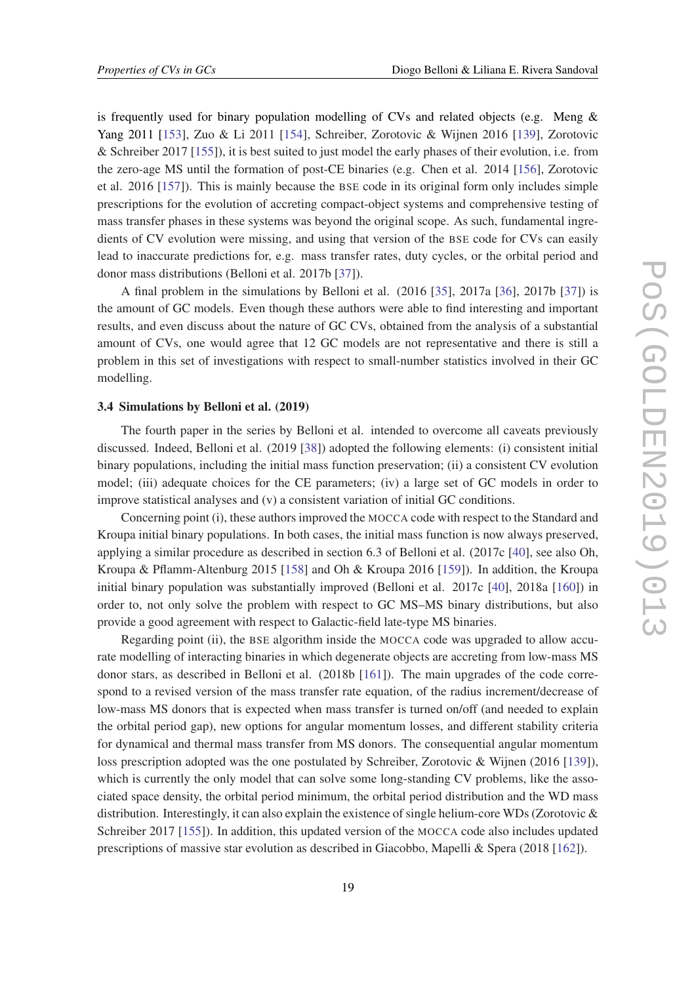<span id="page-19-0"></span>is frequently used for binary population modelling of CVs and related objects (e.g. Meng & Yang 2011 [\[153](#page-38-0)], Zuo & Li 2011 [[154](#page-38-0)], Schreiber, Zorotovic & Wijnen 2016 [\[139\]](#page-38-0), Zorotovic & Schreiber 2017 [[155](#page-39-0)]), it is best suited to just model the early phases of their evolution, i.e. from the zero-age MS until the formation of post-CE binaries (e.g. Chen et al. 2014 [[156](#page-39-0)], Zorotovic et al. 2016 [\[157\]](#page-39-0)). This is mainly because the BSE code in its original form only includes simple prescriptions for the evolution of accreting compact-object systems and comprehensive testing of mass transfer phases in these systems was beyond the original scope. As such, fundamental ingredients of CV evolution were missing, and using that version of the BSE code for CVs can easily lead to inaccurate predictions for, e.g. mass transfer rates, duty cycles, or the orbital period and donor mass distributions (Belloni et al. 2017b [[37\]](#page-32-0)).

A final problem in the simulations by Belloni et al. (2016 [\[35](#page-31-0)], 2017a [\[36](#page-31-0)], 2017b [[37\]](#page-32-0)) is the amount of GC models. Even though these authors were able to find interesting and important results, and even discuss about the nature of GC CVs, obtained from the analysis of a substantial amount of CVs, one would agree that 12 GC models are not representative and there is still a problem in this set of investigations with respect to small-number statistics involved in their GC modelling.

## 3.4 Simulations by Belloni et al. (2019)

The fourth paper in the series by Belloni et al. intended to overcome all caveats previously discussed. Indeed, Belloni et al. (2019 [[38](#page-32-0)]) adopted the following elements: (i) consistent initial binary populations, including the initial mass function preservation; (ii) a consistent CV evolution model; (iii) adequate choices for the CE parameters; (iv) a large set of GC models in order to improve statistical analyses and (v) a consistent variation of initial GC conditions.

Concerning point (i), these authors improved the MOCCA code with respect to the Standard and Kroupa initial binary populations. In both cases, the initial mass function is now always preserved, applying a similar procedure as described in section 6.3 of Belloni et al. (2017c [[40](#page-32-0)], see also Oh, Kroupa & Pflamm-Altenburg 2015 [[158](#page-39-0)] and Oh & Kroupa 2016 [\[159](#page-39-0)]). In addition, the Kroupa initial binary population was substantially improved (Belloni et al. 2017c [[40\]](#page-32-0), 2018a [\[160](#page-39-0)]) in order to, not only solve the problem with respect to GC MS–MS binary distributions, but also provide a good agreement with respect to Galactic-field late-type MS binaries.

Regarding point (ii), the BSE algorithm inside the MOCCA code was upgraded to allow accurate modelling of interacting binaries in which degenerate objects are accreting from low-mass MS donor stars, as described in Belloni et al. (2018b [[161](#page-39-0)]). The main upgrades of the code correspond to a revised version of the mass transfer rate equation, of the radius increment/decrease of low-mass MS donors that is expected when mass transfer is turned on/off (and needed to explain the orbital period gap), new options for angular momentum losses, and different stability criteria for dynamical and thermal mass transfer from MS donors. The consequential angular momentum loss prescription adopted was the one postulated by Schreiber, Zorotovic & Wijnen (2016 [[139\]](#page-38-0)), which is currently the only model that can solve some long-standing CV problems, like the associated space density, the orbital period minimum, the orbital period distribution and the WD mass distribution. Interestingly, it can also explain the existence of single helium-core WDs (Zorotovic & Schreiber 2017 [\[155](#page-39-0)]). In addition, this updated version of the MOCCA code also includes updated prescriptions of massive star evolution as described in Giacobbo, Mapelli & Spera (2018 [\[162\]](#page-39-0)).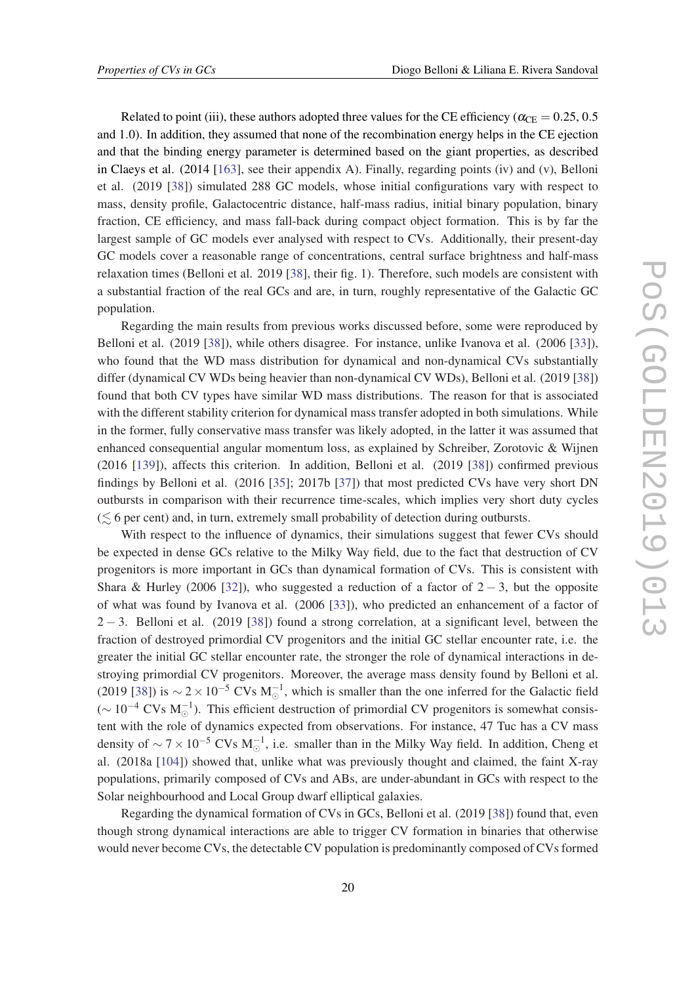Related to point (iii), these authors adopted three values for the CE efficiency ( $\alpha_{\text{CE}} = 0.25, 0.5$ and 1.0). In addition, they assumed that none of the recombination energy helps in the CE ejection and that the binding energy parameter is determined based on the giant properties, as described in Claeys et al. (2014 [\[163\]](#page-39-0), see their appendix A). Finally, regarding points (iv) and (v), Belloni et al. (2019 [[38](#page-32-0)]) simulated 288 GC models, whose initial configurations vary with respect to mass, density profile, Galactocentric distance, half-mass radius, initial binary population, binary fraction, CE efficiency, and mass fall-back during compact object formation. This is by far the largest sample of GC models ever analysed with respect to CVs. Additionally, their present-day GC models cover a reasonable range of concentrations, central surface brightness and half-mass relaxation times (Belloni et al. 2019 [\[38](#page-32-0)], their fig. 1). Therefore, such models are consistent with a substantial fraction of the real GCs and are, in turn, roughly representative of the Galactic GC population.

Regarding the main results from previous works discussed before, some were reproduced by Belloni et al. (2019 [[38\]](#page-32-0)), while others disagree. For instance, unlike Ivanova et al. (2006 [\[33\]](#page-31-0)), who found that the WD mass distribution for dynamical and non-dynamical CVs substantially differ (dynamical CV WDs being heavier than non-dynamical CV WDs), Belloni et al. (2019 [[38\]](#page-32-0)) found that both CV types have similar WD mass distributions. The reason for that is associated with the different stability criterion for dynamical mass transfer adopted in both simulations. While in the former, fully conservative mass transfer was likely adopted, in the latter it was assumed that enhanced consequential angular momentum loss, as explained by Schreiber, Zorotovic & Wijnen (2016 [[139\]](#page-38-0)), affects this criterion. In addition, Belloni et al. (2019 [[38\]](#page-32-0)) confirmed previous findings by Belloni et al. (2016 [[35\]](#page-31-0); 2017b [[37\]](#page-32-0)) that most predicted CVs have very short DN outbursts in comparison with their recurrence time-scales, which implies very short duty cycles  $(\leq 6$  per cent) and, in turn, extremely small probability of detection during outbursts.

With respect to the influence of dynamics, their simulations suggest that fewer CVs should be expected in dense GCs relative to the Milky Way field, due to the fact that destruction of CV progenitors is more important in GCs than dynamical formation of CVs. This is consistent with Shara & Hurley (2006 [[32\]](#page-31-0)), who suggested a reduction of a factor of  $2 - 3$ , but the opposite of what was found by Ivanova et al. (2006 [\[33](#page-31-0)]), who predicted an enhancement of a factor of  $2 - 3$ . Belloni et al. (2019 [[38\]](#page-32-0)) found a strong correlation, at a significant level, between the fraction of destroyed primordial CV progenitors and the initial GC stellar encounter rate, i.e. the greater the initial GC stellar encounter rate, the stronger the role of dynamical interactions in destroying primordial CV progenitors. Moreover, the average mass density found by Belloni et al. (2019 [[38\]](#page-32-0)) is  $\sim$  2 × 10<sup>-5</sup> CVs M<sub>0</sub><sup>-1</sup>, which is smaller than the one inferred for the Galactic field ( $\sim 10^{-4}$  CVs M<sub>☉</sub><sup>-1</sup>). This efficient destruction of primordial CV progenitors is somewhat consistent with the role of dynamics expected from observations. For instance, 47 Tuc has a CV mass density of  $\sim$  7 × 10<sup>-5</sup> CVs M<sub>☉</sub>, i.e. smaller than in the Milky Way field. In addition, Cheng et al. (2018a [\[104\]](#page-36-0)) showed that, unlike what was previously thought and claimed, the faint X-ray populations, primarily composed of CVs and ABs, are under-abundant in GCs with respect to the Solar neighbourhood and Local Group dwarf elliptical galaxies.

Regarding the dynamical formation of CVs in GCs, Belloni et al. (2019 [\[38](#page-32-0)]) found that, even though strong dynamical interactions are able to trigger CV formation in binaries that otherwise would never become CVs, the detectable CV population is predominantly composed of CVs formed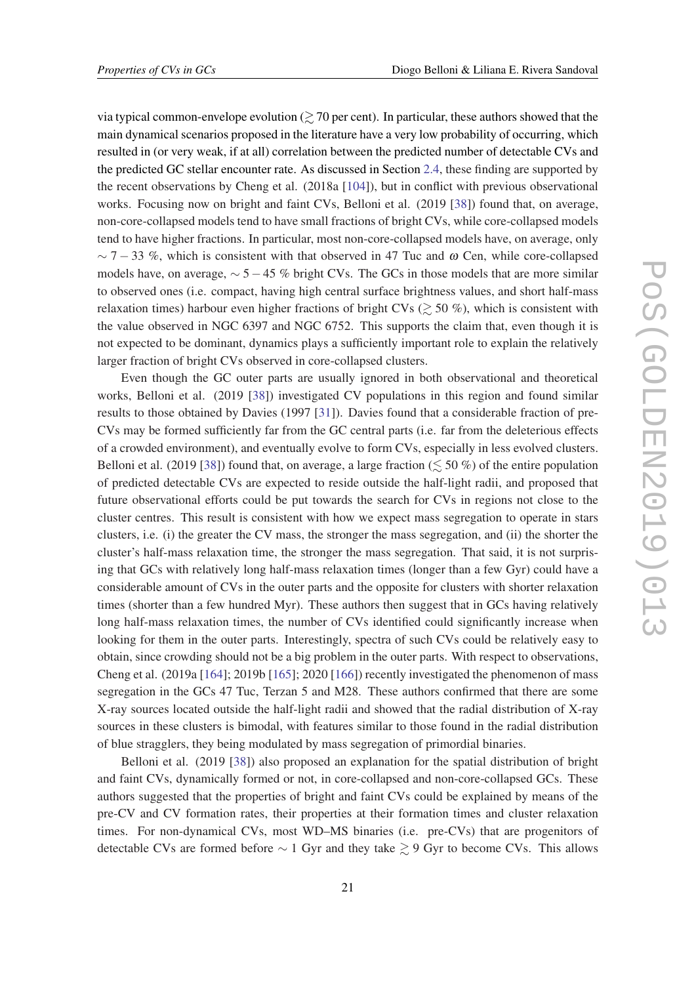via typical common-envelope evolution  $\geq 70$  per cent). In particular, these authors showed that the main dynamical scenarios proposed in the literature have a very low probability of occurring, which resulted in (or very weak, if at all) correlation between the predicted number of detectable CVs and the predicted GC stellar encounter rate. As discussed in Section [2.4,](#page-10-0) these finding are supported by the recent observations by Cheng et al. (2018a [[104\]](#page-36-0)), but in conflict with previous observational works. Focusing now on bright and faint CVs, Belloni et al. (2019 [[38\]](#page-32-0)) found that, on average, non-core-collapsed models tend to have small fractions of bright CVs, while core-collapsed models tend to have higher fractions. In particular, most non-core-collapsed models have, on average, only  $\sim$  7 − 33 %, which is consistent with that observed in 47 Tuc and  $\omega$  Cen, while core-collapsed models have, on average,  $\sim$  5−45 % bright CVs. The GCs in those models that are more similar to observed ones (i.e. compact, having high central surface brightness values, and short half-mass relaxation times) harbour even higher fractions of bright CVs ( $\gtrsim$  50 %), which is consistent with the value observed in NGC 6397 and NGC 6752. This supports the claim that, even though it is not expected to be dominant, dynamics plays a sufficiently important role to explain the relatively larger fraction of bright CVs observed in core-collapsed clusters.

Even though the GC outer parts are usually ignored in both observational and theoretical works, Belloni et al. (2019 [[38\]](#page-32-0)) investigated CV populations in this region and found similar results to those obtained by Davies (1997 [[31](#page-31-0)]). Davies found that a considerable fraction of pre-CVs may be formed sufficiently far from the GC central parts (i.e. far from the deleterious effects of a crowded environment), and eventually evolve to form CVs, especially in less evolved clusters. Belloni et al. (2019 [\[38](#page-32-0)]) found that, on average, a large fraction ( $\lesssim$  50 %) of the entire population of predicted detectable CVs are expected to reside outside the half-light radii, and proposed that future observational efforts could be put towards the search for CVs in regions not close to the cluster centres. This result is consistent with how we expect mass segregation to operate in stars clusters, i.e. (i) the greater the CV mass, the stronger the mass segregation, and (ii) the shorter the cluster's half-mass relaxation time, the stronger the mass segregation. That said, it is not surprising that GCs with relatively long half-mass relaxation times (longer than a few Gyr) could have a considerable amount of CVs in the outer parts and the opposite for clusters with shorter relaxation times (shorter than a few hundred Myr). These authors then suggest that in GCs having relatively long half-mass relaxation times, the number of CVs identified could significantly increase when looking for them in the outer parts. Interestingly, spectra of such CVs could be relatively easy to obtain, since crowding should not be a big problem in the outer parts. With respect to observations, Cheng et al. (2019a [\[164\]](#page-39-0); 2019b [\[165\]](#page-39-0); 2020 [\[166\]](#page-39-0)) recently investigated the phenomenon of mass segregation in the GCs 47 Tuc, Terzan 5 and M28. These authors confirmed that there are some X-ray sources located outside the half-light radii and showed that the radial distribution of X-ray sources in these clusters is bimodal, with features similar to those found in the radial distribution of blue stragglers, they being modulated by mass segregation of primordial binaries.

Belloni et al. (2019 [[38\]](#page-32-0)) also proposed an explanation for the spatial distribution of bright and faint CVs, dynamically formed or not, in core-collapsed and non-core-collapsed GCs. These authors suggested that the properties of bright and faint CVs could be explained by means of the pre-CV and CV formation rates, their properties at their formation times and cluster relaxation times. For non-dynamical CVs, most WD–MS binaries (i.e. pre-CVs) that are progenitors of detectable CVs are formed before  $\sim$  1 Gyr and they take  $\geq$  9 Gyr to become CVs. This allows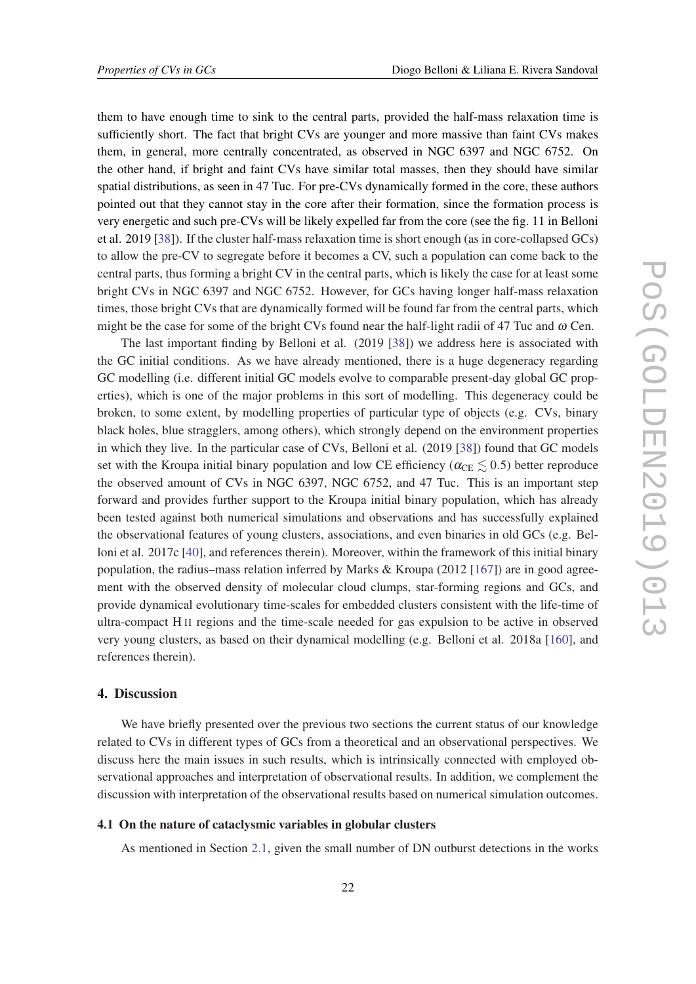<span id="page-22-0"></span>them to have enough time to sink to the central parts, provided the half-mass relaxation time is sufficiently short. The fact that bright CVs are younger and more massive than faint CVs makes them, in general, more centrally concentrated, as observed in NGC 6397 and NGC 6752. On the other hand, if bright and faint CVs have similar total masses, then they should have similar spatial distributions, as seen in 47 Tuc. For pre-CVs dynamically formed in the core, these authors pointed out that they cannot stay in the core after their formation, since the formation process is very energetic and such pre-CVs will be likely expelled far from the core (see the fig. 11 in Belloni et al. 2019 [\[38](#page-32-0)]). If the cluster half-mass relaxation time is short enough (as in core-collapsed GCs) to allow the pre-CV to segregate before it becomes a CV, such a population can come back to the central parts, thus forming a bright CV in the central parts, which is likely the case for at least some bright CVs in NGC 6397 and NGC 6752. However, for GCs having longer half-mass relaxation times, those bright CVs that are dynamically formed will be found far from the central parts, which might be the case for some of the bright CVs found near the half-light radii of 47 Tuc and  $\omega$  Cen.

The last important finding by Belloni et al. (2019 [[38\]](#page-32-0)) we address here is associated with the GC initial conditions. As we have already mentioned, there is a huge degeneracy regarding GC modelling (i.e. different initial GC models evolve to comparable present-day global GC properties), which is one of the major problems in this sort of modelling. This degeneracy could be broken, to some extent, by modelling properties of particular type of objects (e.g. CVs, binary black holes, blue stragglers, among others), which strongly depend on the environment properties in which they live. In the particular case of CVs, Belloni et al. (2019 [\[38](#page-32-0)]) found that GC models set with the Kroupa initial binary population and low CE efficiency ( $\alpha_{\text{CE}} \lesssim 0.5$ ) better reproduce the observed amount of CVs in NGC 6397, NGC 6752, and 47 Tuc. This is an important step forward and provides further support to the Kroupa initial binary population, which has already been tested against both numerical simulations and observations and has successfully explained the observational features of young clusters, associations, and even binaries in old GCs (e.g. Belloni et al. 2017c [\[40](#page-32-0)], and references therein). Moreover, within the framework of this initial binary population, the radius–mass relation inferred by Marks & Kroupa (2012 [[167](#page-39-0)]) are in good agreement with the observed density of molecular cloud clumps, star-forming regions and GCs, and provide dynamical evolutionary time-scales for embedded clusters consistent with the life-time of ultra-compact H II regions and the time-scale needed for gas expulsion to be active in observed very young clusters, as based on their dynamical modelling (e.g. Belloni et al. 2018a [\[160](#page-39-0)], and references therein).

### 4. Discussion

We have briefly presented over the previous two sections the current status of our knowledge related to CVs in different types of GCs from a theoretical and an observational perspectives. We discuss here the main issues in such results, which is intrinsically connected with employed observational approaches and interpretation of observational results. In addition, we complement the discussion with interpretation of the observational results based on numerical simulation outcomes.

## 4.1 On the nature of cataclysmic variables in globular clusters

As mentioned in Section [2.1,](#page-3-0) given the small number of DN outburst detections in the works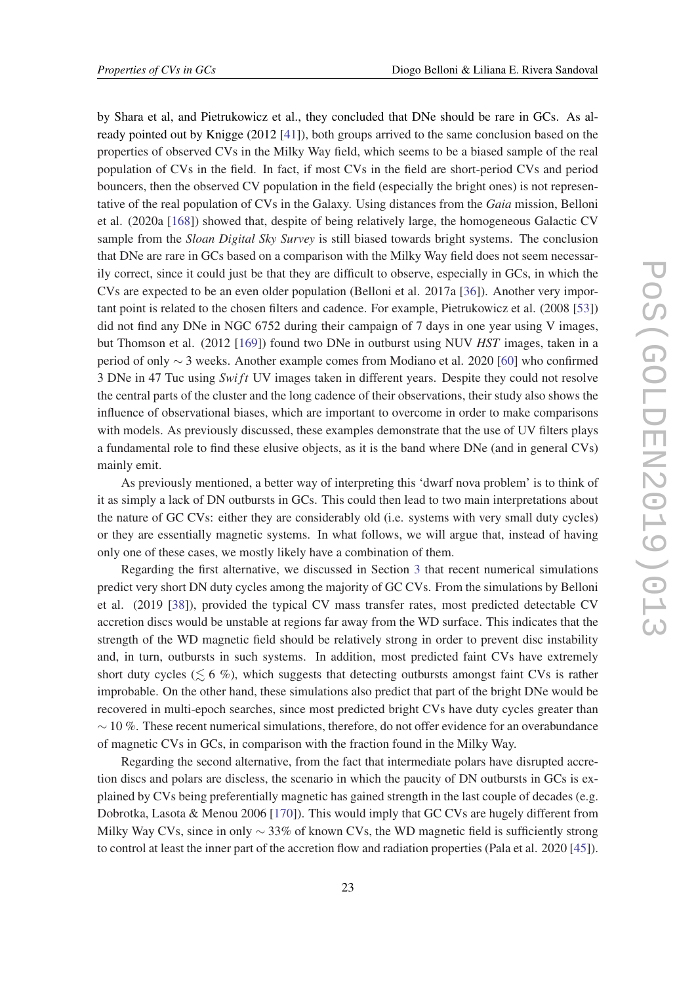by Shara et al, and Pietrukowicz et al., they concluded that DNe should be rare in GCs. As already pointed out by Knigge (2012 [\[41\]](#page-32-0)), both groups arrived to the same conclusion based on the properties of observed CVs in the Milky Way field, which seems to be a biased sample of the real population of CVs in the field. In fact, if most CVs in the field are short-period CVs and period bouncers, then the observed CV population in the field (especially the bright ones) is not representative of the real population of CVs in the Galaxy. Using distances from the *Gaia* mission, Belloni et al. (2020a [[168](#page-39-0)]) showed that, despite of being relatively large, the homogeneous Galactic CV sample from the *Sloan Digital Sky Survey* is still biased towards bright systems. The conclusion that DNe are rare in GCs based on a comparison with the Milky Way field does not seem necessarily correct, since it could just be that they are difficult to observe, especially in GCs, in which the CVs are expected to be an even older population (Belloni et al. 2017a [[36\]](#page-31-0)). Another very important point is related to the chosen filters and cadence. For example, Pietrukowicz et al. (2008 [[53\]](#page-32-0)) did not find any DNe in NGC 6752 during their campaign of 7 days in one year using V images, but Thomson et al. (2012 [\[169\]](#page-39-0)) found two DNe in outburst using NUV *HST* images, taken in a period of only ∼ 3 weeks. Another example comes from Modiano et al. 2020 [[60\]](#page-33-0) who confirmed 3 DNe in 47 Tuc using *Swi ft* UV images taken in different years. Despite they could not resolve the central parts of the cluster and the long cadence of their observations, their study also shows the influence of observational biases, which are important to overcome in order to make comparisons with models. As previously discussed, these examples demonstrate that the use of UV filters plays a fundamental role to find these elusive objects, as it is the band where DNe (and in general CVs) mainly emit.

As previously mentioned, a better way of interpreting this 'dwarf nova problem' is to think of it as simply a lack of DN outbursts in GCs. This could then lead to two main interpretations about the nature of GC CVs: either they are considerably old (i.e. systems with very small duty cycles) or they are essentially magnetic systems. In what follows, we will argue that, instead of having only one of these cases, we mostly likely have a combination of them.

Regarding the first alternative, we discussed in Section [3](#page-13-0) that recent numerical simulations predict very short DN duty cycles among the majority of GC CVs. From the simulations by Belloni et al. (2019 [\[38](#page-32-0)]), provided the typical CV mass transfer rates, most predicted detectable CV accretion discs would be unstable at regions far away from the WD surface. This indicates that the strength of the WD magnetic field should be relatively strong in order to prevent disc instability and, in turn, outbursts in such systems. In addition, most predicted faint CVs have extremely short duty cycles ( $\leq 6$  %), which suggests that detecting outbursts amongst faint CVs is rather improbable. On the other hand, these simulations also predict that part of the bright DNe would be recovered in multi-epoch searches, since most predicted bright CVs have duty cycles greater than  $\sim$  10 %. These recent numerical simulations, therefore, do not offer evidence for an overabundance of magnetic CVs in GCs, in comparison with the fraction found in the Milky Way.

Regarding the second alternative, from the fact that intermediate polars have disrupted accretion discs and polars are discless, the scenario in which the paucity of DN outbursts in GCs is explained by CVs being preferentially magnetic has gained strength in the last couple of decades (e.g. Dobrotka, Lasota & Menou 2006 [\[170\]](#page-39-0)). This would imply that GC CVs are hugely different from Milky Way CVs, since in only  $\sim$  33% of known CVs, the WD magnetic field is sufficiently strong to control at least the inner part of the accretion flow and radiation properties (Pala et al. 2020 [\[45\]](#page-32-0)).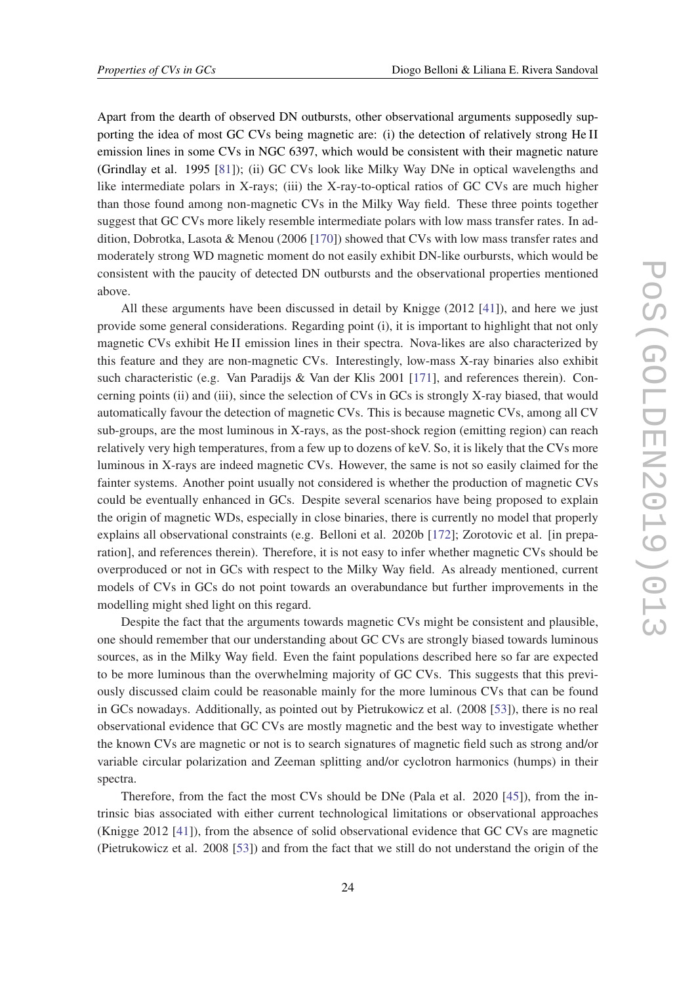Apart from the dearth of observed DN outbursts, other observational arguments supposedly supporting the idea of most GC CVs being magnetic are: (i) the detection of relatively strong He II emission lines in some CVs in NGC 6397, which would be consistent with their magnetic nature (Grindlay et al. 1995 [\[81](#page-34-0)]); (ii) GC CVs look like Milky Way DNe in optical wavelengths and like intermediate polars in X-rays; (iii) the X-ray-to-optical ratios of GC CVs are much higher than those found among non-magnetic CVs in the Milky Way field. These three points together suggest that GC CVs more likely resemble intermediate polars with low mass transfer rates. In addition, Dobrotka, Lasota & Menou (2006 [[170](#page-39-0)]) showed that CVs with low mass transfer rates and moderately strong WD magnetic moment do not easily exhibit DN-like ourbursts, which would be consistent with the paucity of detected DN outbursts and the observational properties mentioned above.

All these arguments have been discussed in detail by Knigge (2012 [\[41](#page-32-0)]), and here we just provide some general considerations. Regarding point (i), it is important to highlight that not only magnetic CVs exhibit He II emission lines in their spectra. Nova-likes are also characterized by this feature and they are non-magnetic CVs. Interestingly, low-mass X-ray binaries also exhibit such characteristic (e.g. Van Paradijs & Van der Klis 2001 [[171\]](#page-40-0), and references therein). Concerning points (ii) and (iii), since the selection of CVs in GCs is strongly X-ray biased, that would automatically favour the detection of magnetic CVs. This is because magnetic CVs, among all CV sub-groups, are the most luminous in X-rays, as the post-shock region (emitting region) can reach relatively very high temperatures, from a few up to dozens of keV. So, it is likely that the CVs more luminous in X-rays are indeed magnetic CVs. However, the same is not so easily claimed for the fainter systems. Another point usually not considered is whether the production of magnetic CVs could be eventually enhanced in GCs. Despite several scenarios have being proposed to explain the origin of magnetic WDs, especially in close binaries, there is currently no model that properly explains all observational constraints (e.g. Belloni et al. 2020b [[172\]](#page-40-0); Zorotovic et al. [in preparation], and references therein). Therefore, it is not easy to infer whether magnetic CVs should be overproduced or not in GCs with respect to the Milky Way field. As already mentioned, current models of CVs in GCs do not point towards an overabundance but further improvements in the modelling might shed light on this regard.

Despite the fact that the arguments towards magnetic CVs might be consistent and plausible, one should remember that our understanding about GC CVs are strongly biased towards luminous sources, as in the Milky Way field. Even the faint populations described here so far are expected to be more luminous than the overwhelming majority of GC CVs. This suggests that this previously discussed claim could be reasonable mainly for the more luminous CVs that can be found in GCs nowadays. Additionally, as pointed out by Pietrukowicz et al. (2008 [[53\]](#page-32-0)), there is no real observational evidence that GC CVs are mostly magnetic and the best way to investigate whether the known CVs are magnetic or not is to search signatures of magnetic field such as strong and/or variable circular polarization and Zeeman splitting and/or cyclotron harmonics (humps) in their spectra.

Therefore, from the fact the most CVs should be DNe (Pala et al. 2020 [\[45](#page-32-0)]), from the intrinsic bias associated with either current technological limitations or observational approaches (Knigge 2012 [\[41\]](#page-32-0)), from the absence of solid observational evidence that GC CVs are magnetic (Pietrukowicz et al. 2008 [\[53](#page-32-0)]) and from the fact that we still do not understand the origin of the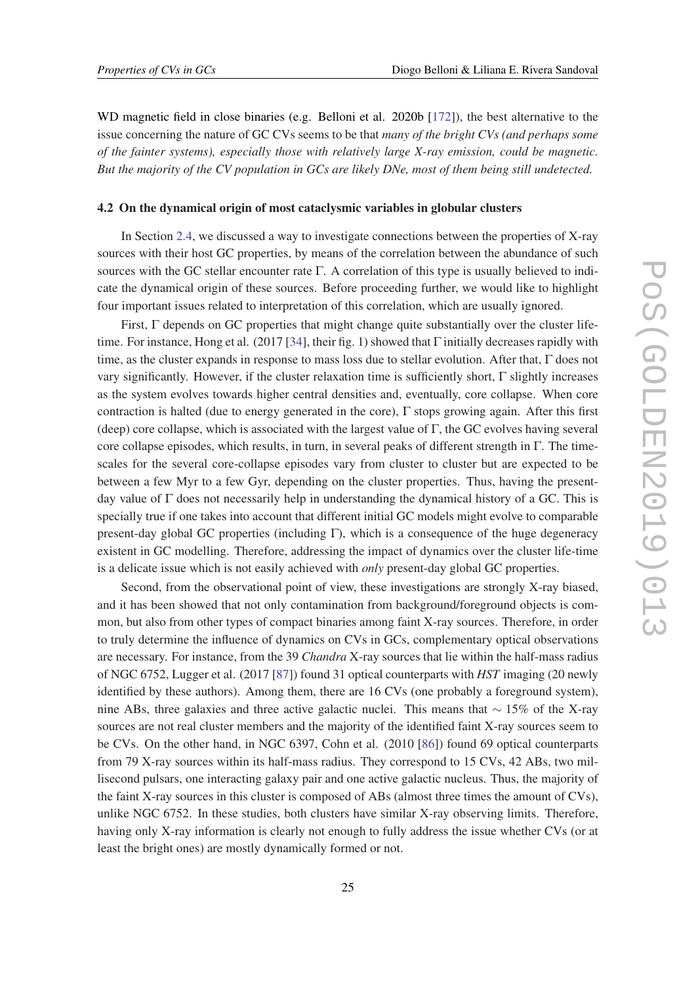<span id="page-25-0"></span>WD magnetic field in close binaries (e.g. Belloni et al. 2020b [[172](#page-40-0)]), the best alternative to the issue concerning the nature of GC CVs seems to be that *many of the bright CVs (and perhaps some of the fainter systems), especially those with relatively large X-ray emission, could be magnetic. But the majority of the CV population in GCs are likely DNe, most of them being still undetected.*

#### 4.2 On the dynamical origin of most cataclysmic variables in globular clusters

In Section [2.4](#page-10-0), we discussed a way to investigate connections between the properties of X-ray sources with their host GC properties, by means of the correlation between the abundance of such sources with the GC stellar encounter rate Γ. A correlation of this type is usually believed to indicate the dynamical origin of these sources. Before proceeding further, we would like to highlight four important issues related to interpretation of this correlation, which are usually ignored.

First,  $\Gamma$  depends on GC properties that might change quite substantially over the cluster lifetime. For instance, Hong et al. (2017 [[34\]](#page-31-0), their fig. 1) showed that Γ initially decreases rapidly with time, as the cluster expands in response to mass loss due to stellar evolution. After that, Γ does not vary significantly. However, if the cluster relaxation time is sufficiently short,  $\Gamma$  slightly increases as the system evolves towards higher central densities and, eventually, core collapse. When core contraction is halted (due to energy generated in the core),  $\Gamma$  stops growing again. After this first (deep) core collapse, which is associated with the largest value of  $\Gamma$ , the GC evolves having several core collapse episodes, which results, in turn, in several peaks of different strength in Γ. The timescales for the several core-collapse episodes vary from cluster to cluster but are expected to be between a few Myr to a few Gyr, depending on the cluster properties. Thus, having the presentday value of Γ does not necessarily help in understanding the dynamical history of a GC. This is specially true if one takes into account that different initial GC models might evolve to comparable present-day global GC properties (including  $\Gamma$ ), which is a consequence of the huge degeneracy existent in GC modelling. Therefore, addressing the impact of dynamics over the cluster life-time is a delicate issue which is not easily achieved with *only* present-day global GC properties.

Second, from the observational point of view, these investigations are strongly X-ray biased, and it has been showed that not only contamination from background/foreground objects is common, but also from other types of compact binaries among faint X-ray sources. Therefore, in order to truly determine the influence of dynamics on CVs in GCs, complementary optical observations are necessary. For instance, from the 39 *Chandra* X-ray sources that lie within the half-mass radius of NGC 6752, Lugger et al. (2017 [\[87](#page-35-0)]) found 31 optical counterparts with *HST* imaging (20 newly identified by these authors). Among them, there are 16 CVs (one probably a foreground system), nine ABs, three galaxies and three active galactic nuclei. This means that ∼ 15% of the X-ray sources are not real cluster members and the majority of the identified faint X-ray sources seem to be CVs. On the other hand, in NGC 6397, Cohn et al. (2010 [\[86\]](#page-35-0)) found 69 optical counterparts from 79 X-ray sources within its half-mass radius. They correspond to 15 CVs, 42 ABs, two millisecond pulsars, one interacting galaxy pair and one active galactic nucleus. Thus, the majority of the faint X-ray sources in this cluster is composed of ABs (almost three times the amount of CVs), unlike NGC 6752. In these studies, both clusters have similar X-ray observing limits. Therefore, having only X-ray information is clearly not enough to fully address the issue whether CVs (or at least the bright ones) are mostly dynamically formed or not.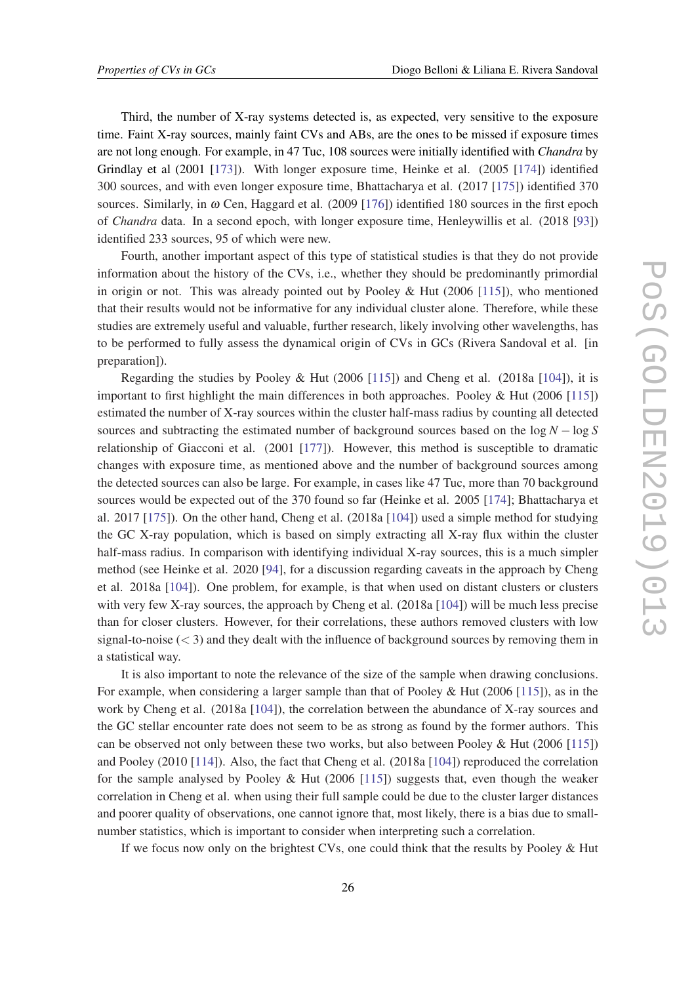Third, the number of X-ray systems detected is, as expected, very sensitive to the exposure time. Faint X-ray sources, mainly faint CVs and ABs, are the ones to be missed if exposure times are not long enough. For example, in 47 Tuc, 108 sources were initially identified with *Chandra* by Grindlay et al (2001 [\[173\]](#page-40-0)). With longer exposure time, Heinke et al. (2005 [\[174](#page-40-0)]) identified 300 sources, and with even longer exposure time, Bhattacharya et al. (2017 [\[175\]](#page-40-0)) identified 370 sources. Similarly, in  $\omega$  Cen, Haggard et al. (2009 [[176\]](#page-40-0)) identified 180 sources in the first epoch of *Chandra* data. In a second epoch, with longer exposure time, Henleywillis et al. (2018 [[93\]](#page-35-0)) identified 233 sources, 95 of which were new.

Fourth, another important aspect of this type of statistical studies is that they do not provide information about the history of the CVs, i.e., whether they should be predominantly primordial in origin or not. This was already pointed out by Pooley & Hut (2006 [\[115\]](#page-36-0)), who mentioned that their results would not be informative for any individual cluster alone. Therefore, while these studies are extremely useful and valuable, further research, likely involving other wavelengths, has to be performed to fully assess the dynamical origin of CVs in GCs (Rivera Sandoval et al. [in preparation]).

Regarding the studies by Pooley & Hut (2006 [\[115\]](#page-36-0)) and Cheng et al. (2018a [\[104\]](#page-36-0)), it is important to first highlight the main differences in both approaches. Pooley & Hut (2006 [\[115\]](#page-36-0)) estimated the number of X-ray sources within the cluster half-mass radius by counting all detected sources and subtracting the estimated number of background sources based on the log *N* − log *S* relationship of Giacconi et al. (2001 [[177](#page-40-0)]). However, this method is susceptible to dramatic changes with exposure time, as mentioned above and the number of background sources among the detected sources can also be large. For example, in cases like 47 Tuc, more than 70 background sources would be expected out of the 370 found so far (Heinke et al. 2005 [\[174\]](#page-40-0); Bhattacharya et al. 2017 [\[175](#page-40-0)]). On the other hand, Cheng et al. (2018a [\[104](#page-36-0)]) used a simple method for studying the GC X-ray population, which is based on simply extracting all X-ray flux within the cluster half-mass radius. In comparison with identifying individual X-ray sources, this is a much simpler method (see Heinke et al. 2020 [[94\]](#page-35-0), for a discussion regarding caveats in the approach by Cheng et al. 2018a [[104](#page-36-0)]). One problem, for example, is that when used on distant clusters or clusters with very few X-ray sources, the approach by Cheng et al. (2018a [\[104\]](#page-36-0)) will be much less precise than for closer clusters. However, for their correlations, these authors removed clusters with low signal-to-noise  $(< 3$ ) and they dealt with the influence of background sources by removing them in a statistical way.

It is also important to note the relevance of the size of the sample when drawing conclusions. For example, when considering a larger sample than that of Pooley & Hut  $(2006 \mid 115)$ ), as in the work by Cheng et al. (2018a [[104](#page-36-0)]), the correlation between the abundance of X-ray sources and the GC stellar encounter rate does not seem to be as strong as found by the former authors. This can be observed not only between these two works, but also between Pooley & Hut (2006 [\[115\]](#page-36-0)) and Pooley (2010 [[114](#page-36-0)]). Also, the fact that Cheng et al. (2018a [\[104\]](#page-36-0)) reproduced the correlation for the sample analysed by Pooley & Hut  $(2006 \mid 115)$  suggests that, even though the weaker correlation in Cheng et al. when using their full sample could be due to the cluster larger distances and poorer quality of observations, one cannot ignore that, most likely, there is a bias due to smallnumber statistics, which is important to consider when interpreting such a correlation.

If we focus now only on the brightest CVs, one could think that the results by Pooley & Hut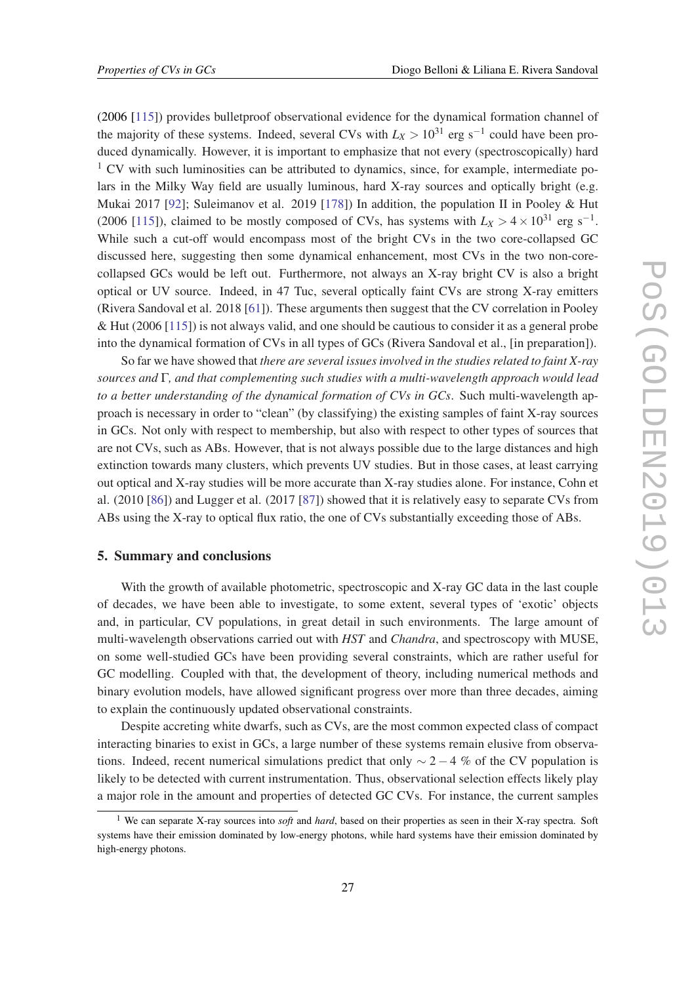<span id="page-27-0"></span>(2006 [[115](#page-36-0)]) provides bulletproof observational evidence for the dynamical formation channel of the majority of these systems. Indeed, several CVs with  $L_X > 10^{31}$  erg s<sup>-1</sup> could have been produced dynamically. However, it is important to emphasize that not every (spectroscopically) hard  $1$  CV with such luminosities can be attributed to dynamics, since, for example, intermediate polars in the Milky Way field are usually luminous, hard X-ray sources and optically bright (e.g. Mukai 2017 [\[92](#page-35-0)]; Suleimanov et al. 2019 [\[178](#page-40-0)]) In addition, the population II in Pooley & Hut (2006 [\[115\]](#page-36-0)), claimed to be mostly composed of CVs, has systems with  $L_X > 4 \times 10^{31}$  erg s<sup>-1</sup>. While such a cut-off would encompass most of the bright CVs in the two core-collapsed GC discussed here, suggesting then some dynamical enhancement, most CVs in the two non-corecollapsed GCs would be left out. Furthermore, not always an X-ray bright CV is also a bright optical or UV source. Indeed, in 47 Tuc, several optically faint CVs are strong X-ray emitters (Rivera Sandoval et al. 2018 [[61\]](#page-33-0)). These arguments then suggest that the CV correlation in Pooley & Hut (2006 [\[115\]](#page-36-0)) is not always valid, and one should be cautious to consider it as a general probe into the dynamical formation of CVs in all types of GCs (Rivera Sandoval et al., [in preparation]).

So far we have showed that *there are several issues involved in the studies related to faint X-ray sources and* Γ*, and that complementing such studies with a multi-wavelength approach would lead to a better understanding of the dynamical formation of CVs in GCs*. Such multi-wavelength approach is necessary in order to "clean" (by classifying) the existing samples of faint X-ray sources in GCs. Not only with respect to membership, but also with respect to other types of sources that are not CVs, such as ABs. However, that is not always possible due to the large distances and high extinction towards many clusters, which prevents UV studies. But in those cases, at least carrying out optical and X-ray studies will be more accurate than X-ray studies alone. For instance, Cohn et al. (2010 [\[86](#page-35-0)]) and Lugger et al. (2017 [[87\]](#page-35-0)) showed that it is relatively easy to separate CVs from ABs using the X-ray to optical flux ratio, the one of CVs substantially exceeding those of ABs.

# 5. Summary and conclusions

With the growth of available photometric, spectroscopic and X-ray GC data in the last couple of decades, we have been able to investigate, to some extent, several types of 'exotic' objects and, in particular, CV populations, in great detail in such environments. The large amount of multi-wavelength observations carried out with *HST* and *Chandra*, and spectroscopy with MUSE, on some well-studied GCs have been providing several constraints, which are rather useful for GC modelling. Coupled with that, the development of theory, including numerical methods and binary evolution models, have allowed significant progress over more than three decades, aiming to explain the continuously updated observational constraints.

Despite accreting white dwarfs, such as CVs, are the most common expected class of compact interacting binaries to exist in GCs, a large number of these systems remain elusive from observations. Indeed, recent numerical simulations predict that only  $\sim$  2 − 4 % of the CV population is likely to be detected with current instrumentation. Thus, observational selection effects likely play a major role in the amount and properties of detected GC CVs. For instance, the current samples

<sup>1</sup> We can separate X-ray sources into *soft* and *hard*, based on their properties as seen in their X-ray spectra. Soft systems have their emission dominated by low-energy photons, while hard systems have their emission dominated by high-energy photons.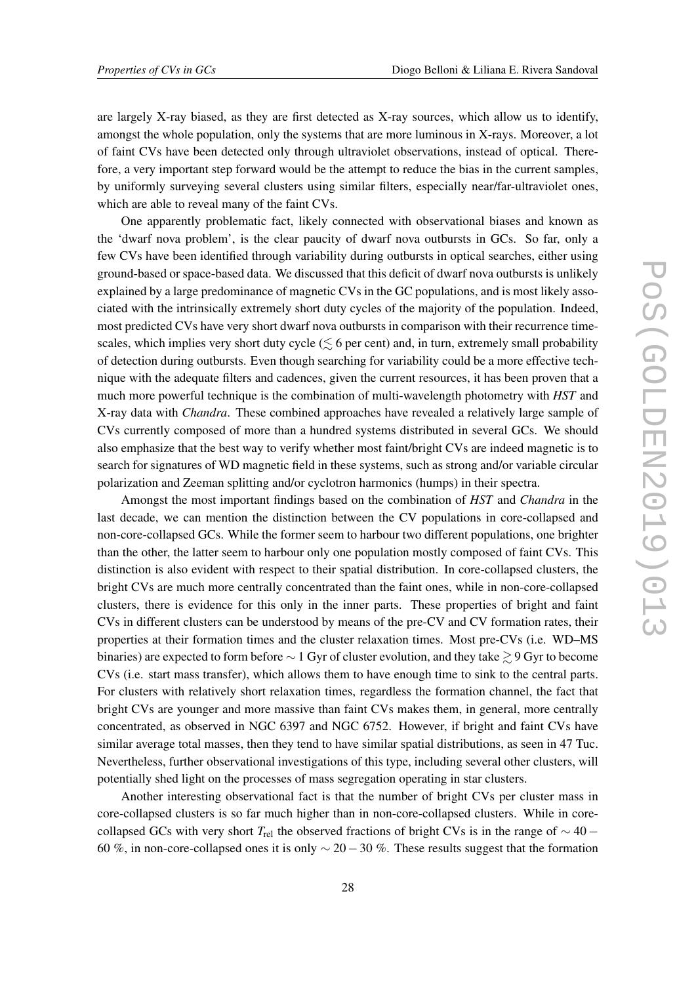are largely X-ray biased, as they are first detected as X-ray sources, which allow us to identify, amongst the whole population, only the systems that are more luminous in X-rays. Moreover, a lot of faint CVs have been detected only through ultraviolet observations, instead of optical. Therefore, a very important step forward would be the attempt to reduce the bias in the current samples, by uniformly surveying several clusters using similar filters, especially near/far-ultraviolet ones, which are able to reveal many of the faint CVs.

One apparently problematic fact, likely connected with observational biases and known as the 'dwarf nova problem', is the clear paucity of dwarf nova outbursts in GCs. So far, only a few CVs have been identified through variability during outbursts in optical searches, either using ground-based or space-based data. We discussed that this deficit of dwarf nova outbursts is unlikely explained by a large predominance of magnetic CVs in the GC populations, and is most likely associated with the intrinsically extremely short duty cycles of the majority of the population. Indeed, most predicted CVs have very short dwarf nova outbursts in comparison with their recurrence timescales, which implies very short duty cycle ( $\leq 6$  per cent) and, in turn, extremely small probability of detection during outbursts. Even though searching for variability could be a more effective technique with the adequate filters and cadences, given the current resources, it has been proven that a much more powerful technique is the combination of multi-wavelength photometry with *HST* and X-ray data with *Chandra*. These combined approaches have revealed a relatively large sample of CVs currently composed of more than a hundred systems distributed in several GCs. We should also emphasize that the best way to verify whether most faint/bright CVs are indeed magnetic is to search for signatures of WD magnetic field in these systems, such as strong and/or variable circular polarization and Zeeman splitting and/or cyclotron harmonics (humps) in their spectra.

Amongst the most important findings based on the combination of *HST* and *Chandra* in the last decade, we can mention the distinction between the CV populations in core-collapsed and non-core-collapsed GCs. While the former seem to harbour two different populations, one brighter than the other, the latter seem to harbour only one population mostly composed of faint CVs. This distinction is also evident with respect to their spatial distribution. In core-collapsed clusters, the bright CVs are much more centrally concentrated than the faint ones, while in non-core-collapsed clusters, there is evidence for this only in the inner parts. These properties of bright and faint CVs in different clusters can be understood by means of the pre-CV and CV formation rates, their properties at their formation times and the cluster relaxation times. Most pre-CVs (i.e. WD–MS binaries) are expected to form before  $\sim 1$  Gyr of cluster evolution, and they take  $\geq 9$  Gyr to become CVs (i.e. start mass transfer), which allows them to have enough time to sink to the central parts. For clusters with relatively short relaxation times, regardless the formation channel, the fact that bright CVs are younger and more massive than faint CVs makes them, in general, more centrally concentrated, as observed in NGC 6397 and NGC 6752. However, if bright and faint CVs have similar average total masses, then they tend to have similar spatial distributions, as seen in 47 Tuc. Nevertheless, further observational investigations of this type, including several other clusters, will potentially shed light on the processes of mass segregation operating in star clusters.

Another interesting observational fact is that the number of bright CVs per cluster mass in core-collapsed clusters is so far much higher than in non-core-collapsed clusters. While in corecollapsed GCs with very short  $T_{rel}$  the observed fractions of bright CVs is in the range of  $\sim$  40 − 60 %, in non-core-collapsed ones it is only  $\sim$  20 – 30 %. These results suggest that the formation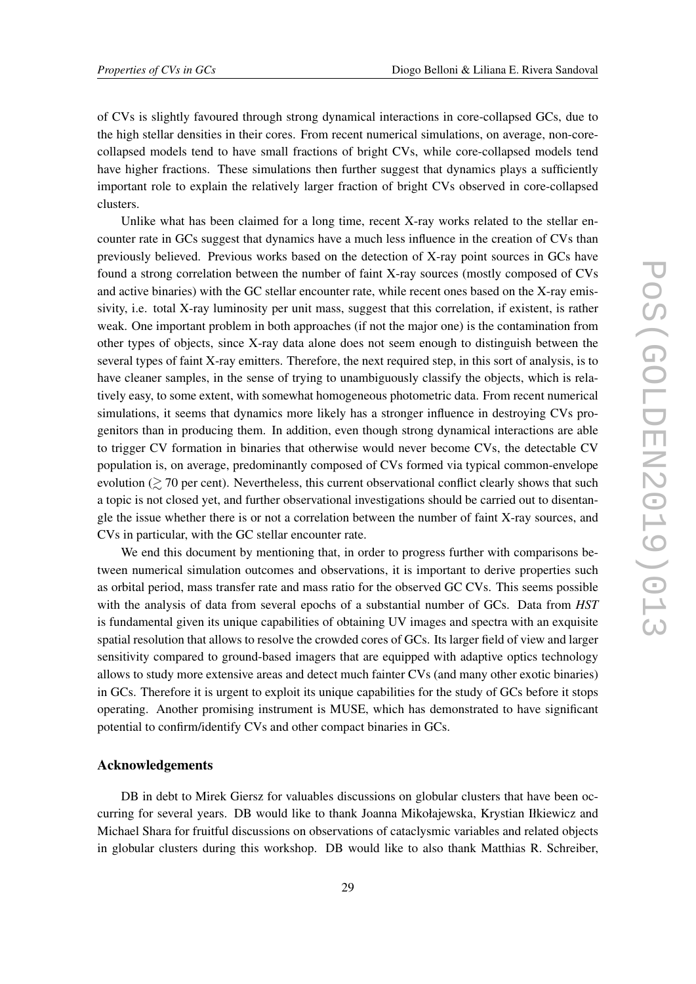of CVs is slightly favoured through strong dynamical interactions in core-collapsed GCs, due to the high stellar densities in their cores. From recent numerical simulations, on average, non-corecollapsed models tend to have small fractions of bright CVs, while core-collapsed models tend have higher fractions. These simulations then further suggest that dynamics plays a sufficiently important role to explain the relatively larger fraction of bright CVs observed in core-collapsed clusters.

Unlike what has been claimed for a long time, recent X-ray works related to the stellar encounter rate in GCs suggest that dynamics have a much less influence in the creation of CVs than previously believed. Previous works based on the detection of X-ray point sources in GCs have found a strong correlation between the number of faint X-ray sources (mostly composed of CVs and active binaries) with the GC stellar encounter rate, while recent ones based on the X-ray emissivity, i.e. total X-ray luminosity per unit mass, suggest that this correlation, if existent, is rather weak. One important problem in both approaches (if not the major one) is the contamination from other types of objects, since X-ray data alone does not seem enough to distinguish between the several types of faint X-ray emitters. Therefore, the next required step, in this sort of analysis, is to have cleaner samples, in the sense of trying to unambiguously classify the objects, which is relatively easy, to some extent, with somewhat homogeneous photometric data. From recent numerical simulations, it seems that dynamics more likely has a stronger influence in destroying CVs progenitors than in producing them. In addition, even though strong dynamical interactions are able to trigger CV formation in binaries that otherwise would never become CVs, the detectable CV population is, on average, predominantly composed of CVs formed via typical common-envelope evolution  $\gtrsim$  70 per cent). Nevertheless, this current observational conflict clearly shows that such a topic is not closed yet, and further observational investigations should be carried out to disentangle the issue whether there is or not a correlation between the number of faint X-ray sources, and CVs in particular, with the GC stellar encounter rate.

We end this document by mentioning that, in order to progress further with comparisons between numerical simulation outcomes and observations, it is important to derive properties such as orbital period, mass transfer rate and mass ratio for the observed GC CVs. This seems possible with the analysis of data from several epochs of a substantial number of GCs. Data from *HST* is fundamental given its unique capabilities of obtaining UV images and spectra with an exquisite spatial resolution that allows to resolve the crowded cores of GCs. Its larger field of view and larger sensitivity compared to ground-based imagers that are equipped with adaptive optics technology allows to study more extensive areas and detect much fainter CVs (and many other exotic binaries) in GCs. Therefore it is urgent to exploit its unique capabilities for the study of GCs before it stops operating. Another promising instrument is MUSE, which has demonstrated to have significant potential to confirm/identify CVs and other compact binaries in GCs.

## Acknowledgements

DB in debt to Mirek Giersz for valuables discussions on globular clusters that have been occurring for several years. DB would like to thank Joanna Mikołajewska, Krystian Iłkiewicz and Michael Shara for fruitful discussions on observations of cataclysmic variables and related objects in globular clusters during this workshop. DB would like to also thank Matthias R. Schreiber,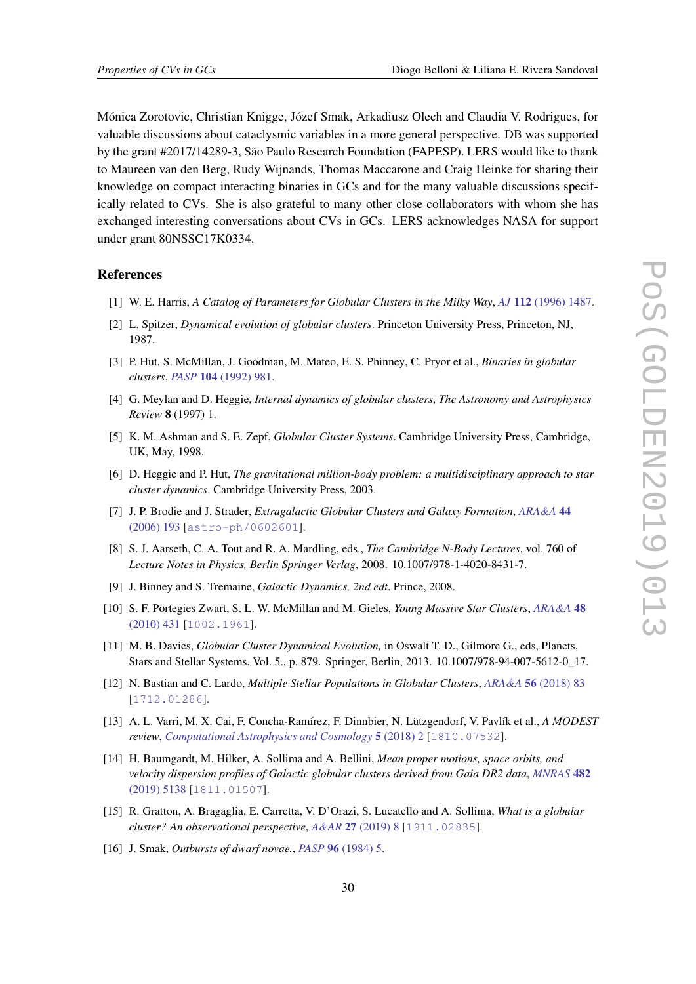<span id="page-30-0"></span>Mónica Zorotovic, Christian Knigge, Józef Smak, Arkadiusz Olech and Claudia V. Rodrigues, for valuable discussions about cataclysmic variables in a more general perspective. DB was supported by the grant #2017/14289-3, São Paulo Research Foundation (FAPESP). LERS would like to thank to Maureen van den Berg, Rudy Wijnands, Thomas Maccarone and Craig Heinke for sharing their knowledge on compact interacting binaries in GCs and for the many valuable discussions specifically related to CVs. She is also grateful to many other close collaborators with whom she has exchanged interesting conversations about CVs in GCs. LERS acknowledges NASA for support under grant 80NSSC17K0334.

# **References**

- [1] W. E. Harris, *A Catalog of Parameters for Globular Clusters in the Milky Way*, *AJ* 112 [\(1996\) 1487](https://doi.org/10.1086/118116).
- [2] L. Spitzer, *Dynamical evolution of globular clusters*. Princeton University Press, Princeton, NJ, 1987.
- [3] P. Hut, S. McMillan, J. Goodman, M. Mateo, E. S. Phinney, C. Pryor et al., *Binaries in globular clusters*, *PASP* 104 [\(1992\) 981](https://doi.org/10.1086/133085).
- [4] G. Meylan and D. Heggie, *Internal dynamics of globular clusters*, *The Astronomy and Astrophysics Review* 8 (1997) 1.
- [5] K. M. Ashman and S. E. Zepf, *Globular Cluster Systems*. Cambridge University Press, Cambridge, UK, May, 1998.
- [6] D. Heggie and P. Hut, *The gravitational million-body problem: a multidisciplinary approach to star cluster dynamics*. Cambridge University Press, 2003.
- [7] J. P. Brodie and J. Strader, *Extragalactic Globular Clusters and Galaxy Formation*, *[ARA&A](https://doi.org/10.1146/annurev.astro.44.051905.092441)* 44 [\(2006\) 193](https://doi.org/10.1146/annurev.astro.44.051905.092441) [[astro-ph/0602601](https://arxiv.org/abs/astro-ph/0602601)].
- [8] S. J. Aarseth, C. A. Tout and R. A. Mardling, eds., *The Cambridge N-Body Lectures*, vol. 760 of *Lecture Notes in Physics, Berlin Springer Verlag*, 2008. 10.1007/978-1-4020-8431-7.
- [9] J. Binney and S. Tremaine, *Galactic Dynamics, 2nd edt*. Prince, 2008.
- [10] S. F. Portegies Zwart, S. L. W. McMillan and M. Gieles, *Young Massive Star Clusters*, *[ARA&A](https://doi.org/10.1146/annurev-astro-081309-130834)* 48 [\(2010\) 431](https://doi.org/10.1146/annurev-astro-081309-130834) [[1002.1961](https://arxiv.org/abs/1002.1961)].
- [11] M. B. Davies, *Globular Cluster Dynamical Evolution,* in Oswalt T. D., Gilmore G., eds, Planets, Stars and Stellar Systems, Vol. 5., p. 879. Springer, Berlin, 2013. 10.1007/978-94-007-5612-0\_17.
- [12] N. Bastian and C. Lardo, *Multiple Stellar Populations in Globular Clusters*, *ARA&A* 56 [\(2018\) 83](https://doi.org/10.1146/annurev-astro-081817-051839) [[1712.01286](https://arxiv.org/abs/1712.01286)].
- [13] A. L. Varri, M. X. Cai, F. Concha-Ramírez, F. Dinnbier, N. Lützgendorf, V. Pavlík et al., *A MODEST review*, *[Computational Astrophysics and Cosmology](https://doi.org/10.1186/s40668-018-0024-6)* 5 (2018) 2 [[1810.07532](https://arxiv.org/abs/1810.07532)].
- [14] H. Baumgardt, M. Hilker, A. Sollima and A. Bellini, *Mean proper motions, space orbits, and velocity dispersion profiles of Galactic globular clusters derived from Gaia DR2 data*, *[MNRAS](https://doi.org/10.1093/mnras/sty2997)* 482 [\(2019\) 5138](https://doi.org/10.1093/mnras/sty2997) [[1811.01507](https://arxiv.org/abs/1811.01507)].
- [15] R. Gratton, A. Bragaglia, E. Carretta, V. D'Orazi, S. Lucatello and A. Sollima, *What is a globular cluster? An observational perspective*, *A&AR* 27 [\(2019\) 8](https://doi.org/10.1007/s00159-019-0119-3) [[1911.02835](https://arxiv.org/abs/1911.02835)].
- [16] J. Smak, *Outbursts of dwarf novae.*, *PASP* 96 [\(1984\) 5.](https://doi.org/10.1086/131295)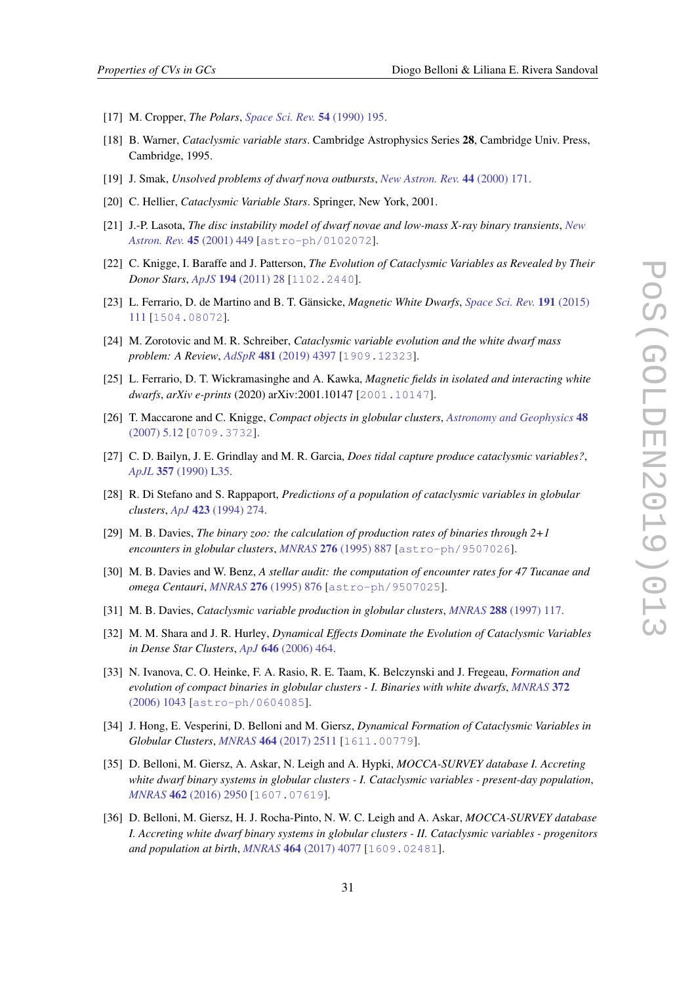- <span id="page-31-0"></span>[17] M. Cropper, *The Polars*, *[Space Sci. Rev.](https://doi.org/10.1007/BF00177799)* 54 (1990) 195.
- [18] B. Warner, *Cataclysmic variable stars*. Cambridge Astrophysics Series 28, Cambridge Univ. Press, Cambridge, 1995.
- [19] J. Smak, *Unsolved problems of dwarf nova outbursts*, *[New Astron. Rev.](https://doi.org/10.1016/S1387-6473(00)00033-6)* 44 (2000) 171.
- [20] C. Hellier, *Cataclysmic Variable Stars*. Springer, New York, 2001.
- [21] J.-P. Lasota, *The disc instability model of dwarf novae and low-mass X-ray binary transients*, *[New](https://doi.org/10.1016/S1387-6473(01)00112-9) [Astron. Rev.](https://doi.org/10.1016/S1387-6473(01)00112-9)* 45 (2001) 449 [[astro-ph/0102072](https://arxiv.org/abs/astro-ph/0102072)].
- [22] C. Knigge, I. Baraffe and J. Patterson, *The Evolution of Cataclysmic Variables as Revealed by Their Donor Stars*, *ApJS* 194 [\(2011\) 28](https://doi.org/10.1088/0067-0049/194/2/28) [[1102.2440](https://arxiv.org/abs/1102.2440)].
- [23] L. Ferrario, D. de Martino and B. T. Gänsicke, *Magnetic White Dwarfs*, *[Space Sci. Rev.](https://doi.org/10.1007/s11214-015-0152-0)* 191 (2015) [111](https://doi.org/10.1007/s11214-015-0152-0) [[1504.08072](https://arxiv.org/abs/1504.08072)].
- [24] M. Zorotovic and M. R. Schreiber, *Cataclysmic variable evolution and the white dwarf mass problem: A Review*, *AdSpR* 481 [\(2019\) 4397](https://doi.org/10.1016/j.asr.2019.08.044) [[1909.12323](https://arxiv.org/abs/1909.12323)].
- [25] L. Ferrario, D. T. Wickramasinghe and A. Kawka, *Magnetic fields in isolated and interacting white dwarfs*, *arXiv e-prints* (2020) arXiv:2001.10147 [[2001.10147](https://arxiv.org/abs/2001.10147)].
- [26] T. Maccarone and C. Knigge, *Compact objects in globular clusters*, *[Astronomy and Geophysics](https://doi.org/10.1111/j.1468-4004.2007.48512.x)* 48 [\(2007\) 5.12](https://doi.org/10.1111/j.1468-4004.2007.48512.x) [[0709.3732](https://arxiv.org/abs/0709.3732)].
- [27] C. D. Bailyn, J. E. Grindlay and M. R. Garcia, *Does tidal capture produce cataclysmic variables?*, *ApJL* 357 [\(1990\) L35](https://doi.org/10.1086/185760).
- [28] R. Di Stefano and S. Rappaport, *Predictions of a population of cataclysmic variables in globular clusters*, *ApJ* 423 [\(1994\) 274](https://doi.org/10.1086/173805).
- [29] M. B. Davies, *The binary zoo: the calculation of production rates of binaries through 2+1 encounters in globular clusters*, *MNRAS* 276 [\(1995\) 887](https://doi.org/10.1093/mnras/276.3.887) [[astro-ph/9507026](https://arxiv.org/abs/astro-ph/9507026)].
- [30] M. B. Davies and W. Benz, *A stellar audit: the computation of encounter rates for 47 Tucanae and omega Centauri*, *MNRAS* 276 [\(1995\) 876](https://doi.org/10.1093/mnras/276.3.876) [[astro-ph/9507025](https://arxiv.org/abs/astro-ph/9507025)].
- [31] M. B. Davies, *Cataclysmic variable production in globular clusters*, *MNRAS* 288 [\(1997\) 117](https://doi.org/10.1093/mnras/288.1.117).
- [32] M. M. Shara and J. R. Hurley, *Dynamical Effects Dominate the Evolution of Cataclysmic Variables in Dense Star Clusters*, *ApJ* 646 [\(2006\) 464](https://doi.org/10.1086/504679).
- [33] N. Ivanova, C. O. Heinke, F. A. Rasio, R. E. Taam, K. Belczynski and J. Fregeau, *Formation and evolution of compact binaries in globular clusters - I. Binaries with white dwarfs*, *[MNRAS](https://doi.org/10.1111/j.1365-2966.2006.10876.x)* 372 [\(2006\) 1043](https://doi.org/10.1111/j.1365-2966.2006.10876.x) [[astro-ph/0604085](https://arxiv.org/abs/astro-ph/0604085)].
- [34] J. Hong, E. Vesperini, D. Belloni and M. Giersz, *Dynamical Formation of Cataclysmic Variables in Globular Clusters*, *MNRAS* 464 [\(2017\) 2511](https://doi.org/10.1093/mnras/stw2595) [[1611.00779](https://arxiv.org/abs/1611.00779)].
- [35] D. Belloni, M. Giersz, A. Askar, N. Leigh and A. Hypki, *MOCCA-SURVEY database I. Accreting white dwarf binary systems in globular clusters - I. Cataclysmic variables - present-day population*, *MNRAS* 462 [\(2016\) 2950](https://doi.org/10.1093/mnras/stw1841) [[1607.07619](https://arxiv.org/abs/1607.07619)].
- [36] D. Belloni, M. Giersz, H. J. Rocha-Pinto, N. W. C. Leigh and A. Askar, *MOCCA-SURVEY database I. Accreting white dwarf binary systems in globular clusters - II. Cataclysmic variables - progenitors and population at birth*, *MNRAS* 464 [\(2017\) 4077](https://doi.org/10.1093/mnras/stw2516) [[1609.02481](https://arxiv.org/abs/1609.02481)].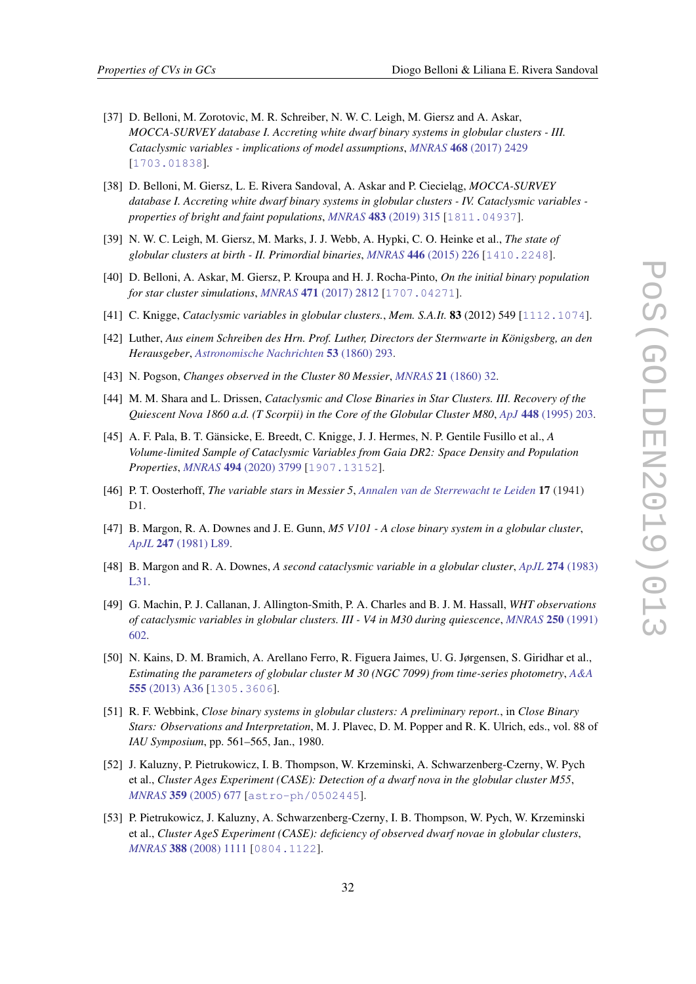- <span id="page-32-0"></span>[37] D. Belloni, M. Zorotovic, M. R. Schreiber, N. W. C. Leigh, M. Giersz and A. Askar, *MOCCA-SURVEY database I. Accreting white dwarf binary systems in globular clusters - III. Cataclysmic variables - implications of model assumptions*, *MNRAS* 468 [\(2017\) 2429](https://doi.org/10.1093/mnras/stx575) [[1703.01838](https://arxiv.org/abs/1703.01838)].
- [38] D. Belloni, M. Giersz, L. E. Rivera Sandoval, A. Askar and P. Ciecielag, *MOCCA-SURVEY database I. Accreting white dwarf binary systems in globular clusters - IV. Cataclysmic variables properties of bright and faint populations*, *MNRAS* 483 [\(2019\) 315](https://doi.org/10.1093/mnras/sty3097) [[1811.04937](https://arxiv.org/abs/1811.04937)].
- [39] N. W. C. Leigh, M. Giersz, M. Marks, J. J. Webb, A. Hypki, C. O. Heinke et al., *The state of globular clusters at birth - II. Primordial binaries*, *MNRAS* 446 [\(2015\) 226](https://doi.org/10.1093/mnras/stu2110) [[1410.2248](https://arxiv.org/abs/1410.2248)].
- [40] D. Belloni, A. Askar, M. Giersz, P. Kroupa and H. J. Rocha-Pinto, *On the initial binary population for star cluster simulations*, *MNRAS* 471 [\(2017\) 2812](https://doi.org/10.1093/mnras/stx1763) [[1707.04271](https://arxiv.org/abs/1707.04271)].
- [41] C. Knigge, *Cataclysmic variables in globular clusters.*, *Mem. S.A.It.* 83 (2012) 549 [[1112.1074](https://arxiv.org/abs/1112.1074)].
- [42] Luther, *Aus einem Schreiben des Hrn. Prof. Luther, Directors der Sternwarte in Königsberg, an den Herausgeber*, *[Astronomische Nachrichten](https://doi.org/10.1002/asna.18600531903)* 53 (1860) 293.
- [43] N. Pogson, *Changes observed in the Cluster 80 Messier*, *MNRAS* 21 [\(1860\) 32](https://doi.org/10.1093/mnras/21.1.32).
- [44] M. M. Shara and L. Drissen, *Cataclysmic and Close Binaries in Star Clusters. III. Recovery of the Quiescent Nova 1860 a.d. (T Scorpii) in the Core of the Globular Cluster M80*, *ApJ* 448 [\(1995\) 203.](https://doi.org/10.1086/175952)
- [45] A. F. Pala, B. T. Gänsicke, E. Breedt, C. Knigge, J. J. Hermes, N. P. Gentile Fusillo et al., *A Volume-limited Sample of Cataclysmic Variables from Gaia DR2: Space Density and Population Properties*, *MNRAS* 494 [\(2020\) 3799](https://doi.org/10.1093/mnras/staa764) [[1907.13152](https://arxiv.org/abs/1907.13152)].
- [46] P. T. Oosterhoff, *The variable stars in Messier 5*, *[Annalen van de Sterrewacht te Leiden](https://ui.adsabs.harvard.edu/abs/1941AnLei..17D...1O)* 17 (1941) D1.
- [47] B. Margon, R. A. Downes and J. E. Gunn, *M5 V101 A close binary system in a globular cluster*, *ApJL* 247 [\(1981\) L89](https://doi.org/10.1086/183596).
- [48] B. Margon and R. A. Downes, *A second cataclysmic variable in a globular cluster*, *ApJL* 274 [\(1983\)](https://doi.org/10.1086/184145) [L31](https://doi.org/10.1086/184145).
- [49] G. Machin, P. J. Callanan, J. Allington-Smith, P. A. Charles and B. J. M. Hassall, *WHT observations of cataclysmic variables in globular clusters. III - V4 in M30 during quiescence*, *[MNRAS](https://doi.org/10.1093/mnras/250.3.602)* 250 (1991) [602](https://doi.org/10.1093/mnras/250.3.602).
- [50] N. Kains, D. M. Bramich, A. Arellano Ferro, R. Figuera Jaimes, U. G. Jørgensen, S. Giridhar et al., *Estimating the parameters of globular cluster M 30 (NGC 7099) from time-series photometry*, *[A&A](https://doi.org/10.1051/0004-6361/201321819)* 555 [\(2013\) A36](https://doi.org/10.1051/0004-6361/201321819) [[1305.3606](https://arxiv.org/abs/1305.3606)].
- [51] R. F. Webbink, *Close binary systems in globular clusters: A preliminary report.*, in *Close Binary Stars: Observations and Interpretation*, M. J. Plavec, D. M. Popper and R. K. Ulrich, eds., vol. 88 of *IAU Symposium*, pp. 561–565, Jan., 1980.
- [52] J. Kaluzny, P. Pietrukowicz, I. B. Thompson, W. Krzeminski, A. Schwarzenberg-Czerny, W. Pych et al., *Cluster Ages Experiment (CASE): Detection of a dwarf nova in the globular cluster M55*, *MNRAS* 359 [\(2005\) 677](https://doi.org/10.1111/j.1365-2966.2005.08940.x) [[astro-ph/0502445](https://arxiv.org/abs/astro-ph/0502445)].
- [53] P. Pietrukowicz, J. Kaluzny, A. Schwarzenberg-Czerny, I. B. Thompson, W. Pych, W. Krzeminski et al., *Cluster AgeS Experiment (CASE): deficiency of observed dwarf novae in globular clusters*, *MNRAS* 388 [\(2008\) 1111](https://doi.org/10.1111/j.1365-2966.2008.13287.x) [[0804.1122](https://arxiv.org/abs/0804.1122)].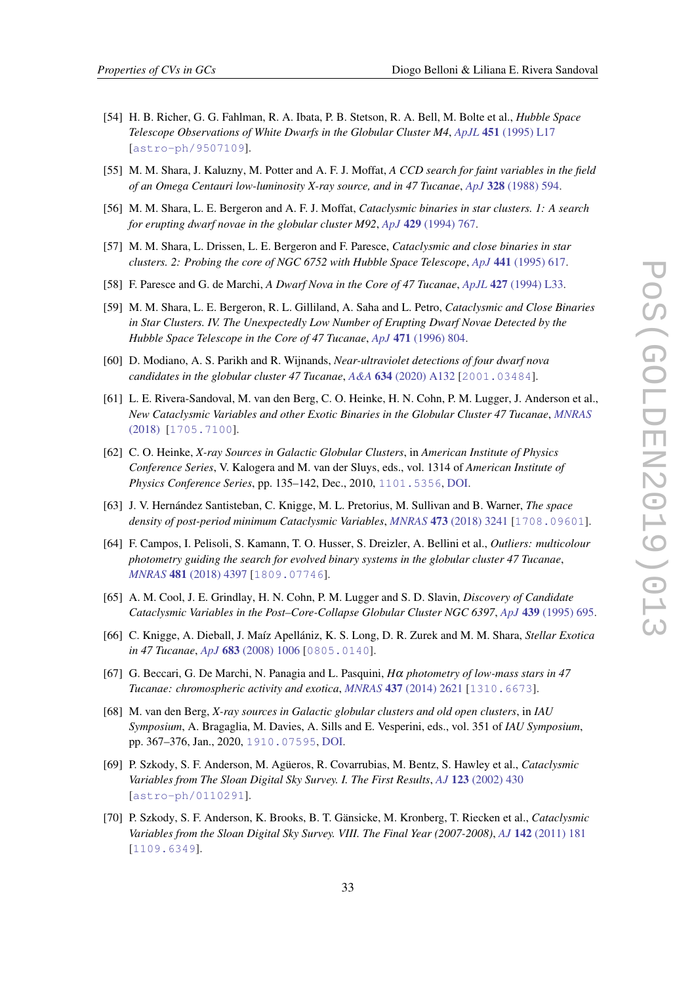- <span id="page-33-0"></span>[54] H. B. Richer, G. G. Fahlman, R. A. Ibata, P. B. Stetson, R. A. Bell, M. Bolte et al., *Hubble Space Telescope Observations of White Dwarfs in the Globular Cluster M4*, *ApJL* 451 [\(1995\) L17](https://doi.org/10.1086/309674) [[astro-ph/9507109](https://arxiv.org/abs/astro-ph/9507109)].
- [55] M. M. Shara, J. Kaluzny, M. Potter and A. F. J. Moffat, *A CCD search for faint variables in the field of an Omega Centauri low-luminosity X-ray source, and in 47 Tucanae*, *ApJ* 328 [\(1988\) 594](https://doi.org/10.1086/166317).
- [56] M. M. Shara, L. E. Bergeron and A. F. J. Moffat, *Cataclysmic binaries in star clusters. 1: A search for erupting dwarf novae in the globular cluster M92*, *ApJ* 429 [\(1994\) 767.](https://doi.org/10.1086/174361)
- [57] M. M. Shara, L. Drissen, L. E. Bergeron and F. Paresce, *Cataclysmic and close binaries in star clusters. 2: Probing the core of NGC 6752 with Hubble Space Telescope*, *ApJ* 441 [\(1995\) 617.](https://doi.org/10.1086/175387)
- [58] F. Paresce and G. de Marchi, *A Dwarf Nova in the Core of 47 Tucanae*, *ApJL* 427 [\(1994\) L33.](https://doi.org/10.1086/187358)
- [59] M. M. Shara, L. E. Bergeron, R. L. Gilliland, A. Saha and L. Petro, *Cataclysmic and Close Binaries in Star Clusters. IV. The Unexpectedly Low Number of Erupting Dwarf Novae Detected by the Hubble Space Telescope in the Core of 47 Tucanae*, *ApJ* 471 [\(1996\) 804](https://doi.org/10.1086/178008).
- [60] D. Modiano, A. S. Parikh and R. Wijnands, *Near-ultraviolet detections of four dwarf nova candidates in the globular cluster 47 Tucanae*, *A&A* 634 [\(2020\) A132](https://doi.org/10.1051/0004-6361/201937043) [[2001.03484](https://arxiv.org/abs/2001.03484)].
- [61] L. E. Rivera-Sandoval, M. van den Berg, C. O. Heinke, H. N. Cohn, P. M. Lugger, J. Anderson et al., *New Cataclysmic Variables and other Exotic Binaries in the Globular Cluster 47 Tucanae*, *[MNRAS](https://doi.org/10.1093/mnras/sty058)* [\(2018\)](https://doi.org/10.1093/mnras/sty058) [[1705.7100](https://arxiv.org/abs/1705.7100)].
- [62] C. O. Heinke, *X-ray Sources in Galactic Globular Clusters*, in *American Institute of Physics Conference Series*, V. Kalogera and M. van der Sluys, eds., vol. 1314 of *American Institute of Physics Conference Series*, pp. 135–142, Dec., 2010, [1101.5356](https://arxiv.org/abs/1101.5356), [DOI](https://doi.org/10.1063/1.3536355).
- [63] J. V. Hernández Santisteban, C. Knigge, M. L. Pretorius, M. Sullivan and B. Warner, *The space density of post-period minimum Cataclysmic Variables*, *MNRAS* 473 [\(2018\) 3241](https://doi.org/10.1093/mnras/stx2296) [[1708.09601](https://arxiv.org/abs/1708.09601)].
- [64] F. Campos, I. Pelisoli, S. Kamann, T. O. Husser, S. Dreizler, A. Bellini et al., *Outliers: multicolour photometry guiding the search for evolved binary systems in the globular cluster 47 Tucanae*, *MNRAS* 481 [\(2018\) 4397](https://doi.org/10.1093/mnras/sty2591) [[1809.07746](https://arxiv.org/abs/1809.07746)].
- [65] A. M. Cool, J. E. Grindlay, H. N. Cohn, P. M. Lugger and S. D. Slavin, *Discovery of Candidate Cataclysmic Variables in the Post–Core-Collapse Globular Cluster NGC 6397*, *ApJ* 439 [\(1995\) 695](https://doi.org/10.1086/175209).
- [66] C. Knigge, A. Dieball, J. Maíz Apellániz, K. S. Long, D. R. Zurek and M. M. Shara, *Stellar Exotica in 47 Tucanae*, *ApJ* 683 [\(2008\) 1006](https://doi.org/10.1086/589987) [[0805.0140](https://arxiv.org/abs/0805.0140)].
- [67] G. Beccari, G. De Marchi, N. Panagia and L. Pasquini, *H*α *photometry of low-mass stars in 47 Tucanae: chromospheric activity and exotica*, *MNRAS* 437 [\(2014\) 2621](https://doi.org/10.1093/mnras/stt2074) [[1310.6673](https://arxiv.org/abs/1310.6673)].
- [68] M. van den Berg, *X-ray sources in Galactic globular clusters and old open clusters*, in *IAU Symposium*, A. Bragaglia, M. Davies, A. Sills and E. Vesperini, eds., vol. 351 of *IAU Symposium*, pp. 367–376, Jan., 2020, [1910.07595](https://arxiv.org/abs/1910.07595), [DOI](https://doi.org/10.1017/S1743921319007981).
- [69] P. Szkody, S. F. Anderson, M. Agüeros, R. Covarrubias, M. Bentz, S. Hawley et al., *Cataclysmic Variables from The Sloan Digital Sky Survey. I. The First Results*, *AJ* 123 [\(2002\) 430](https://doi.org/10.1086/324734) [[astro-ph/0110291](https://arxiv.org/abs/astro-ph/0110291)].
- [70] P. Szkody, S. F. Anderson, K. Brooks, B. T. Gänsicke, M. Kronberg, T. Riecken et al., *Cataclysmic Variables from the Sloan Digital Sky Survey. VIII. The Final Year (2007-2008)*, *AJ* 142 [\(2011\) 181](https://doi.org/10.1088/0004-6256/142/6/181) [[1109.6349](https://arxiv.org/abs/1109.6349)].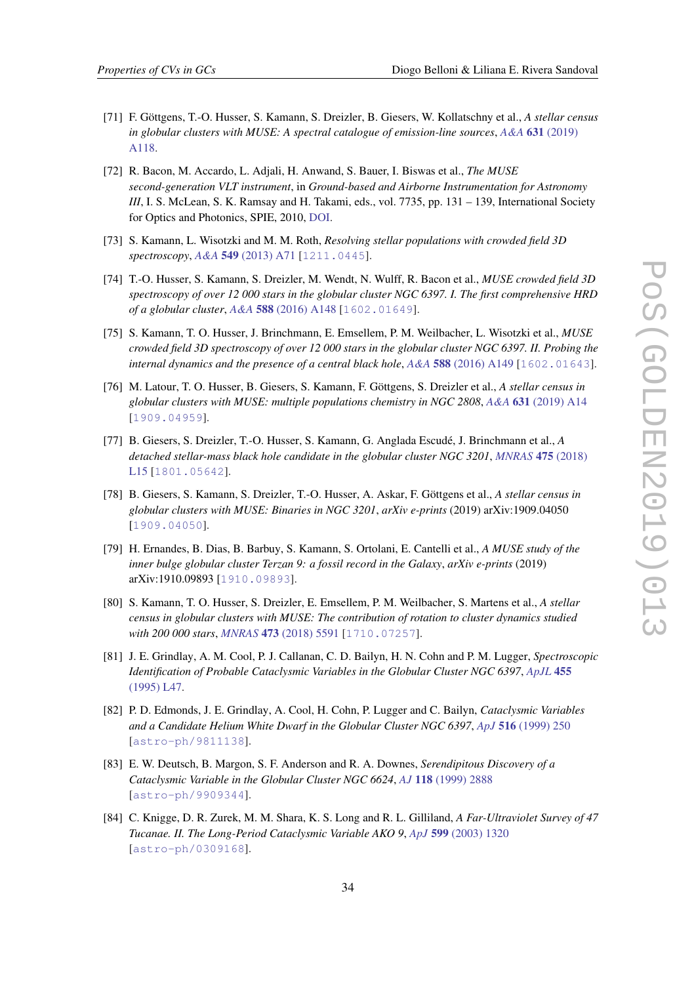- <span id="page-34-0"></span>[71] F. Göttgens, T.-O. Husser, S. Kamann, S. Dreizler, B. Giesers, W. Kollatschny et al., *A stellar census in globular clusters with MUSE: A spectral catalogue of emission-line sources*, *A&A* 631 [\(2019\)](https://doi.org/10.1051/0004-6361/201936485) [A118](https://doi.org/10.1051/0004-6361/201936485).
- [72] R. Bacon, M. Accardo, L. Adjali, H. Anwand, S. Bauer, I. Biswas et al., *The MUSE second-generation VLT instrument*, in *Ground-based and Airborne Instrumentation for Astronomy III*, I. S. McLean, S. K. Ramsay and H. Takami, eds., vol. 7735, pp. 131 – 139, International Society for Optics and Photonics, SPIE, 2010, [DOI](https://doi.org/10.1117/12.856027).
- [73] S. Kamann, L. Wisotzki and M. M. Roth, *Resolving stellar populations with crowded field 3D spectroscopy*, *A&A* 549 [\(2013\) A71](https://doi.org/10.1051/0004-6361/201220476) [[1211.0445](https://arxiv.org/abs/1211.0445)].
- [74] T.-O. Husser, S. Kamann, S. Dreizler, M. Wendt, N. Wulff, R. Bacon et al., *MUSE crowded field 3D spectroscopy of over 12 000 stars in the globular cluster NGC 6397. I. The first comprehensive HRD of a globular cluster*, *A&A* 588 [\(2016\) A148](https://doi.org/10.1051/0004-6361/201526949) [[1602.01649](https://arxiv.org/abs/1602.01649)].
- [75] S. Kamann, T. O. Husser, J. Brinchmann, E. Emsellem, P. M. Weilbacher, L. Wisotzki et al., *MUSE crowded field 3D spectroscopy of over 12 000 stars in the globular cluster NGC 6397. II. Probing the internal dynamics and the presence of a central black hole, A&A* 588 [\(2016\) A149](https://doi.org/10.1051/0004-6361/201527065) [[1602.01643](https://arxiv.org/abs/1602.01643)].
- [76] M. Latour, T. O. Husser, B. Giesers, S. Kamann, F. Göttgens, S. Dreizler et al., *A stellar census in globular clusters with MUSE: multiple populations chemistry in NGC 2808*, *A&A* 631 [\(2019\) A14](https://doi.org/10.1051/0004-6361/201936242) [[1909.04959](https://arxiv.org/abs/1909.04959)].
- [77] B. Giesers, S. Dreizler, T.-O. Husser, S. Kamann, G. Anglada Escudé, J. Brinchmann et al., *A detached stellar-mass black hole candidate in the globular cluster NGC 3201*, *[MNRAS](https://doi.org/10.1093/mnrasl/slx203)* 475 (2018) [L15](https://doi.org/10.1093/mnrasl/slx203) [[1801.05642](https://arxiv.org/abs/1801.05642)].
- [78] B. Giesers, S. Kamann, S. Dreizler, T.-O. Husser, A. Askar, F. Göttgens et al., *A stellar census in globular clusters with MUSE: Binaries in NGC 3201*, *arXiv e-prints* (2019) arXiv:1909.04050 [[1909.04050](https://arxiv.org/abs/1909.04050)].
- [79] H. Ernandes, B. Dias, B. Barbuy, S. Kamann, S. Ortolani, E. Cantelli et al., *A MUSE study of the inner bulge globular cluster Terzan 9: a fossil record in the Galaxy*, *arXiv e-prints* (2019) arXiv:1910.09893 [[1910.09893](https://arxiv.org/abs/1910.09893)].
- [80] S. Kamann, T. O. Husser, S. Dreizler, E. Emsellem, P. M. Weilbacher, S. Martens et al., *A stellar census in globular clusters with MUSE: The contribution of rotation to cluster dynamics studied with 200 000 stars*, *MNRAS* 473 [\(2018\) 5591](https://doi.org/10.1093/mnras/stx2719) [[1710.07257](https://arxiv.org/abs/1710.07257)].
- [81] J. E. Grindlay, A. M. Cool, P. J. Callanan, C. D. Bailyn, H. N. Cohn and P. M. Lugger, *Spectroscopic Identification of Probable Cataclysmic Variables in the Globular Cluster NGC 6397*, *[ApJL](https://doi.org/10.1086/309806)* 455 [\(1995\) L47](https://doi.org/10.1086/309806).
- [82] P. D. Edmonds, J. E. Grindlay, A. Cool, H. Cohn, P. Lugger and C. Bailyn, *Cataclysmic Variables and a Candidate Helium White Dwarf in the Globular Cluster NGC 6397*, *ApJ* 516 [\(1999\) 250](https://doi.org/10.1086/307106) [[astro-ph/9811138](https://arxiv.org/abs/astro-ph/9811138)].
- [83] E. W. Deutsch, B. Margon, S. F. Anderson and R. A. Downes, *Serendipitous Discovery of a Cataclysmic Variable in the Globular Cluster NGC 6624*, *AJ* 118 [\(1999\) 2888](https://doi.org/10.1086/301150) [[astro-ph/9909344](https://arxiv.org/abs/astro-ph/9909344)].
- [84] C. Knigge, D. R. Zurek, M. M. Shara, K. S. Long and R. L. Gilliland, *A Far-Ultraviolet Survey of 47 Tucanae. II. The Long-Period Cataclysmic Variable AKO 9*, *ApJ* 599 [\(2003\) 1320](https://doi.org/10.1086/379609) [[astro-ph/0309168](https://arxiv.org/abs/astro-ph/0309168)].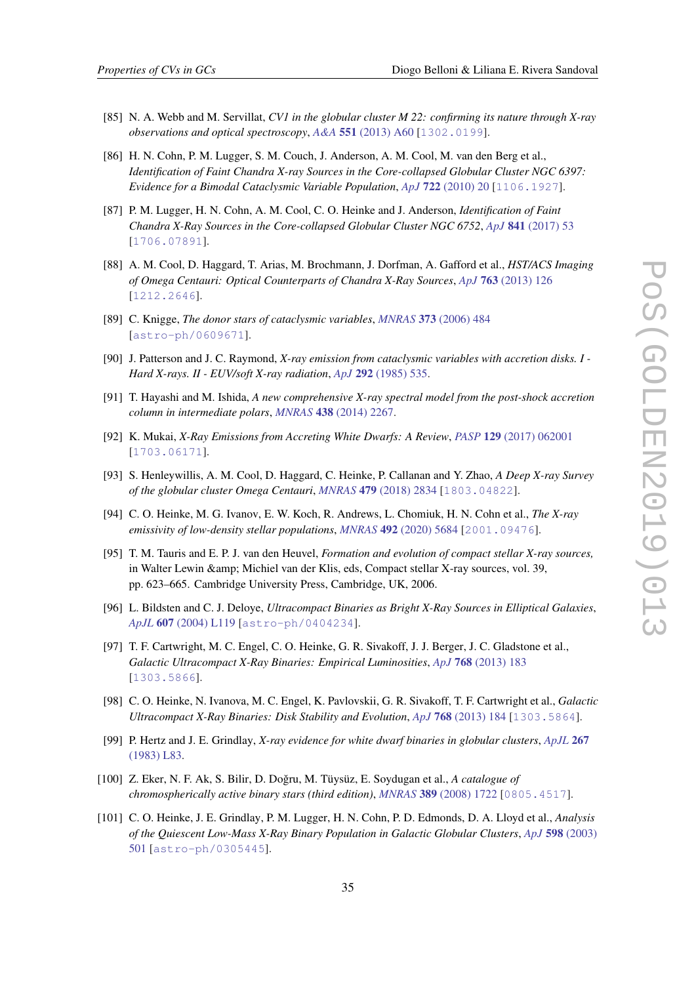- <span id="page-35-0"></span>[85] N. A. Webb and M. Servillat, *CV1 in the globular cluster M 22: confirming its nature through X-ray observations and optical spectroscopy*, *A&A* 551 [\(2013\) A60](https://doi.org/10.1051/0004-6361/201117229) [[1302.0199](https://arxiv.org/abs/1302.0199)].
- [86] H. N. Cohn, P. M. Lugger, S. M. Couch, J. Anderson, A. M. Cool, M. van den Berg et al., *Identification of Faint Chandra X-ray Sources in the Core-collapsed Globular Cluster NGC 6397: Evidence for a Bimodal Cataclysmic Variable Population*, *ApJ* 722 [\(2010\) 20](https://doi.org/10.1088/0004-637X/722/1/20) [[1106.1927](https://arxiv.org/abs/1106.1927)].
- [87] P. M. Lugger, H. N. Cohn, A. M. Cool, C. O. Heinke and J. Anderson, *Identification of Faint Chandra X-Ray Sources in the Core-collapsed Globular Cluster NGC 6752*, *ApJ* 841 [\(2017\) 53](https://doi.org/10.3847/1538-4357/aa6c56) [[1706.07891](https://arxiv.org/abs/1706.07891)].
- [88] A. M. Cool, D. Haggard, T. Arias, M. Brochmann, J. Dorfman, A. Gafford et al., *HST/ACS Imaging of Omega Centauri: Optical Counterparts of Chandra X-Ray Sources*, *ApJ* 763 [\(2013\) 126](https://doi.org/10.1088/0004-637X/763/2/126) [[1212.2646](https://arxiv.org/abs/1212.2646)].
- [89] C. Knigge, *The donor stars of cataclysmic variables*, *MNRAS* 373 [\(2006\) 484](https://doi.org/10.1111/j.1365-2966.2006.11096.x) [[astro-ph/0609671](https://arxiv.org/abs/astro-ph/0609671)].
- [90] J. Patterson and J. C. Raymond, *X-ray emission from cataclysmic variables with accretion disks. I - Hard X-rays. II - EUV/soft X-ray radiation*, *ApJ* 292 [\(1985\) 535.](https://doi.org/10.1086/163187)
- [91] T. Hayashi and M. Ishida, *A new comprehensive X-ray spectral model from the post-shock accretion column in intermediate polars*, *MNRAS* 438 [\(2014\) 2267.](https://doi.org/10.1093/mnras/stt2342)
- [92] K. Mukai, *X-Ray Emissions from Accreting White Dwarfs: A Review*, *PASP* 129 [\(2017\) 062001](https://doi.org/10.1088/1538-3873/aa6736) [[1703.06171](https://arxiv.org/abs/1703.06171)].
- [93] S. Henleywillis, A. M. Cool, D. Haggard, C. Heinke, P. Callanan and Y. Zhao, *A Deep X-ray Survey of the globular cluster Omega Centauri*, *MNRAS* 479 [\(2018\) 2834](https://doi.org/10.1093/mnras/sty675) [[1803.04822](https://arxiv.org/abs/1803.04822)].
- [94] C. O. Heinke, M. G. Ivanov, E. W. Koch, R. Andrews, L. Chomiuk, H. N. Cohn et al., *The X-ray emissivity of low-density stellar populations*, *MNRAS* 492 [\(2020\) 5684](https://doi.org/10.1093/mnras/staa194) [[2001.09476](https://arxiv.org/abs/2001.09476)].
- [95] T. M. Tauris and E. P. J. van den Heuvel, *Formation and evolution of compact stellar X-ray sources,* in Walter Lewin & Michiel van der Klis, eds, Compact stellar X-ray sources, vol. 39, pp. 623–665. Cambridge University Press, Cambridge, UK, 2006.
- [96] L. Bildsten and C. J. Deloye, *Ultracompact Binaries as Bright X-Ray Sources in Elliptical Galaxies*, *ApJL* 607 [\(2004\) L119](https://doi.org/10.1086/421844) [[astro-ph/0404234](https://arxiv.org/abs/astro-ph/0404234)].
- [97] T. F. Cartwright, M. C. Engel, C. O. Heinke, G. R. Sivakoff, J. J. Berger, J. C. Gladstone et al., *Galactic Ultracompact X-Ray Binaries: Empirical Luminosities*, *ApJ* 768 [\(2013\) 183](https://doi.org/10.1088/0004-637X/768/2/183) [[1303.5866](https://arxiv.org/abs/1303.5866)].
- [98] C. O. Heinke, N. Ivanova, M. C. Engel, K. Pavlovskii, G. R. Sivakoff, T. F. Cartwright et al., *Galactic Ultracompact X-Ray Binaries: Disk Stability and Evolution*, *ApJ* 768 [\(2013\) 184](https://doi.org/10.1088/0004-637X/768/2/184) [[1303.5864](https://arxiv.org/abs/1303.5864)].
- [99] P. Hertz and J. E. Grindlay, *X-ray evidence for white dwarf binaries in globular clusters*, *[ApJL](https://doi.org/10.1086/184008)* 267 [\(1983\) L83](https://doi.org/10.1086/184008).
- [100] Z. Eker, N. F. Ak, S. Bilir, D. Doğru, M. Tüysüz, E. Soydugan et al., A catalogue of *chromospherically active binary stars (third edition)*, *MNRAS* 389 [\(2008\) 1722](https://doi.org/10.1111/j.1365-2966.2008.13670.x) [[0805.4517](https://arxiv.org/abs/0805.4517)].
- [101] C. O. Heinke, J. E. Grindlay, P. M. Lugger, H. N. Cohn, P. D. Edmonds, D. A. Lloyd et al., *Analysis of the Quiescent Low-Mass X-Ray Binary Population in Galactic Globular Clusters*, *ApJ* 598 [\(2003\)](https://doi.org/10.1086/378885) [501](https://doi.org/10.1086/378885) [[astro-ph/0305445](https://arxiv.org/abs/astro-ph/0305445)].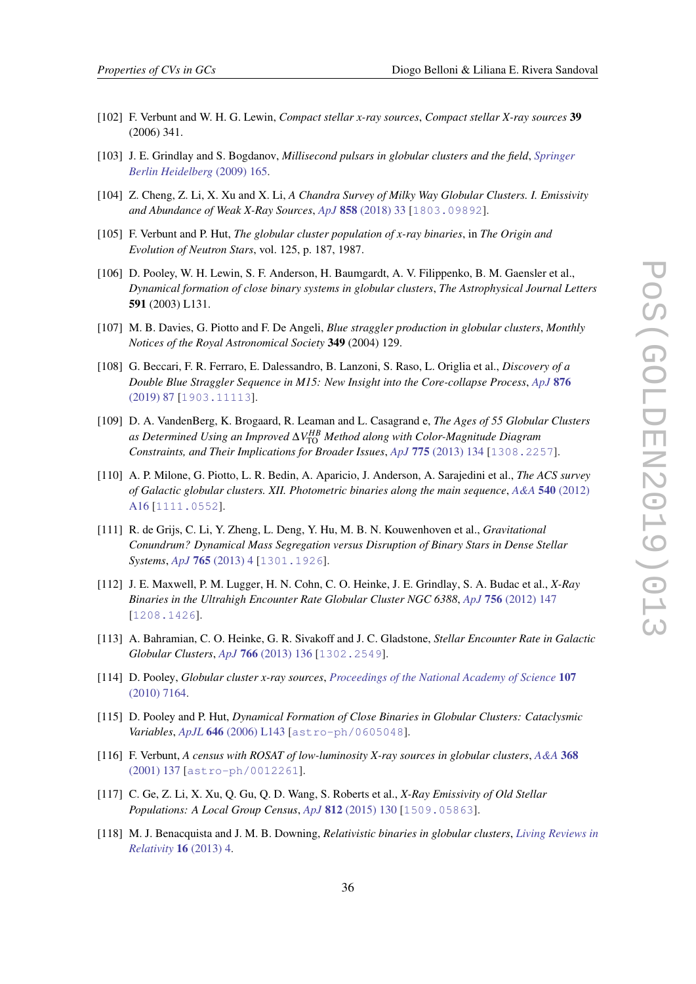- <span id="page-36-0"></span>[102] F. Verbunt and W. H. G. Lewin, *Compact stellar x-ray sources*, *Compact stellar X-ray sources* 39 (2006) 341.
- [103] J. E. Grindlay and S. Bogdanov, *Millisecond pulsars in globular clusters and the field*, *[Springer](https://doi.org/10.1007/978-3-540-76965-1_8) [Berlin Heidelberg](https://doi.org/10.1007/978-3-540-76965-1_8)* (2009) 165.
- [104] Z. Cheng, Z. Li, X. Xu and X. Li, *A Chandra Survey of Milky Way Globular Clusters. I. Emissivity and Abundance of Weak X-Ray Sources*, *ApJ* 858 [\(2018\) 33](https://doi.org/10.3847/1538-4357/aaba16) [[1803.09892](https://arxiv.org/abs/1803.09892)].
- [105] F. Verbunt and P. Hut, *The globular cluster population of x-ray binaries*, in *The Origin and Evolution of Neutron Stars*, vol. 125, p. 187, 1987.
- [106] D. Pooley, W. H. Lewin, S. F. Anderson, H. Baumgardt, A. V. Filippenko, B. M. Gaensler et al., *Dynamical formation of close binary systems in globular clusters*, *The Astrophysical Journal Letters* 591 (2003) L131.
- [107] M. B. Davies, G. Piotto and F. De Angeli, *Blue straggler production in globular clusters*, *Monthly Notices of the Royal Astronomical Society* 349 (2004) 129.
- [108] G. Beccari, F. R. Ferraro, E. Dalessandro, B. Lanzoni, S. Raso, L. Origlia et al., *Discovery of a Double Blue Straggler Sequence in M15: New Insight into the Core-collapse Process*, *[ApJ](https://doi.org/10.3847/1538-4357/ab13a4)* 876 [\(2019\) 87](https://doi.org/10.3847/1538-4357/ab13a4) [[1903.11113](https://arxiv.org/abs/1903.11113)].
- [109] D. A. VandenBerg, K. Brogaard, R. Leaman and L. Casagrand e, *The Ages of 55 Globular Clusters as Determined Using an Improved* ∆*V HB* TO *Method along with Color-Magnitude Diagram Constraints, and Their Implications for Broader Issues*, *ApJ* 775 [\(2013\) 134](https://doi.org/10.1088/0004-637X/775/2/134) [[1308.2257](https://arxiv.org/abs/1308.2257)].
- [110] A. P. Milone, G. Piotto, L. R. Bedin, A. Aparicio, J. Anderson, A. Sarajedini et al., *The ACS survey of Galactic globular clusters. XII. Photometric binaries along the main sequence*, *A&A* 540 [\(2012\)](https://doi.org/10.1051/0004-6361/201016384) [A16](https://doi.org/10.1051/0004-6361/201016384) [[1111.0552](https://arxiv.org/abs/1111.0552)].
- [111] R. de Grijs, C. Li, Y. Zheng, L. Deng, Y. Hu, M. B. N. Kouwenhoven et al., *Gravitational Conundrum? Dynamical Mass Segregation versus Disruption of Binary Stars in Dense Stellar Systems*, *ApJ* 765 [\(2013\) 4](https://doi.org/10.1088/0004-637X/765/1/4) [[1301.1926](https://arxiv.org/abs/1301.1926)].
- [112] J. E. Maxwell, P. M. Lugger, H. N. Cohn, C. O. Heinke, J. E. Grindlay, S. A. Budac et al., *X-Ray Binaries in the Ultrahigh Encounter Rate Globular Cluster NGC 6388*, *ApJ* 756 [\(2012\) 147](https://doi.org/10.1088/0004-637X/756/2/147) [[1208.1426](https://arxiv.org/abs/1208.1426)].
- [113] A. Bahramian, C. O. Heinke, G. R. Sivakoff and J. C. Gladstone, *Stellar Encounter Rate in Galactic Globular Clusters*, *ApJ* 766 [\(2013\) 136](https://doi.org/10.1088/0004-637X/766/2/136) [[1302.2549](https://arxiv.org/abs/1302.2549)].
- [114] D. Pooley, *Globular cluster x-ray sources*, *[Proceedings of the National Academy of Science](https://doi.org/10.1073/pnas.0913903107)* 107 [\(2010\) 7164](https://doi.org/10.1073/pnas.0913903107).
- [115] D. Pooley and P. Hut, *Dynamical Formation of Close Binaries in Globular Clusters: Cataclysmic Variables*, *ApJL* 646 [\(2006\) L143](https://doi.org/10.1086/507027) [[astro-ph/0605048](https://arxiv.org/abs/astro-ph/0605048)].
- [116] F. Verbunt, *A census with ROSAT of low-luminosity X-ray sources in globular clusters*, *[A&A](https://doi.org/10.1051/0004-6361:20000469)* 368 [\(2001\) 137](https://doi.org/10.1051/0004-6361:20000469) [[astro-ph/0012261](https://arxiv.org/abs/astro-ph/0012261)].
- [117] C. Ge, Z. Li, X. Xu, Q. Gu, Q. D. Wang, S. Roberts et al., *X-Ray Emissivity of Old Stellar Populations: A Local Group Census*, *ApJ* 812 [\(2015\) 130](https://doi.org/10.1088/0004-637X/812/2/130) [[1509.05863](https://arxiv.org/abs/1509.05863)].
- [118] M. J. Benacquista and J. M. B. Downing, *Relativistic binaries in globular clusters*, *[Living Reviews in](https://doi.org/10.12942/lrr-2013-4) [Relativity](https://doi.org/10.12942/lrr-2013-4)* 16 (2013) 4.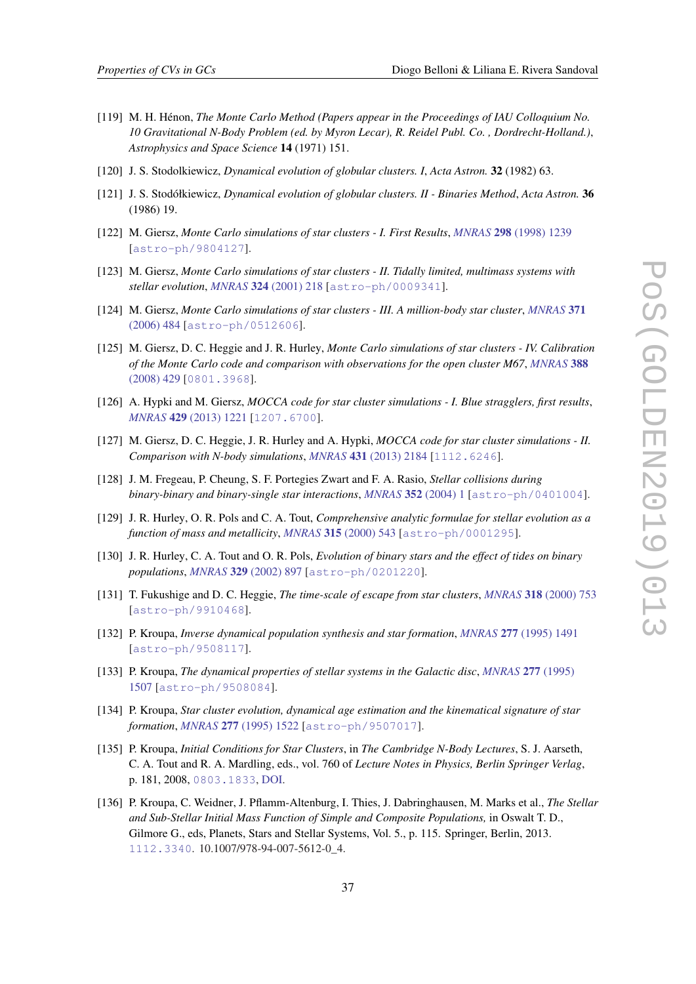- <span id="page-37-0"></span>[119] M. H. Hénon, *The Monte Carlo Method (Papers appear in the Proceedings of IAU Colloquium No. 10 Gravitational N-Body Problem (ed. by Myron Lecar), R. Reidel Publ. Co. , Dordrecht-Holland.)*, *Astrophysics and Space Science* 14 (1971) 151.
- [120] J. S. Stodolkiewicz, *Dynamical evolution of globular clusters. I*, *Acta Astron.* 32 (1982) 63.
- [121] J. S. Stodółkiewicz, *Dynamical evolution of globular clusters. II Binaries Method*, *Acta Astron.* 36 (1986) 19.
- [122] M. Giersz, *Monte Carlo simulations of star clusters I. First Results*, *MNRAS* 298 [\(1998\) 1239](https://doi.org/10.1046/j.1365-8711.1998.01734.x) [[astro-ph/9804127](https://arxiv.org/abs/astro-ph/9804127)].
- [123] M. Giersz, *Monte Carlo simulations of star clusters II. Tidally limited, multimass systems with stellar evolution*, *MNRAS* 324 [\(2001\) 218](https://doi.org/10.1046/j.1365-8711.2001.04337.x) [[astro-ph/0009341](https://arxiv.org/abs/astro-ph/0009341)].
- [124] M. Giersz, *Monte Carlo simulations of star clusters III. A million-body star cluster*, *[MNRAS](https://doi.org/10.1111/j.1365-2966.2006.10693.x)* 371 [\(2006\) 484](https://doi.org/10.1111/j.1365-2966.2006.10693.x) [[astro-ph/0512606](https://arxiv.org/abs/astro-ph/0512606)].
- [125] M. Giersz, D. C. Heggie and J. R. Hurley, *Monte Carlo simulations of star clusters IV. Calibration of the Monte Carlo code and comparison with observations for the open cluster M67*, *[MNRAS](https://doi.org/10.1111/j.1365-2966.2008.13407.x)* 388 [\(2008\) 429](https://doi.org/10.1111/j.1365-2966.2008.13407.x) [[0801.3968](https://arxiv.org/abs/0801.3968)].
- [126] A. Hypki and M. Giersz, *MOCCA code for star cluster simulations I. Blue stragglers, first results*, *MNRAS* 429 [\(2013\) 1221](https://doi.org/10.1093/mnras/sts415) [[1207.6700](https://arxiv.org/abs/1207.6700)].
- [127] M. Giersz, D. C. Heggie, J. R. Hurley and A. Hypki, *MOCCA code for star cluster simulations II. Comparison with N-body simulations*, *MNRAS* 431 [\(2013\) 2184](https://doi.org/10.1093/mnras/stt307) [[1112.6246](https://arxiv.org/abs/1112.6246)].
- [128] J. M. Fregeau, P. Cheung, S. F. Portegies Zwart and F. A. Rasio, *Stellar collisions during binary-binary and binary-single star interactions*, *MNRAS* 352 [\(2004\) 1](https://doi.org/10.1111/j.1365-2966.2004.07914.x) [[astro-ph/0401004](https://arxiv.org/abs/astro-ph/0401004)].
- [129] J. R. Hurley, O. R. Pols and C. A. Tout, *Comprehensive analytic formulae for stellar evolution as a function of mass and metallicity*, *MNRAS* 315 [\(2000\) 543](https://doi.org/10.1046/j.1365-8711.2000.03426.x) [[astro-ph/0001295](https://arxiv.org/abs/astro-ph/0001295)].
- [130] J. R. Hurley, C. A. Tout and O. R. Pols, *Evolution of binary stars and the effect of tides on binary populations*, *MNRAS* 329 [\(2002\) 897](https://doi.org/10.1046/j.1365-8711.2002.05038.x) [[astro-ph/0201220](https://arxiv.org/abs/astro-ph/0201220)].
- [131] T. Fukushige and D. C. Heggie, *The time-scale of escape from star clusters*, *MNRAS* 318 [\(2000\) 753](https://doi.org/10.1046/j.1365-8711.2000.03811.x) [[astro-ph/9910468](https://arxiv.org/abs/astro-ph/9910468)].
- [132] P. Kroupa, *Inverse dynamical population synthesis and star formation*, *MNRAS* 277 [\(1995\) 1491](https://doi.org/10.1093/mnras/277.4.1491) [[astro-ph/9508117](https://arxiv.org/abs/astro-ph/9508117)].
- [133] P. Kroupa, *The dynamical properties of stellar systems in the Galactic disc*, *[MNRAS](https://doi.org/10.1093/mnras/277.4.1507)* 277 (1995) [1507](https://doi.org/10.1093/mnras/277.4.1507) [[astro-ph/9508084](https://arxiv.org/abs/astro-ph/9508084)].
- [134] P. Kroupa, *Star cluster evolution, dynamical age estimation and the kinematical signature of star formation*, *MNRAS* 277 [\(1995\) 1522](https://doi.org/10.1093/mnras/277.4.1522) [[astro-ph/9507017](https://arxiv.org/abs/astro-ph/9507017)].
- [135] P. Kroupa, *Initial Conditions for Star Clusters*, in *The Cambridge N-Body Lectures*, S. J. Aarseth, C. A. Tout and R. A. Mardling, eds., vol. 760 of *Lecture Notes in Physics, Berlin Springer Verlag*, p. 181, 2008, [0803.1833](https://arxiv.org/abs/0803.1833), [DOI.](https://doi.org/10.1007/978-1-4020-8431-7_8)
- [136] P. Kroupa, C. Weidner, J. Pflamm-Altenburg, I. Thies, J. Dabringhausen, M. Marks et al., *The Stellar and Sub-Stellar Initial Mass Function of Simple and Composite Populations,* in Oswalt T. D., Gilmore G., eds, Planets, Stars and Stellar Systems, Vol. 5., p. 115. Springer, Berlin, 2013. [1112.3340](https://arxiv.org/abs/1112.3340). 10.1007/978-94-007-5612-0\_4.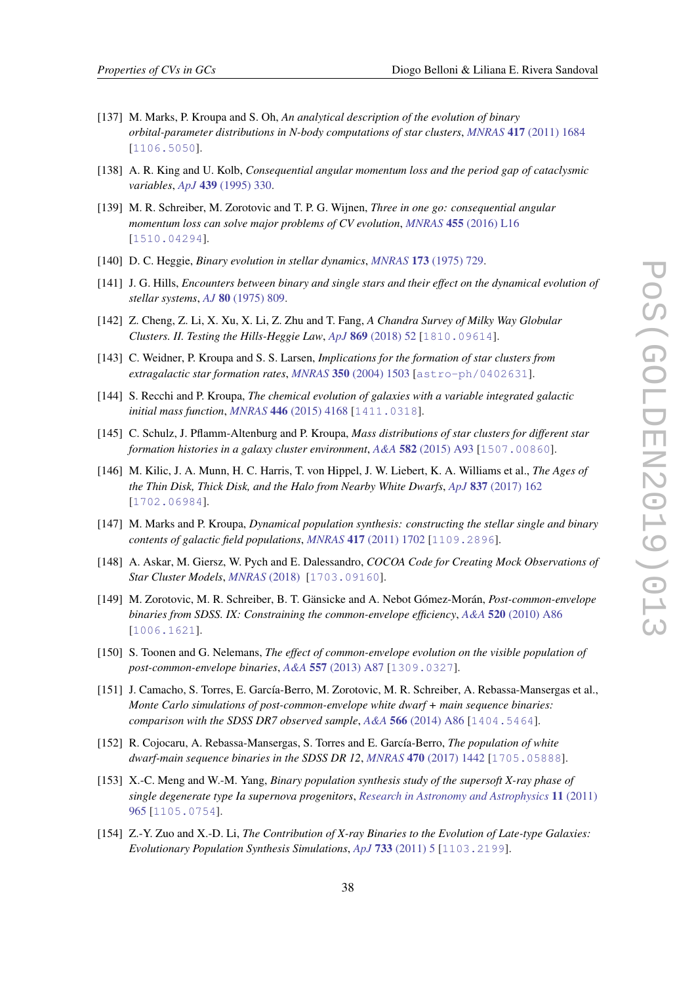- <span id="page-38-0"></span>[137] M. Marks, P. Kroupa and S. Oh, *An analytical description of the evolution of binary orbital-parameter distributions in N-body computations of star clusters*, *MNRAS* 417 [\(2011\) 1684](https://doi.org/10.1111/j.1365-2966.2011.19257.x) [[1106.5050](https://arxiv.org/abs/1106.5050)].
- [138] A. R. King and U. Kolb, *Consequential angular momentum loss and the period gap of cataclysmic variables*, *ApJ* 439 [\(1995\) 330](https://doi.org/10.1086/175176).
- [139] M. R. Schreiber, M. Zorotovic and T. P. G. Wijnen, *Three in one go: consequential angular momentum loss can solve major problems of CV evolution*, *MNRAS* 455 [\(2016\) L16](https://doi.org/10.1093/mnrasl/slv144) [[1510.04294](https://arxiv.org/abs/1510.04294)].
- [140] D. C. Heggie, *Binary evolution in stellar dynamics*, *MNRAS* 173 [\(1975\) 729.](https://doi.org/10.1093/mnras/173.3.729)
- [141] J. G. Hills, *Encounters between binary and single stars and their effect on the dynamical evolution of stellar systems*, *AJ* 80 [\(1975\) 809.](https://doi.org/10.1086/111815)
- [142] Z. Cheng, Z. Li, X. Xu, X. Li, Z. Zhu and T. Fang, *A Chandra Survey of Milky Way Globular Clusters. II. Testing the Hills-Heggie Law*, *ApJ* 869 [\(2018\) 52](https://doi.org/10.3847/1538-4357/aaeb1e) [[1810.09614](https://arxiv.org/abs/1810.09614)].
- [143] C. Weidner, P. Kroupa and S. S. Larsen, *Implications for the formation of star clusters from extragalactic star formation rates*, *MNRAS* 350 [\(2004\) 1503](https://doi.org/10.1111/j.1365-2966.2004.07758.x) [[astro-ph/0402631](https://arxiv.org/abs/astro-ph/0402631)].
- [144] S. Recchi and P. Kroupa, *The chemical evolution of galaxies with a variable integrated galactic initial mass function*, *MNRAS* 446 [\(2015\) 4168](https://doi.org/10.1093/mnras/stu2338) [[1411.0318](https://arxiv.org/abs/1411.0318)].
- [145] C. Schulz, J. Pflamm-Altenburg and P. Kroupa, *Mass distributions of star clusters for different star formation histories in a galaxy cluster environment*, *A&A* 582 [\(2015\) A93](https://doi.org/10.1051/0004-6361/201425296) [[1507.00860](https://arxiv.org/abs/1507.00860)].
- [146] M. Kilic, J. A. Munn, H. C. Harris, T. von Hippel, J. W. Liebert, K. A. Williams et al., *The Ages of the Thin Disk, Thick Disk, and the Halo from Nearby White Dwarfs*, *ApJ* 837 [\(2017\) 162](https://doi.org/10.3847/1538-4357/aa62a5) [[1702.06984](https://arxiv.org/abs/1702.06984)].
- [147] M. Marks and P. Kroupa, *Dynamical population synthesis: constructing the stellar single and binary contents of galactic field populations, MNRAS* 417 [\(2011\) 1702](https://doi.org/10.1111/j.1365-2966.2011.19519.x) [[1109.2896](https://arxiv.org/abs/1109.2896)].
- [148] A. Askar, M. Giersz, W. Pych and E. Dalessandro, *COCOA Code for Creating Mock Observations of Star Cluster Models*, *[MNRAS](https://doi.org/10.1093/mnras/sty101)* (2018) [[1703.09160](https://arxiv.org/abs/1703.09160)].
- [149] M. Zorotovic, M. R. Schreiber, B. T. Gänsicke and A. Nebot Gómez-Morán, *Post-common-envelope binaries from SDSS. IX: Constraining the common-envelope efficiency*, *A&A* 520 [\(2010\) A86](https://doi.org/10.1051/0004-6361/200913658) [[1006.1621](https://arxiv.org/abs/1006.1621)].
- [150] S. Toonen and G. Nelemans, *The effect of common-envelope evolution on the visible population of post-common-envelope binaries*, *A&A* 557 [\(2013\) A87](https://doi.org/10.1051/0004-6361/201321753) [[1309.0327](https://arxiv.org/abs/1309.0327)].
- [151] J. Camacho, S. Torres, E. García-Berro, M. Zorotovic, M. R. Schreiber, A. Rebassa-Mansergas et al., *Monte Carlo simulations of post-common-envelope white dwarf + main sequence binaries: comparison with the SDSS DR7 observed sample*, *A&A* 566 [\(2014\) A86](https://doi.org/10.1051/0004-6361/201323052) [[1404.5464](https://arxiv.org/abs/1404.5464)].
- [152] R. Cojocaru, A. Rebassa-Mansergas, S. Torres and E. García-Berro, *The population of white dwarf-main sequence binaries in the SDSS DR 12*, *MNRAS* 470 [\(2017\) 1442](https://doi.org/10.1093/mnras/stx1326) [[1705.05888](https://arxiv.org/abs/1705.05888)].
- [153] X.-C. Meng and W.-M. Yang, *Binary population synthesis study of the supersoft X-ray phase of single degenerate type Ia supernova progenitors*, *[Research in Astronomy and Astrophysics](https://doi.org/10.1088/1674-4527/11/8/008)* 11 (2011) [965](https://doi.org/10.1088/1674-4527/11/8/008) [[1105.0754](https://arxiv.org/abs/1105.0754)].
- [154] Z.-Y. Zuo and X.-D. Li, *The Contribution of X-ray Binaries to the Evolution of Late-type Galaxies: Evolutionary Population Synthesis Simulations*, *ApJ* 733 [\(2011\) 5](https://doi.org/10.1088/0004-637X/733/1/5) [[1103.2199](https://arxiv.org/abs/1103.2199)].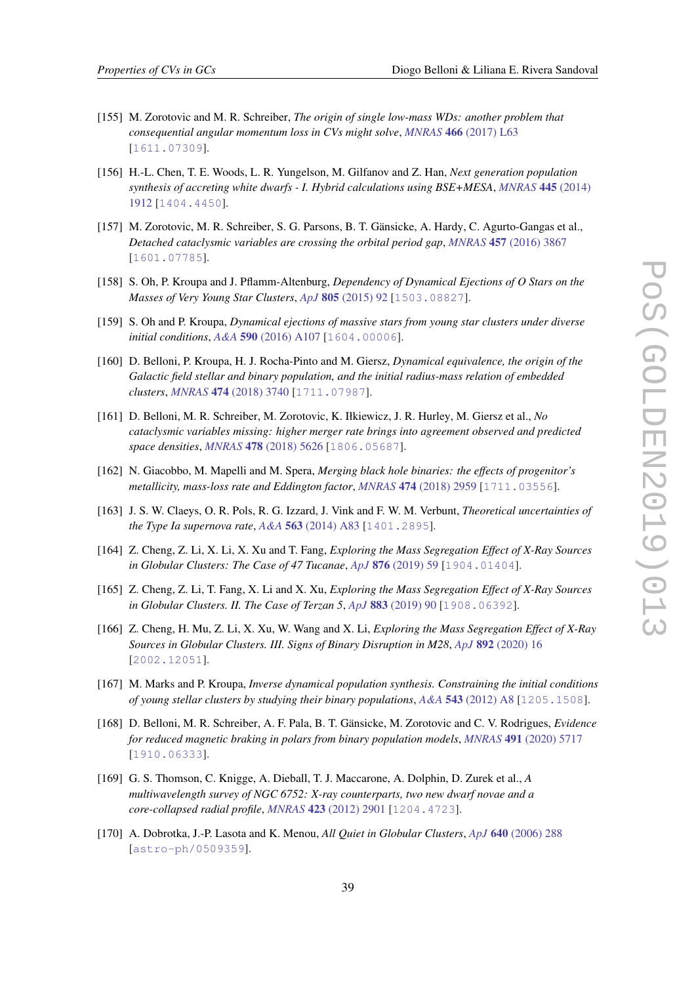- <span id="page-39-0"></span>[155] M. Zorotovic and M. R. Schreiber, *The origin of single low-mass WDs: another problem that consequential angular momentum loss in CVs might solve*, *MNRAS* 466 [\(2017\) L63](https://doi.org/10.1093/mnrasl/slw236) [[1611.07309](https://arxiv.org/abs/1611.07309)].
- [156] H.-L. Chen, T. E. Woods, L. R. Yungelson, M. Gilfanov and Z. Han, *Next generation population synthesis of accreting white dwarfs - I. Hybrid calculations using BSE+MESA*, *[MNRAS](https://doi.org/10.1093/mnras/stu1884)* 445 (2014) [1912](https://doi.org/10.1093/mnras/stu1884) [[1404.4450](https://arxiv.org/abs/1404.4450)].
- [157] M. Zorotovic, M. R. Schreiber, S. G. Parsons, B. T. Gänsicke, A. Hardy, C. Agurto-Gangas et al., *Detached cataclysmic variables are crossing the orbital period gap*, *MNRAS* 457 [\(2016\) 3867](https://doi.org/10.1093/mnras/stw246) [[1601.07785](https://arxiv.org/abs/1601.07785)].
- [158] S. Oh, P. Kroupa and J. Pflamm-Altenburg, *Dependency of Dynamical Ejections of O Stars on the Masses of Very Young Star Clusters*, *ApJ* 805 [\(2015\) 92](https://doi.org/10.1088/0004-637X/805/2/92) [[1503.08827](https://arxiv.org/abs/1503.08827)].
- [159] S. Oh and P. Kroupa, *Dynamical ejections of massive stars from young star clusters under diverse initial conditions*, *A&A* 590 [\(2016\) A107](https://doi.org/10.1051/0004-6361/201628233) [[1604.00006](https://arxiv.org/abs/1604.00006)].
- [160] D. Belloni, P. Kroupa, H. J. Rocha-Pinto and M. Giersz, *Dynamical equivalence, the origin of the Galactic field stellar and binary population, and the initial radius-mass relation of embedded clusters*, *MNRAS* 474 [\(2018\) 3740](https://doi.org/10.1093/mnras/stx3034) [[1711.07987](https://arxiv.org/abs/1711.07987)].
- [161] D. Belloni, M. R. Schreiber, M. Zorotovic, K. Iłkiewicz, J. R. Hurley, M. Giersz et al., *No cataclysmic variables missing: higher merger rate brings into agreement observed and predicted space densities*, *MNRAS* 478 [\(2018\) 5626](https://doi.org/10.1093/mnras/sty1421) [[1806.05687](https://arxiv.org/abs/1806.05687)].
- [162] N. Giacobbo, M. Mapelli and M. Spera, *Merging black hole binaries: the effects of progenitor's metallicity, mass-loss rate and Eddington factor, <i>MNRAS* 474 [\(2018\) 2959](https://doi.org/10.1093/mnras/stx2933) [[1711.03556](https://arxiv.org/abs/1711.03556)].
- [163] J. S. W. Claeys, O. R. Pols, R. G. Izzard, J. Vink and F. W. M. Verbunt, *Theoretical uncertainties of the Type Ia supernova rate*, *A&A* 563 [\(2014\) A83](https://doi.org/10.1051/0004-6361/201322714) [[1401.2895](https://arxiv.org/abs/1401.2895)].
- [164] Z. Cheng, Z. Li, X. Li, X. Xu and T. Fang, *Exploring the Mass Segregation Effect of X-Ray Sources in Globular Clusters: The Case of 47 Tucanae*, *ApJ* 876 [\(2019\) 59](https://doi.org/10.3847/1538-4357/ab1593) [[1904.01404](https://arxiv.org/abs/1904.01404)].
- [165] Z. Cheng, Z. Li, T. Fang, X. Li and X. Xu, *Exploring the Mass Segregation Effect of X-Ray Sources in Globular Clusters. II. The Case of Terzan 5*, *ApJ* 883 [\(2019\) 90](https://doi.org/10.3847/1538-4357/ab3c6d) [[1908.06392](https://arxiv.org/abs/1908.06392)].
- [166] Z. Cheng, H. Mu, Z. Li, X. Xu, W. Wang and X. Li, *Exploring the Mass Segregation Effect of X-Ray Sources in Globular Clusters. III. Signs of Binary Disruption in M28*, *ApJ* 892 [\(2020\) 16](https://doi.org/10.3847/1538-4357/ab7933) [[2002.12051](https://arxiv.org/abs/2002.12051)].
- [167] M. Marks and P. Kroupa, *Inverse dynamical population synthesis. Constraining the initial conditions of young stellar clusters by studying their binary populations*, *A&A* 543 [\(2012\) A8](https://doi.org/10.1051/0004-6361/201118231) [[1205.1508](https://arxiv.org/abs/1205.1508)].
- [168] D. Belloni, M. R. Schreiber, A. F. Pala, B. T. Gänsicke, M. Zorotovic and C. V. Rodrigues, *Evidence for reduced magnetic braking in polars from binary population models*, *MNRAS* 491 [\(2020\) 5717](https://doi.org/10.1093/mnras/stz3413) [[1910.06333](https://arxiv.org/abs/1910.06333)].
- [169] G. S. Thomson, C. Knigge, A. Dieball, T. J. Maccarone, A. Dolphin, D. Zurek et al., *A multiwavelength survey of NGC 6752: X-ray counterparts, two new dwarf novae and a core-collapsed radial profile*, *MNRAS* 423 [\(2012\) 2901](https://doi.org/10.1111/j.1365-2966.2012.21104.x) [[1204.4723](https://arxiv.org/abs/1204.4723)].
- [170] A. Dobrotka, J.-P. Lasota and K. Menou, *All Quiet in Globular Clusters*, *ApJ* 640 [\(2006\) 288](https://doi.org/10.1086/500042) [[astro-ph/0509359](https://arxiv.org/abs/astro-ph/0509359)].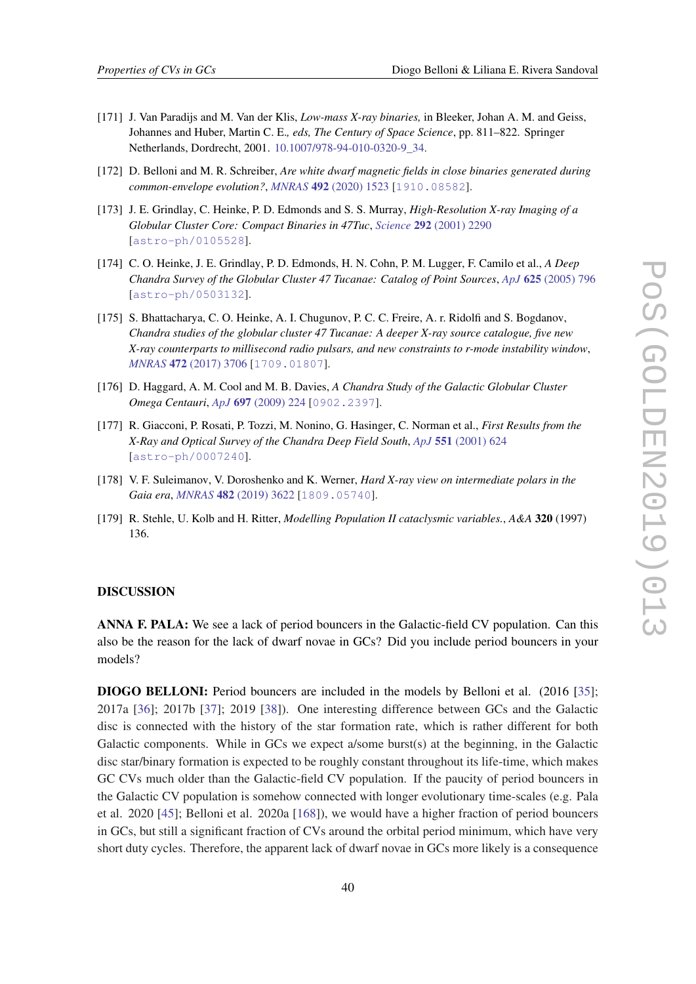- <span id="page-40-0"></span>[171] J. Van Paradijs and M. Van der Klis, *Low-mass X-ray binaries,* in Bleeker, Johan A. M. and Geiss, Johannes and Huber, Martin C. E.*, eds, The Century of Space Science*, pp. 811–822. Springer Netherlands, Dordrecht, 2001. [10.1007/978-94-010-0320-9\\_34.](https://doi.org/10.1007/978-94-010-0320-9_34)
- [172] D. Belloni and M. R. Schreiber, *Are white dwarf magnetic fields in close binaries generated during common-envelope evolution?*, *MNRAS* 492 [\(2020\) 1523](https://doi.org/10.1093/mnras/stz3601) [[1910.08582](https://arxiv.org/abs/1910.08582)].
- [173] J. E. Grindlay, C. Heinke, P. D. Edmonds and S. S. Murray, *High-Resolution X-ray Imaging of a Globular Cluster Core: Compact Binaries in 47Tuc*, *Science* 292 [\(2001\) 2290](https://doi.org/10.1126/science.1061135) [[astro-ph/0105528](https://arxiv.org/abs/astro-ph/0105528)].
- [174] C. O. Heinke, J. E. Grindlay, P. D. Edmonds, H. N. Cohn, P. M. Lugger, F. Camilo et al., *A Deep Chandra Survey of the Globular Cluster 47 Tucanae: Catalog of Point Sources*, *ApJ* 625 [\(2005\) 796](https://doi.org/10.1086/429899) [[astro-ph/0503132](https://arxiv.org/abs/astro-ph/0503132)].
- [175] S. Bhattacharya, C. O. Heinke, A. I. Chugunov, P. C. C. Freire, A. r. Ridolfi and S. Bogdanov, *Chandra studies of the globular cluster 47 Tucanae: A deeper X-ray source catalogue, five new X-ray counterparts to millisecond radio pulsars, and new constraints to r-mode instability window*, *MNRAS* 472 [\(2017\) 3706](https://doi.org/10.1093/mnras/stx2241) [[1709.01807](https://arxiv.org/abs/1709.01807)].
- [176] D. Haggard, A. M. Cool and M. B. Davies, *A Chandra Study of the Galactic Globular Cluster Omega Centauri*, *ApJ* 697 [\(2009\) 224](https://doi.org/10.1088/0004-637X/697/1/224) [[0902.2397](https://arxiv.org/abs/0902.2397)].
- [177] R. Giacconi, P. Rosati, P. Tozzi, M. Nonino, G. Hasinger, C. Norman et al., *First Results from the X-Ray and Optical Survey of the Chandra Deep Field South*, *ApJ* 551 [\(2001\) 624](https://doi.org/10.1086/320222) [[astro-ph/0007240](https://arxiv.org/abs/astro-ph/0007240)].
- [178] V. F. Suleimanov, V. Doroshenko and K. Werner, *Hard X-ray view on intermediate polars in the Gaia era*, *MNRAS* 482 [\(2019\) 3622](https://doi.org/10.1093/mnras/sty2952) [[1809.05740](https://arxiv.org/abs/1809.05740)].
- [179] R. Stehle, U. Kolb and H. Ritter, *Modelling Population II cataclysmic variables.*, *A&A* 320 (1997) 136.

## DISCUSSION

ANNA F. PALA: We see a lack of period bouncers in the Galactic-field CV population. Can this also be the reason for the lack of dwarf novae in GCs? Did you include period bouncers in your models?

DIOGO BELLONI: Period bouncers are included in the models by Belloni et al. (2016 [\[35](#page-31-0)]; 2017a [[36\]](#page-31-0); 2017b [[37\]](#page-32-0); 2019 [\[38](#page-32-0)]). One interesting difference between GCs and the Galactic disc is connected with the history of the star formation rate, which is rather different for both Galactic components. While in GCs we expect a/some burst(s) at the beginning, in the Galactic disc star/binary formation is expected to be roughly constant throughout its life-time, which makes GC CVs much older than the Galactic-field CV population. If the paucity of period bouncers in the Galactic CV population is somehow connected with longer evolutionary time-scales (e.g. Pala et al. 2020 [\[45](#page-32-0)]; Belloni et al. 2020a [\[168](#page-39-0)]), we would have a higher fraction of period bouncers in GCs, but still a significant fraction of CVs around the orbital period minimum, which have very short duty cycles. Therefore, the apparent lack of dwarf novae in GCs more likely is a consequence